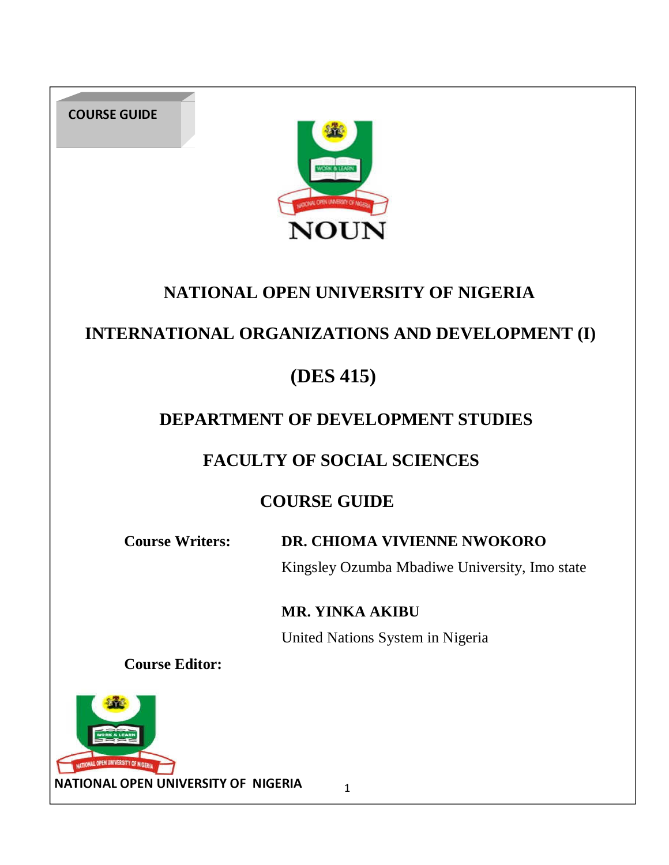COURSE GUIDE



# **NATIONAL OPEN UNIVERSITY OF NIGERIA**

# **INTERNATIONAL ORGANIZATIONS AND DEVELOPMENT (I)**

# **(DES 415)**

# **DEPARTMENT OF DEVELOPMENT STUDIES**

# **FACULTY OF SOCIAL SCIENCES**

# **COURSE GUIDE**

**Course Writers: DR. CHIOMA VIVIENNE NWOKORO**

Kingsley Ozumba Mbadiwe University, Imo state

**MR. YINKA AKIBU** 

United Nations System in Nigeria

**Course Editor:** 

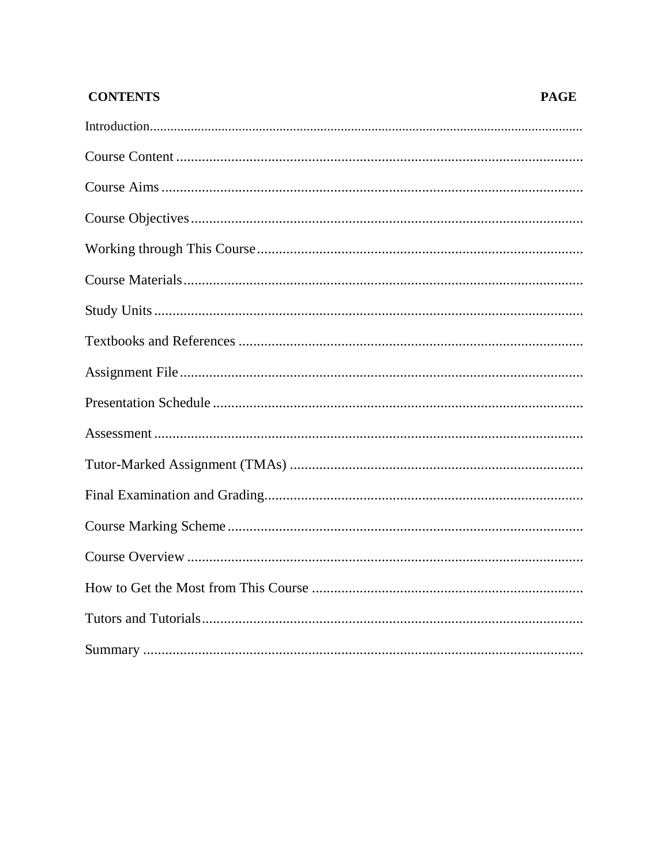# **CONTENTS**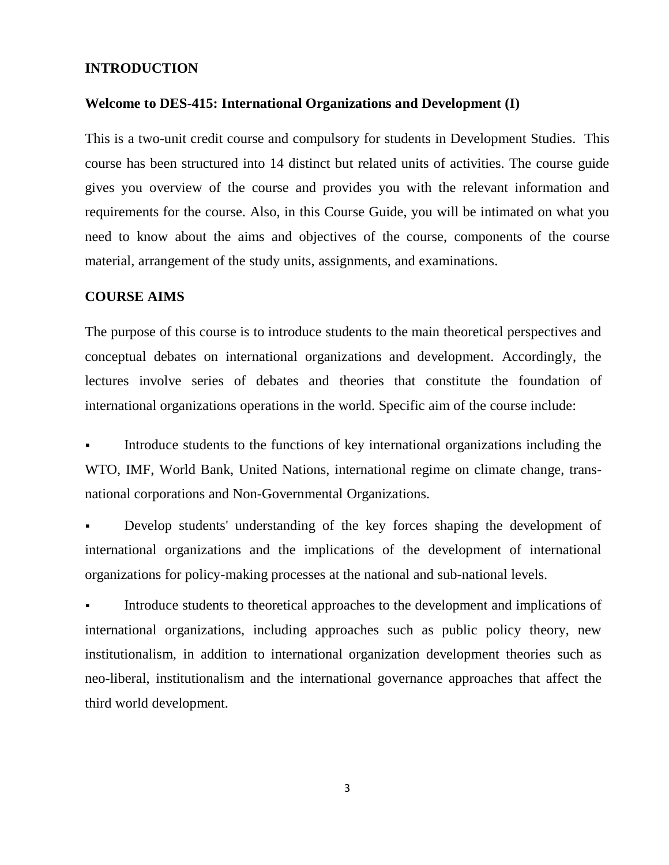#### **INTRODUCTION**

#### **Welcome to DES-415: International Organizations and Development (I)**

This is a two-unit credit course and compulsory for students in Development Studies. This course has been structured into 14 distinct but related units of activities. The course guide gives you overview of the course and provides you with the relevant information and requirements for the course. Also, in this Course Guide, you will be intimated on what you need to know about the aims and objectives of the course, components of the course material, arrangement of the study units, assignments, and examinations.

#### **COURSE AIMS**

The purpose of this course is to introduce students to the main theoretical perspectives and conceptual debates on international organizations and development. Accordingly, the lectures involve series of debates and theories that constitute the foundation of international organizations operations in the world. Specific aim of the course include:

 Introduce students to the functions of key international organizations including the WTO, IMF, World Bank, United Nations, international regime on climate change, transnational corporations and Non-Governmental Organizations.

 Develop students' understanding of the key forces shaping the development of international organizations and the implications of the development of international organizations for policy-making processes at the national and sub-national levels.

 Introduce students to theoretical approaches to the development and implications of international organizations, including approaches such as public policy theory, new institutionalism, in addition to international organization development theories such as neo-liberal, institutionalism and the international governance approaches that affect the third world development.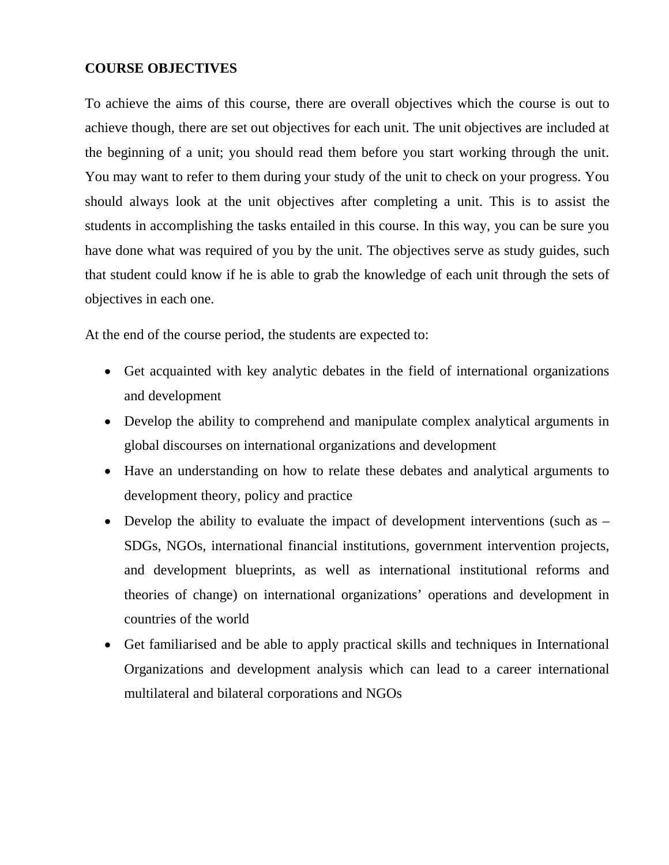# **COURSE OBJECTIVES**

To achieve the aims of this course, there are overall objectives which the course is out to achieve though, there are set out objectives for each unit. The unit objectives are included at the beginning of a unit; you should read them before you start working through the unit. You may want to refer to them during your study of the unit to check on your progress. You should always look at the unit objectives after completing a unit. This is to assist the students in accomplishing the tasks entailed in this course. In this way, you can be sure you have done what was required of you by the unit. The objectives serve as study guides, such that student could know if he is able to grab the knowledge of each unit through the sets of objectives in each one.

At the end of the course period, the students are expected to:

- Get acquainted with key analytic debates in the field of international organizations and development
- Develop the ability to comprehend and manipulate complex analytical arguments in global discourses on international organizations and development
- Have an understanding on how to relate these debates and analytical arguments to development theory, policy and practice
- Develop the ability to evaluate the impact of development interventions (such as SDGs, NGOs, international financial institutions, government intervention projects, and development blueprints, as well as international institutional reforms and theories of change) on international organizations' operations and development in countries of the world
- Get familiarised and be able to apply practical skills and techniques in International Organizations and development analysis which can lead to a career international multilateral and bilateral corporations and NGOs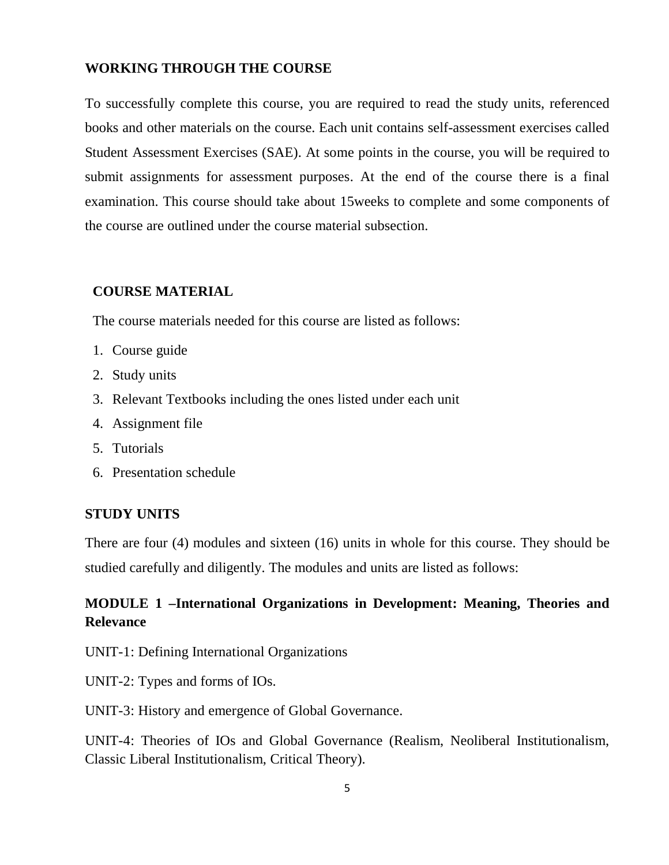#### **WORKING THROUGH THE COURSE**

To successfully complete this course, you are required to read the study units, referenced books and other materials on the course. Each unit contains self-assessment exercises called Student Assessment Exercises (SAE). At some points in the course, you will be required to submit assignments for assessment purposes. At the end of the course there is a final examination. This course should take about 15weeks to complete and some components of the course are outlined under the course material subsection.

#### **COURSE MATERIAL**

The course materials needed for this course are listed as follows:

- 1. Course guide
- 2. Study units
- 3. Relevant Textbooks including the ones listed under each unit
- 4. Assignment file
- 5. Tutorials
- 6. Presentation schedule

#### **STUDY UNITS**

There are four (4) modules and sixteen (16) units in whole for this course. They should be studied carefully and diligently. The modules and units are listed as follows:

# **MODULE 1 –International Organizations in Development: Meaning, Theories and Relevance**

UNIT-1: Defining International Organizations

UNIT-2: Types and forms of IOs.

UNIT-3: History and emergence of Global Governance.

UNIT-4: Theories of IOs and Global Governance (Realism, Neoliberal Institutionalism, Classic Liberal Institutionalism, Critical Theory).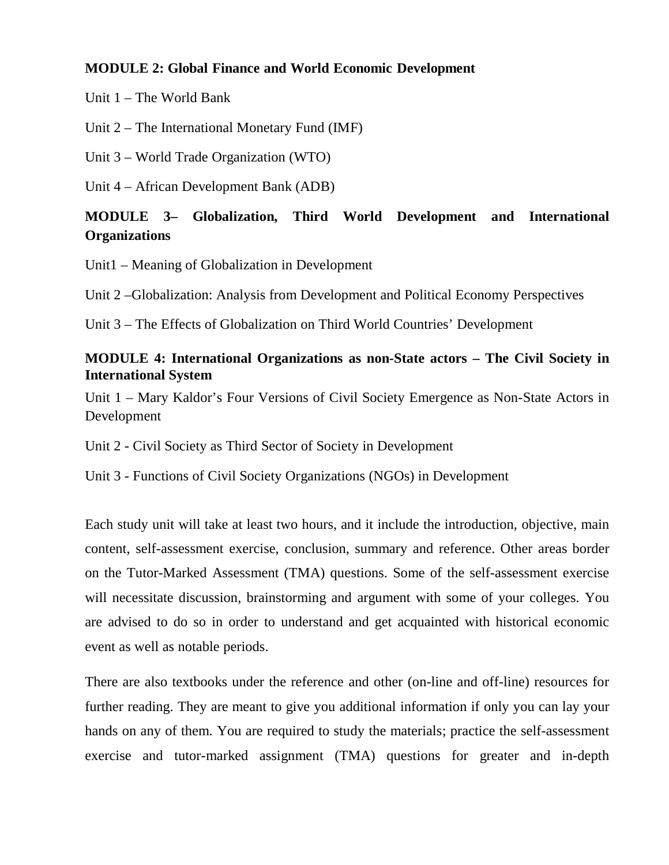## **MODULE 2: Global Finance and World Economic Development**

Unit 1 – The World Bank

Unit 2 – The International Monetary Fund (IMF)

Unit 3 – World Trade Organization (WTO)

Unit 4 – African Development Bank (ADB)

# **MODULE 3– Globalization, Third World Development and International Organizations**

Unit1 – Meaning of Globalization in Development

Unit 2 –Globalization: Analysis from Development and Political Economy Perspectives

Unit 3 – The Effects of Globalization on Third World Countries' Development

# **MODULE 4: International Organizations as non-State actors – The Civil Society in International System**

Unit 1 – Mary Kaldor's Four Versions of Civil Society Emergence as Non-State Actors in Development

Unit 2 - Civil Society as Third Sector of Society in Development

Unit 3 - Functions of Civil Society Organizations (NGOs) in Development

Each study unit will take at least two hours, and it include the introduction, objective, main content, self-assessment exercise, conclusion, summary and reference. Other areas border on the Tutor-Marked Assessment (TMA) questions. Some of the self-assessment exercise will necessitate discussion, brainstorming and argument with some of your colleges. You are advised to do so in order to understand and get acquainted with historical economic event as well as notable periods.

There are also textbooks under the reference and other (on-line and off-line) resources for further reading. They are meant to give you additional information if only you can lay your hands on any of them. You are required to study the materials; practice the self-assessment exercise and tutor-marked assignment (TMA) questions for greater and in-depth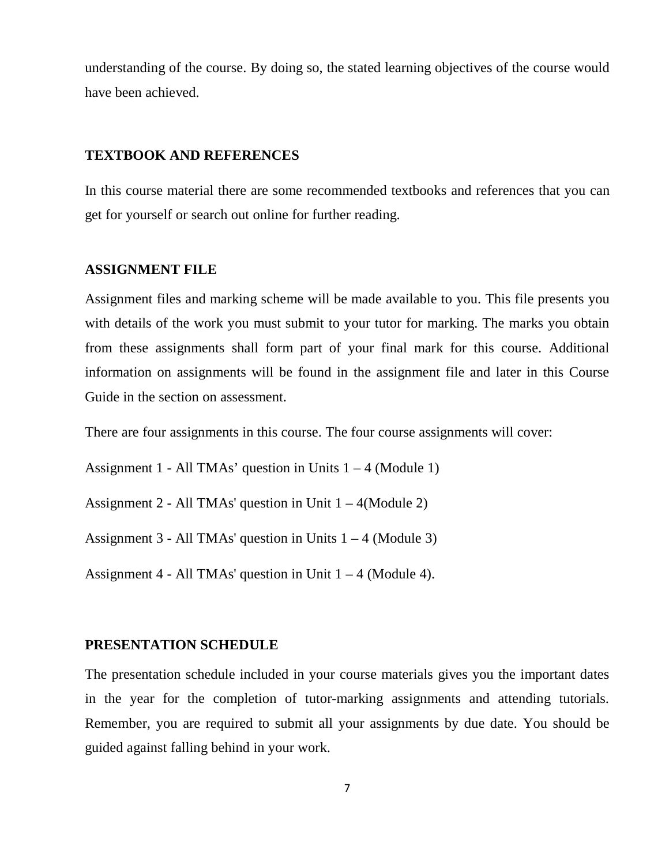understanding of the course. By doing so, the stated learning objectives of the course would have been achieved.

#### **TEXTBOOK AND REFERENCES**

In this course material there are some recommended textbooks and references that you can get for yourself or search out online for further reading.

#### **ASSIGNMENT FILE**

Assignment files and marking scheme will be made available to you. This file presents you with details of the work you must submit to your tutor for marking. The marks you obtain from these assignments shall form part of your final mark for this course. Additional information on assignments will be found in the assignment file and later in this Course Guide in the section on assessment.

There are four assignments in this course. The four course assignments will cover:

Assignment 1 - All TMAs' question in Units  $1 - 4$  (Module 1)

Assignment 2 - All TMAs' question in Unit  $1 - 4$ (Module 2)

Assignment  $3 - All TMAs' question in Units  $1 - 4$  (Module 3)$ 

Assignment 4 - All TMAs' question in Unit  $1 - 4$  (Module 4).

#### **PRESENTATION SCHEDULE**

The presentation schedule included in your course materials gives you the important dates in the year for the completion of tutor-marking assignments and attending tutorials. Remember, you are required to submit all your assignments by due date. You should be guided against falling behind in your work.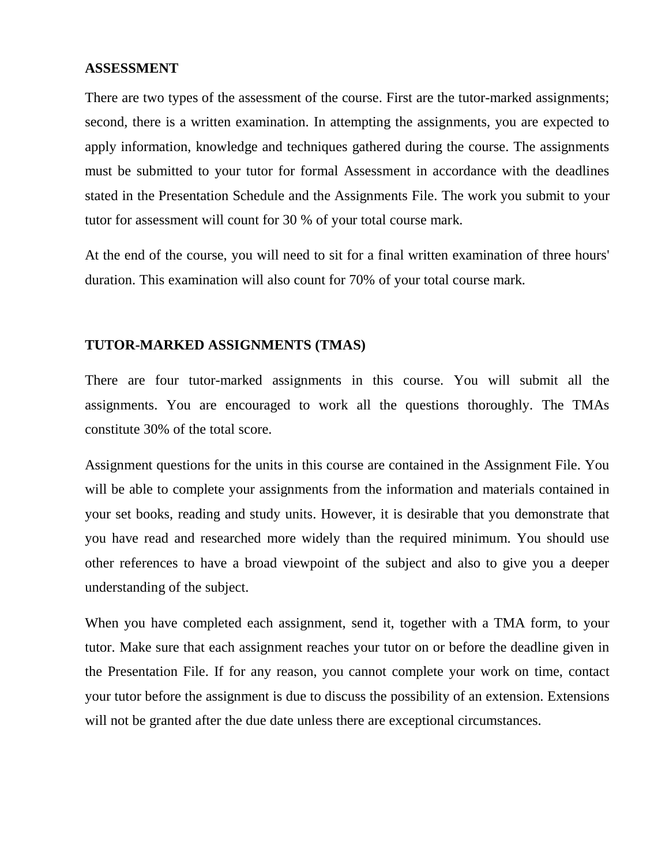#### **ASSESSMENT**

There are two types of the assessment of the course. First are the tutor-marked assignments; second, there is a written examination. In attempting the assignments, you are expected to apply information, knowledge and techniques gathered during the course. The assignments must be submitted to your tutor for formal Assessment in accordance with the deadlines stated in the Presentation Schedule and the Assignments File. The work you submit to your tutor for assessment will count for 30 % of your total course mark.

At the end of the course, you will need to sit for a final written examination of three hours' duration. This examination will also count for 70% of your total course mark.

#### **TUTOR-MARKED ASSIGNMENTS (TMAS)**

There are four tutor-marked assignments in this course. You will submit all the assignments. You are encouraged to work all the questions thoroughly. The TMAs constitute 30% of the total score.

Assignment questions for the units in this course are contained in the Assignment File. You will be able to complete your assignments from the information and materials contained in your set books, reading and study units. However, it is desirable that you demonstrate that you have read and researched more widely than the required minimum. You should use other references to have a broad viewpoint of the subject and also to give you a deeper understanding of the subject.

When you have completed each assignment, send it, together with a TMA form, to your tutor. Make sure that each assignment reaches your tutor on or before the deadline given in the Presentation File. If for any reason, you cannot complete your work on time, contact your tutor before the assignment is due to discuss the possibility of an extension. Extensions will not be granted after the due date unless there are exceptional circumstances.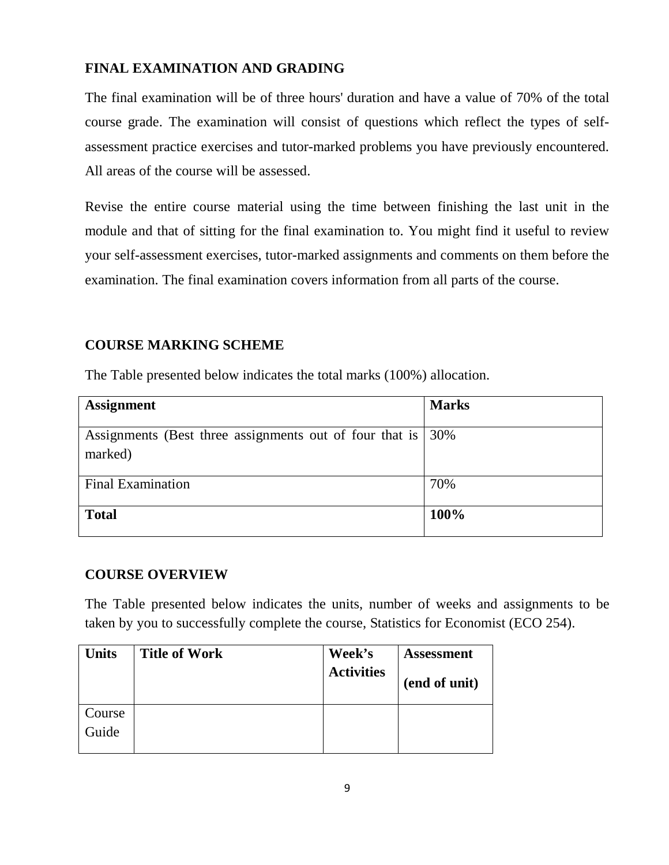# **FINAL EXAMINATION AND GRADING**

The final examination will be of three hours' duration and have a value of 70% of the total course grade. The examination will consist of questions which reflect the types of selfassessment practice exercises and tutor-marked problems you have previously encountered. All areas of the course will be assessed.

Revise the entire course material using the time between finishing the last unit in the module and that of sitting for the final examination to. You might find it useful to review your self-assessment exercises, tutor-marked assignments and comments on them before the examination. The final examination covers information from all parts of the course.

# **COURSE MARKING SCHEME**

The Table presented below indicates the total marks (100%) allocation.

| <b>Assignment</b>                                                           | <b>Marks</b> |
|-----------------------------------------------------------------------------|--------------|
|                                                                             |              |
| Assignments (Best three assignments out of four that is $ 30\% $<br>marked) |              |
|                                                                             |              |
| <b>Final Examination</b>                                                    | 70%          |
| <b>Total</b>                                                                | 100%         |

# **COURSE OVERVIEW**

The Table presented below indicates the units, number of weeks and assignments to be taken by you to successfully complete the course, Statistics for Economist (ECO 254).

| <b>Units</b>    | <b>Title of Work</b> | Week's<br><b>Activities</b> | <b>Assessment</b><br>(end of unit) |
|-----------------|----------------------|-----------------------------|------------------------------------|
| Course<br>Guide |                      |                             |                                    |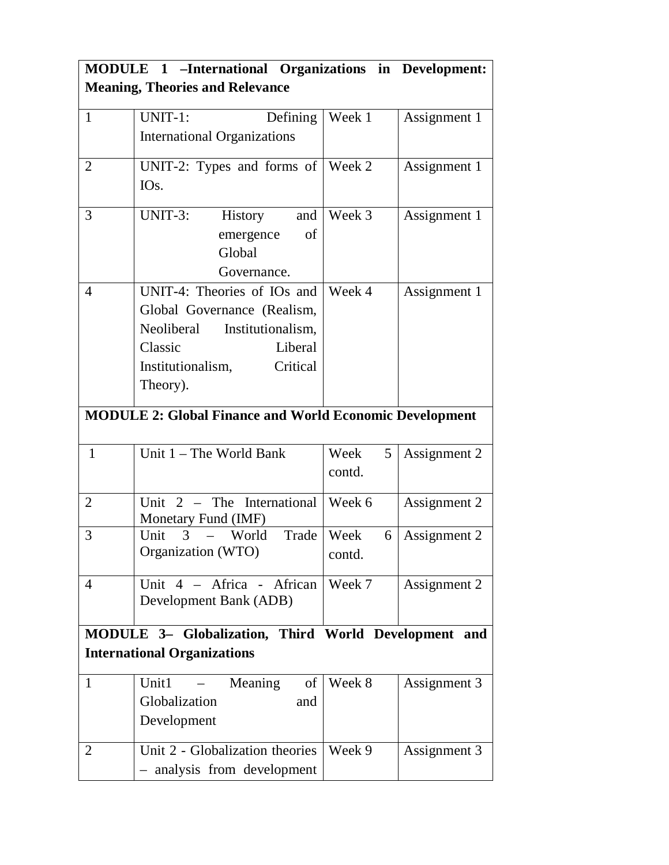| MODULE 1 -International Organizations in Development: |                                                                |                     |              |  |
|-------------------------------------------------------|----------------------------------------------------------------|---------------------|--------------|--|
| <b>Meaning, Theories and Relevance</b>                |                                                                |                     |              |  |
| $\mathbf{1}$                                          | UNIT-1:<br>Defining                                            | Week 1              | Assignment 1 |  |
|                                                       | <b>International Organizations</b>                             |                     |              |  |
| $\overline{2}$                                        | UNIT-2: Types and forms of $\sqrt{\phantom{a}}$ Week 2         |                     | Assignment 1 |  |
|                                                       | IO <sub>s</sub> .                                              |                     |              |  |
| 3                                                     | $UNIT-3$ :<br>History<br>and                                   | Week 3              | Assignment 1 |  |
|                                                       | emergence<br>of                                                |                     |              |  |
|                                                       | Global                                                         |                     |              |  |
|                                                       | Governance.                                                    |                     |              |  |
| $\overline{4}$                                        | UNIT-4: Theories of IOs and                                    | Week 4              | Assignment 1 |  |
|                                                       | Global Governance (Realism,                                    |                     |              |  |
|                                                       | Neoliberal Institutionalism,                                   |                     |              |  |
|                                                       | Classic<br>Liberal                                             |                     |              |  |
|                                                       | Institutionalism,<br>Critical                                  |                     |              |  |
|                                                       | Theory).                                                       |                     |              |  |
|                                                       |                                                                |                     |              |  |
|                                                       | <b>MODULE 2: Global Finance and World Economic Development</b> |                     |              |  |
| $\mathbf{1}$                                          | Unit 1 - The World Bank                                        | Week<br>$5^{\circ}$ | Assignment 2 |  |
|                                                       |                                                                | contd.              |              |  |
| $\overline{2}$                                        | Unit 2 – The International Week 6                              |                     |              |  |
|                                                       | Monetary Fund (IMF)                                            |                     | Assignment 2 |  |
| 3                                                     | 3<br>World Trade   Week<br>Unit                                | 6                   | Assignment 2 |  |
|                                                       | Organization (WTO)                                             | contd.              |              |  |
|                                                       |                                                                |                     |              |  |
| $\overline{4}$                                        | Unit $4$ – Africa - African                                    | Week 7              | Assignment 2 |  |
|                                                       | Development Bank (ADB)                                         |                     |              |  |
|                                                       | MODULE 3- Globalization, Third World Development and           |                     |              |  |
| <b>International Organizations</b>                    |                                                                |                     |              |  |
| $\mathbf{1}$                                          | Unit1<br>Meaning<br>of                                         | Week 8              | Assignment 3 |  |
|                                                       | Globalization<br>and                                           |                     |              |  |
|                                                       | Development                                                    |                     |              |  |
| 2                                                     | Unit 2 - Globalization theories                                | Week 9              | Assignment 3 |  |
|                                                       | - analysis from development                                    |                     |              |  |
|                                                       |                                                                |                     |              |  |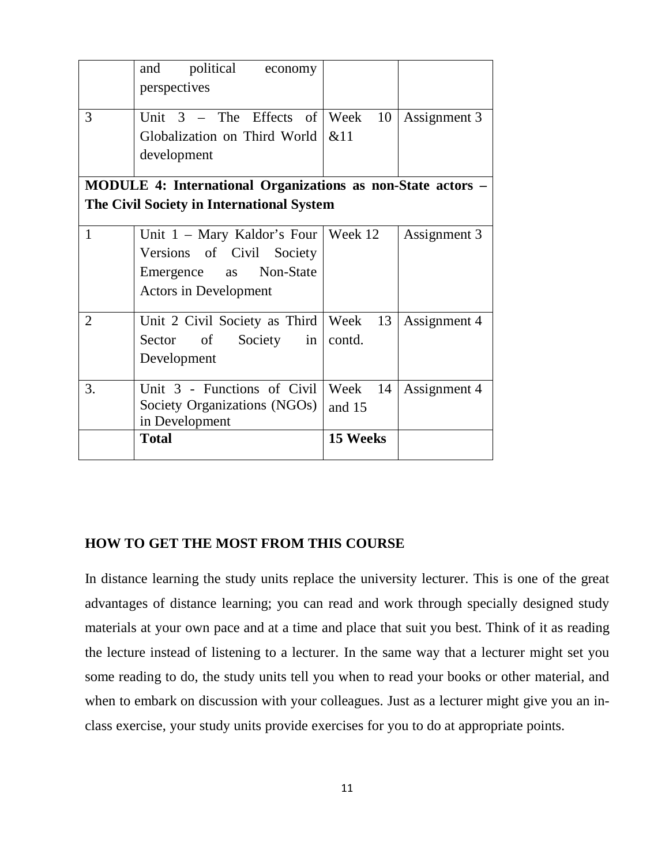|                | political<br>and<br>economy                                 |          |              |
|----------------|-------------------------------------------------------------|----------|--------------|
|                | perspectives                                                |          |              |
| 3              | Unit $3$ – The Effects of Week 10                           |          | Assignment 3 |
|                | Globalization on Third World $\&$ 11                        |          |              |
|                | development                                                 |          |              |
|                | MODULE 4: International Organizations as non-State actors – |          |              |
|                | The Civil Society in International System                   |          |              |
| $\mathbf{1}$   | Unit $1 -$ Mary Kaldor's Four   Week 12                     |          | Assignment 3 |
|                | Versions of Civil Society                                   |          |              |
|                | Emergence as Non-State                                      |          |              |
|                | <b>Actors in Development</b>                                |          |              |
| $\overline{2}$ | Unit 2 Civil Society as Third   Week 13                     |          | Assignment 4 |
|                | $\circ$ f<br>Society<br>Sector<br>in <sub>1</sub>           | contd.   |              |
|                | Development                                                 |          |              |
| 3.             | Unit 3 - Functions of Civil                                 | Week 14  | Assignment 4 |
|                | Society Organizations (NGOs)                                | and 15   |              |
|                | in Development                                              |          |              |
|                | <b>Total</b>                                                | 15 Weeks |              |
|                |                                                             |          |              |

#### **HOW TO GET THE MOST FROM THIS COURSE**

In distance learning the study units replace the university lecturer. This is one of the great advantages of distance learning; you can read and work through specially designed study materials at your own pace and at a time and place that suit you best. Think of it as reading the lecture instead of listening to a lecturer. In the same way that a lecturer might set you some reading to do, the study units tell you when to read your books or other material, and when to embark on discussion with your colleagues. Just as a lecturer might give you an inclass exercise, your study units provide exercises for you to do at appropriate points.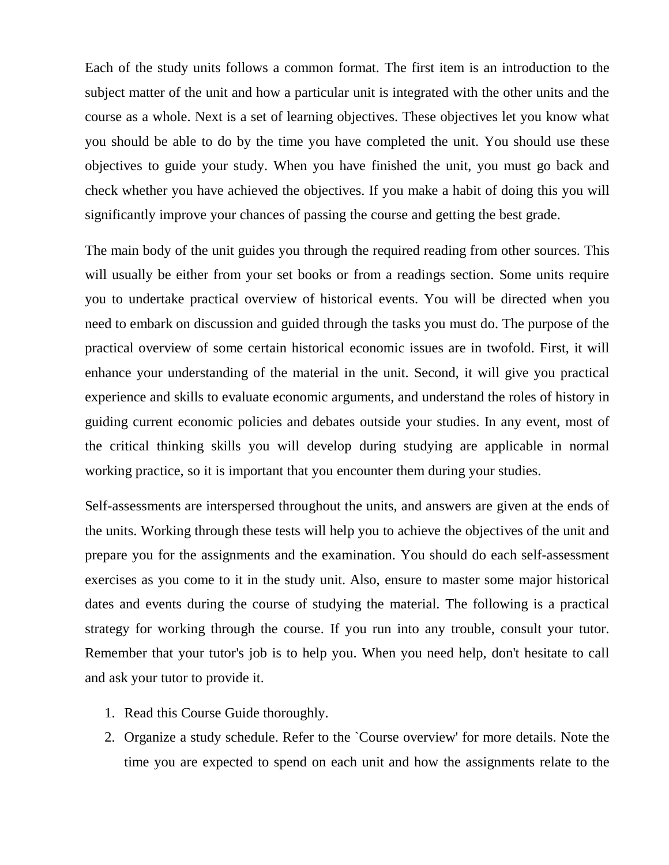Each of the study units follows a common format. The first item is an introduction to the subject matter of the unit and how a particular unit is integrated with the other units and the course as a whole. Next is a set of learning objectives. These objectives let you know what you should be able to do by the time you have completed the unit. You should use these objectives to guide your study. When you have finished the unit, you must go back and check whether you have achieved the objectives. If you make a habit of doing this you will significantly improve your chances of passing the course and getting the best grade.

The main body of the unit guides you through the required reading from other sources. This will usually be either from your set books or from a readings section. Some units require you to undertake practical overview of historical events. You will be directed when you need to embark on discussion and guided through the tasks you must do. The purpose of the practical overview of some certain historical economic issues are in twofold. First, it will enhance your understanding of the material in the unit. Second, it will give you practical experience and skills to evaluate economic arguments, and understand the roles of history in guiding current economic policies and debates outside your studies. In any event, most of the critical thinking skills you will develop during studying are applicable in normal working practice, so it is important that you encounter them during your studies.

Self-assessments are interspersed throughout the units, and answers are given at the ends of the units. Working through these tests will help you to achieve the objectives of the unit and prepare you for the assignments and the examination. You should do each self-assessment exercises as you come to it in the study unit. Also, ensure to master some major historical dates and events during the course of studying the material. The following is a practical strategy for working through the course. If you run into any trouble, consult your tutor. Remember that your tutor's job is to help you. When you need help, don't hesitate to call and ask your tutor to provide it.

- 1. Read this Course Guide thoroughly.
- 2. Organize a study schedule. Refer to the `Course overview' for more details. Note the time you are expected to spend on each unit and how the assignments relate to the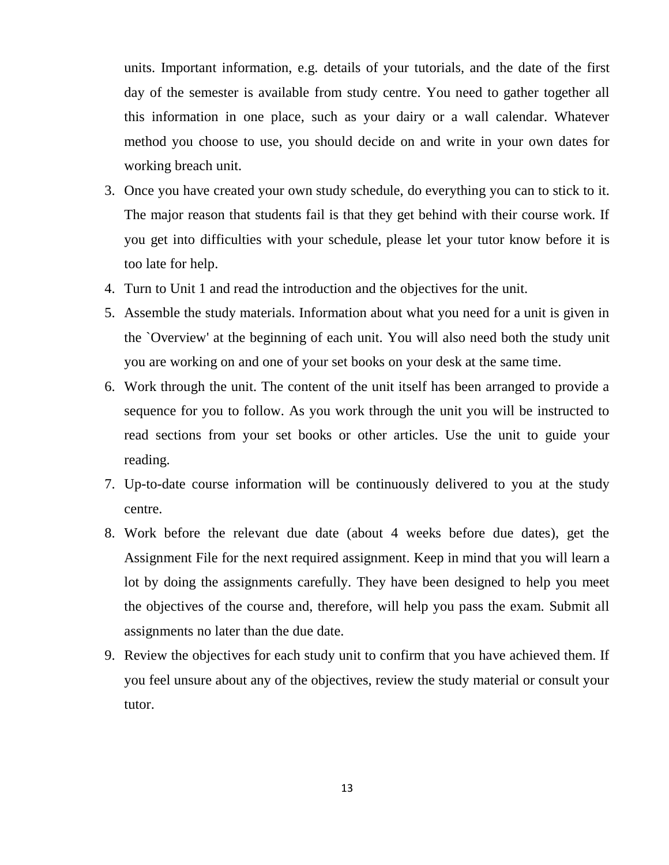units. Important information, e.g. details of your tutorials, and the date of the first day of the semester is available from study centre. You need to gather together all this information in one place, such as your dairy or a wall calendar. Whatever method you choose to use, you should decide on and write in your own dates for working breach unit.

- 3. Once you have created your own study schedule, do everything you can to stick to it. The major reason that students fail is that they get behind with their course work. If you get into difficulties with your schedule, please let your tutor know before it is too late for help.
- 4. Turn to Unit 1 and read the introduction and the objectives for the unit.
- 5. Assemble the study materials. Information about what you need for a unit is given in the `Overview' at the beginning of each unit. You will also need both the study unit you are working on and one of your set books on your desk at the same time.
- 6. Work through the unit. The content of the unit itself has been arranged to provide a sequence for you to follow. As you work through the unit you will be instructed to read sections from your set books or other articles. Use the unit to guide your reading.
- 7. Up-to-date course information will be continuously delivered to you at the study centre.
- 8. Work before the relevant due date (about 4 weeks before due dates), get the Assignment File for the next required assignment. Keep in mind that you will learn a lot by doing the assignments carefully. They have been designed to help you meet the objectives of the course and, therefore, will help you pass the exam. Submit all assignments no later than the due date.
- 9. Review the objectives for each study unit to confirm that you have achieved them. If you feel unsure about any of the objectives, review the study material or consult your tutor.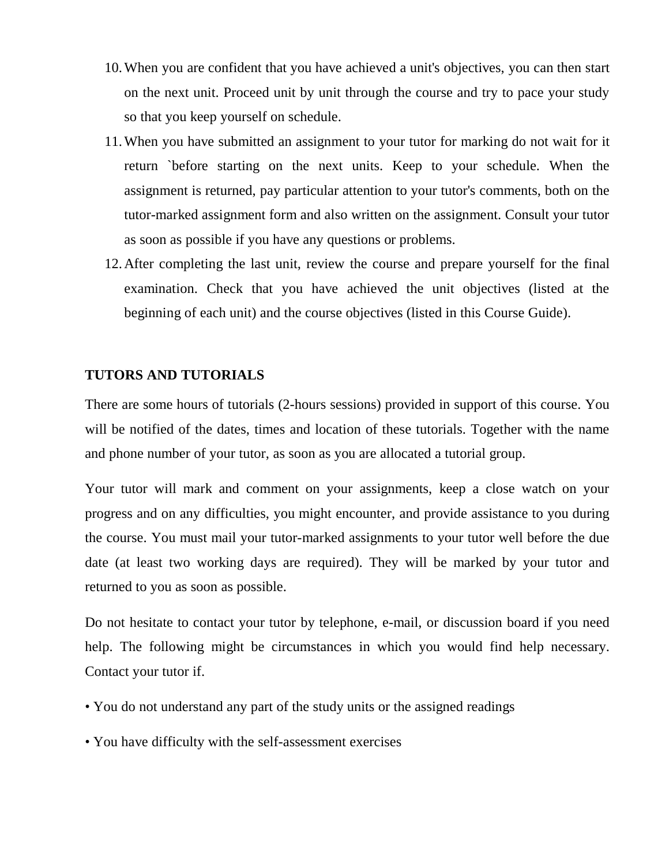- 10.When you are confident that you have achieved a unit's objectives, you can then start on the next unit. Proceed unit by unit through the course and try to pace your study so that you keep yourself on schedule.
- 11.When you have submitted an assignment to your tutor for marking do not wait for it return `before starting on the next units. Keep to your schedule. When the assignment is returned, pay particular attention to your tutor's comments, both on the tutor-marked assignment form and also written on the assignment. Consult your tutor as soon as possible if you have any questions or problems.
- 12.After completing the last unit, review the course and prepare yourself for the final examination. Check that you have achieved the unit objectives (listed at the beginning of each unit) and the course objectives (listed in this Course Guide).

### **TUTORS AND TUTORIALS**

There are some hours of tutorials (2-hours sessions) provided in support of this course. You will be notified of the dates, times and location of these tutorials. Together with the name and phone number of your tutor, as soon as you are allocated a tutorial group.

Your tutor will mark and comment on your assignments, keep a close watch on your progress and on any difficulties, you might encounter, and provide assistance to you during the course. You must mail your tutor-marked assignments to your tutor well before the due date (at least two working days are required). They will be marked by your tutor and returned to you as soon as possible.

Do not hesitate to contact your tutor by telephone, e-mail, or discussion board if you need help. The following might be circumstances in which you would find help necessary. Contact your tutor if.

- You do not understand any part of the study units or the assigned readings
- You have difficulty with the self-assessment exercises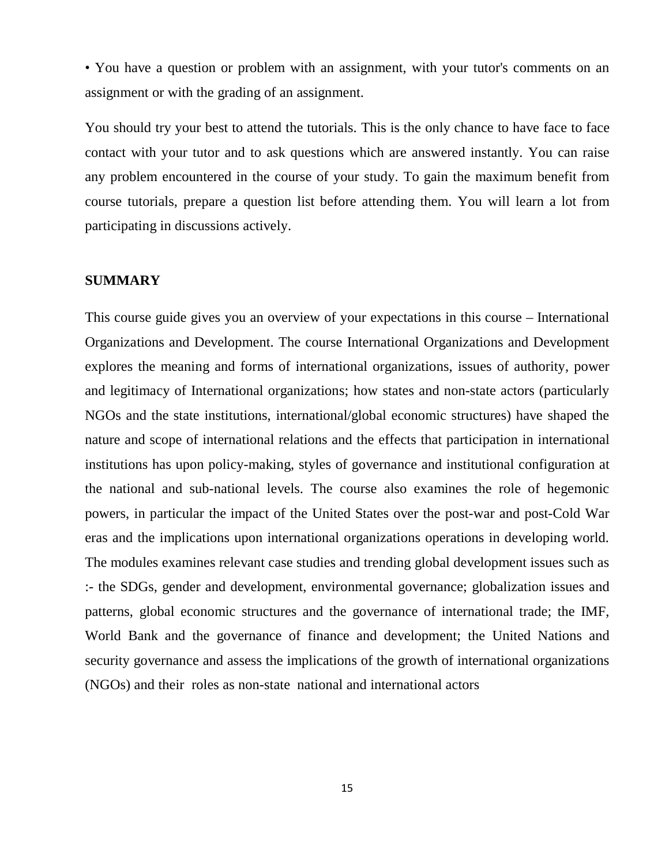• You have a question or problem with an assignment, with your tutor's comments on an assignment or with the grading of an assignment.

You should try your best to attend the tutorials. This is the only chance to have face to face contact with your tutor and to ask questions which are answered instantly. You can raise any problem encountered in the course of your study. To gain the maximum benefit from course tutorials, prepare a question list before attending them. You will learn a lot from participating in discussions actively.

#### **SUMMARY**

This course guide gives you an overview of your expectations in this course – International Organizations and Development. The course International Organizations and Development explores the meaning and forms of international organizations, issues of authority, power and legitimacy of International organizations; how states and non-state actors (particularly NGOs and the state institutions, international/global economic structures) have shaped the nature and scope of international relations and the effects that participation in international institutions has upon policy-making, styles of governance and institutional configuration at the national and sub-national levels. The course also examines the role of hegemonic powers, in particular the impact of the United States over the post-war and post-Cold War eras and the implications upon international organizations operations in developing world. The modules examines relevant case studies and trending global development issues such as :- the SDGs, gender and development, environmental governance; globalization issues and patterns, global economic structures and the governance of international trade; the IMF, World Bank and the governance of finance and development; the United Nations and security governance and assess the implications of the growth of international organizations (NGOs) and their roles as non-state national and international actors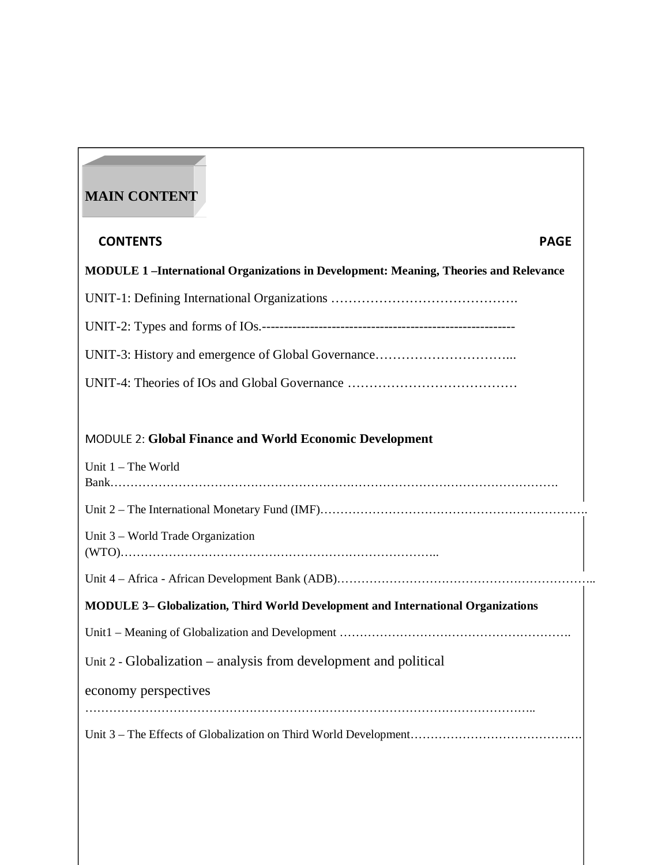# **MAIN CONTENT**

# CONTENTS PAGE **MODULE 1 –International Organizations in Development: Meaning, Theories and Relevance**  UNIT-1: Defining International Organizations ……………………………………. UNIT-2: Types and forms of IOs.---------------------------------------------------------- UNIT-3: History and emergence of Global Governance…………………………... UNIT-4: Theories of IOs and Global Governance …………………………………

#### MODULE 2: **Global Finance and World Economic Development**

| Unit $1$ – The World                                                                    |  |
|-----------------------------------------------------------------------------------------|--|
|                                                                                         |  |
| Unit 3 – World Trade Organization                                                       |  |
|                                                                                         |  |
| <b>MODULE 3– Globalization, Third World Development and International Organizations</b> |  |
|                                                                                         |  |
| Unit 2 - Globalization – analysis from development and political                        |  |
| economy perspectives                                                                    |  |
|                                                                                         |  |
|                                                                                         |  |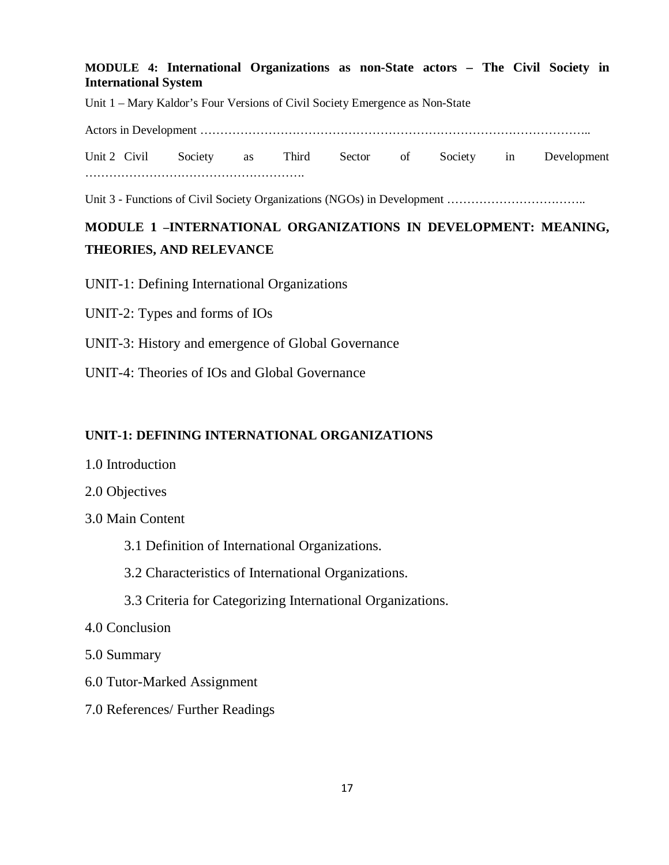#### **MODULE 4: International Organizations as non-State actors – The Civil Society in International System**

Unit 1 – Mary Kaldor's Four Versions of Civil Society Emergence as Non-State

Actors in Development ……………………………………………………………………………………..

Unit 2 Civil Society as Third Sector of Society in Development ……………………………………………….

Unit 3 - Functions of Civil Society Organizations (NGOs) in Development ……………………………..

# **MODULE 1 –INTERNATIONAL ORGANIZATIONS IN DEVELOPMENT: MEANING, THEORIES, AND RELEVANCE**

UNIT-1: Defining International Organizations

- UNIT-2: Types and forms of IOs
- UNIT-3: History and emergence of Global Governance
- UNIT-4: Theories of IOs and Global Governance

#### **UNIT-1: DEFINING INTERNATIONAL ORGANIZATIONS**

- 1.0 Introduction
- 2.0 Objectives
- 3.0 Main Content
	- 3.1 Definition of International Organizations.
	- 3.2 Characteristics of International Organizations.
	- 3.3 Criteria for Categorizing International Organizations.
- 4.0 Conclusion
- 5.0 Summary
- 6.0 Tutor-Marked Assignment
- 7.0 References/ Further Readings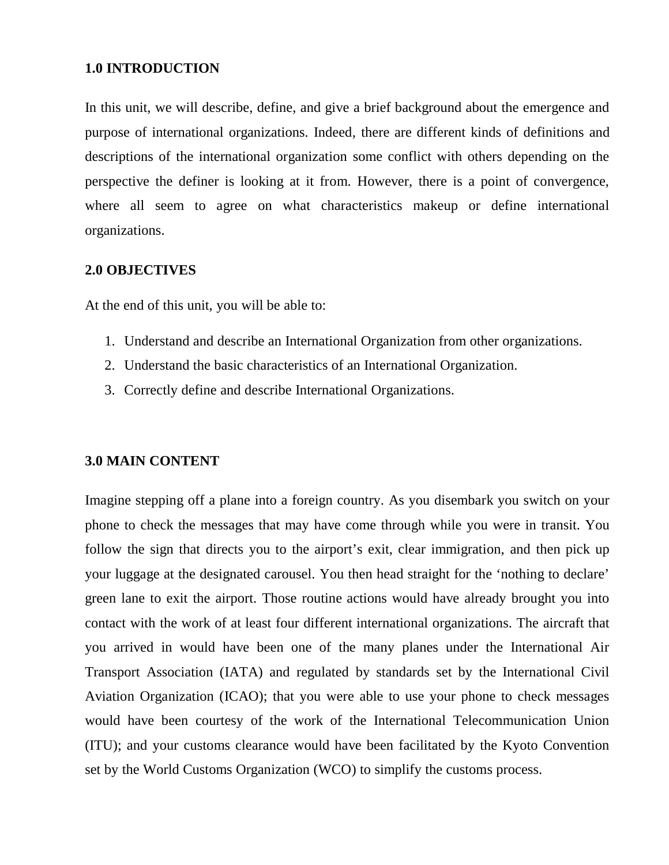#### **1.0 INTRODUCTION**

In this unit, we will describe, define, and give a brief background about the emergence and purpose of international organizations. Indeed, there are different kinds of definitions and descriptions of the international organization some conflict with others depending on the perspective the definer is looking at it from. However, there is a point of convergence, where all seem to agree on what characteristics makeup or define international organizations.

#### **2.0 OBJECTIVES**

At the end of this unit, you will be able to:

- 1. Understand and describe an International Organization from other organizations.
- 2. Understand the basic characteristics of an International Organization.
- 3. Correctly define and describe International Organizations.

#### **3.0 MAIN CONTENT**

Imagine stepping off a plane into a foreign country. As you disembark you switch on your phone to check the messages that may have come through while you were in transit. You follow the sign that directs you to the airport's exit, clear immigration, and then pick up your luggage at the designated carousel. You then head straight for the 'nothing to declare' green lane to exit the airport. Those routine actions would have already brought you into contact with the work of at least four different international organizations. The aircraft that you arrived in would have been one of the many planes under the International Air Transport Association (IATA) and regulated by standards set by the International Civil Aviation Organization (ICAO); that you were able to use your phone to check messages would have been courtesy of the work of the International Telecommunication Union (ITU); and your customs clearance would have been facilitated by the Kyoto Convention set by the World Customs Organization (WCO) to simplify the customs process.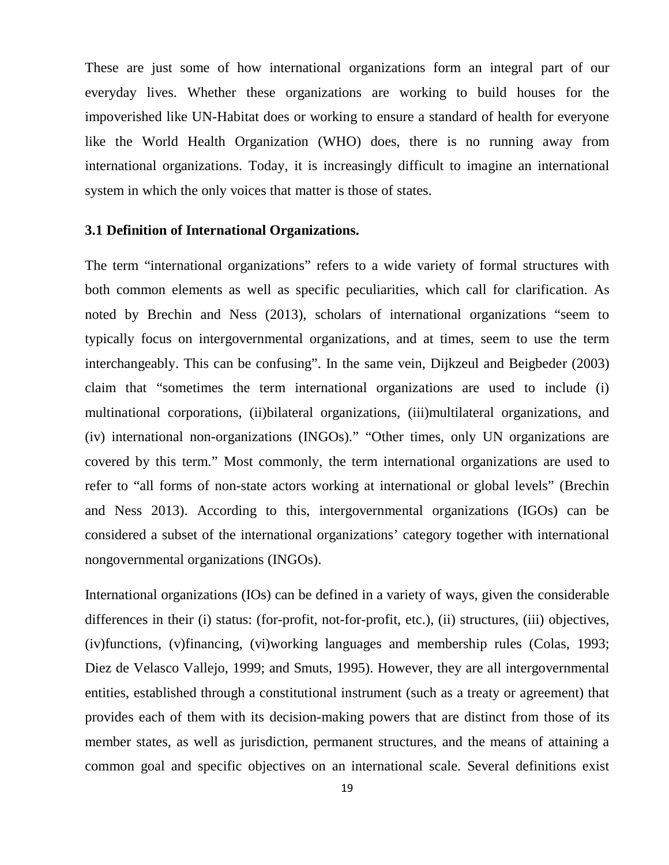These are just some of how international organizations form an integral part of our everyday lives. Whether these organizations are working to build houses for the impoverished like UN-Habitat does or working to ensure a standard of health for everyone like the World Health Organization (WHO) does, there is no running away from international organizations. Today, it is increasingly difficult to imagine an international system in which the only voices that matter is those of states.

#### **3.1 Definition of International Organizations.**

The term "international organizations" refers to a wide variety of formal structures with both common elements as well as specific peculiarities, which call for clarification. As noted by Brechin and Ness (2013), scholars of international organizations "seem to typically focus on intergovernmental organizations, and at times, seem to use the term interchangeably. This can be confusing". In the same vein, Dijkzeul and Beigbeder (2003) claim that "sometimes the term international organizations are used to include (i) multinational corporations, (ii)bilateral organizations, (iii)multilateral organizations, and (iv) international non-organizations (INGOs)." "Other times, only UN organizations are covered by this term." Most commonly, the term international organizations are used to refer to "all forms of non-state actors working at international or global levels" (Brechin and Ness 2013). According to this, intergovernmental organizations (IGOs) can be considered a subset of the international organizations' category together with international nongovernmental organizations (INGOs).

International organizations (IOs) can be defined in a variety of ways, given the considerable differences in their (i) status: (for-profit, not-for-profit, etc.), (ii) structures, (iii) objectives, (iv)functions, (v)financing, (vi)working languages and membership rules (Colas, 1993; Diez de Velasco Vallejo, 1999; and Smuts, 1995). However, they are all intergovernmental entities, established through a constitutional instrument (such as a treaty or agreement) that provides each of them with its decision-making powers that are distinct from those of its member states, as well as jurisdiction, permanent structures, and the means of attaining a common goal and specific objectives on an international scale. Several definitions exist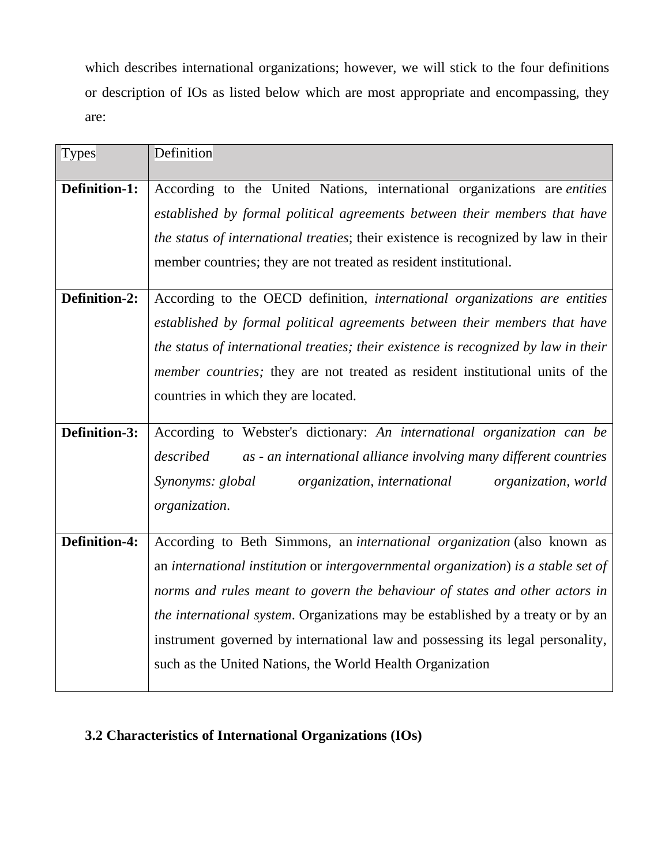which describes international organizations; however, we will stick to the four definitions or description of IOs as listed below which are most appropriate and encompassing, they are:

| Definition                                                                               |  |  |
|------------------------------------------------------------------------------------------|--|--|
| According to the United Nations, international organizations are <i>entities</i>         |  |  |
| established by formal political agreements between their members that have               |  |  |
| the status of international treaties; their existence is recognized by law in their      |  |  |
| member countries; they are not treated as resident institutional.                        |  |  |
| According to the OECD definition, international organizations are entities               |  |  |
| established by formal political agreements between their members that have               |  |  |
| the status of international treaties; their existence is recognized by law in their      |  |  |
| <i>member countries;</i> they are not treated as resident institutional units of the     |  |  |
| countries in which they are located.                                                     |  |  |
|                                                                                          |  |  |
| Definition-3:<br>According to Webster's dictionary: An international organization can be |  |  |
| described<br>as - an international alliance involving many different countries           |  |  |
| Synonyms: global<br>organization, international<br>organization, world                   |  |  |
| organization.                                                                            |  |  |
| According to Beth Simmons, an international organization (also known as                  |  |  |
| an international institution or intergovernmental organization) is a stable set of       |  |  |
|                                                                                          |  |  |
| norms and rules meant to govern the behaviour of states and other actors in              |  |  |
| the international system. Organizations may be established by a treaty or by an          |  |  |
| instrument governed by international law and possessing its legal personality,           |  |  |
| such as the United Nations, the World Health Organization                                |  |  |
|                                                                                          |  |  |

# **3.2 Characteristics of International Organizations (IOs)**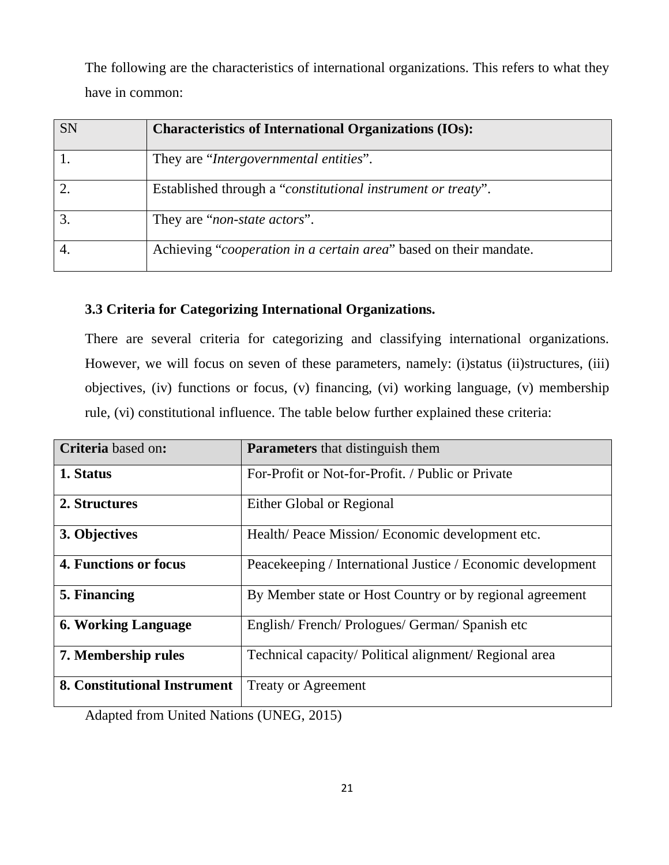The following are the characteristics of international organizations. This refers to what they have in common:

| <b>SN</b> | <b>Characteristics of International Organizations (IOs):</b>      |
|-----------|-------------------------------------------------------------------|
|           | They are "Intergovernmental entities".                            |
|           | Established through a "constitutional instrument or treaty".      |
|           | They are "non-state actors".                                      |
|           | Achieving "cooperation in a certain area" based on their mandate. |

## **3.3 Criteria for Categorizing International Organizations.**

There are several criteria for categorizing and classifying international organizations. However, we will focus on seven of these parameters, namely: (i)status (ii)structures, (iii) objectives, (iv) functions or focus, (v) financing, (vi) working language, (v) membership rule, (vi) constitutional influence. The table below further explained these criteria:

| Criteria based on:           | <b>Parameters</b> that distinguish them                     |
|------------------------------|-------------------------------------------------------------|
|                              |                                                             |
| 1. Status                    | For-Profit or Not-for-Profit. / Public or Private           |
| 2. Structures                | Either Global or Regional                                   |
| 3. Objectives                | Health/Peace Mission/Economic development etc.              |
| 4. Functions or focus        | Peacekeeping / International Justice / Economic development |
| 5. Financing                 | By Member state or Host Country or by regional agreement    |
| <b>6. Working Language</b>   | English/French/Prologues/German/Spanish etc                 |
| 7. Membership rules          | Technical capacity/ Political alignment/ Regional area      |
| 8. Constitutional Instrument | <b>Treaty or Agreement</b>                                  |

Adapted from United Nations (UNEG, 2015)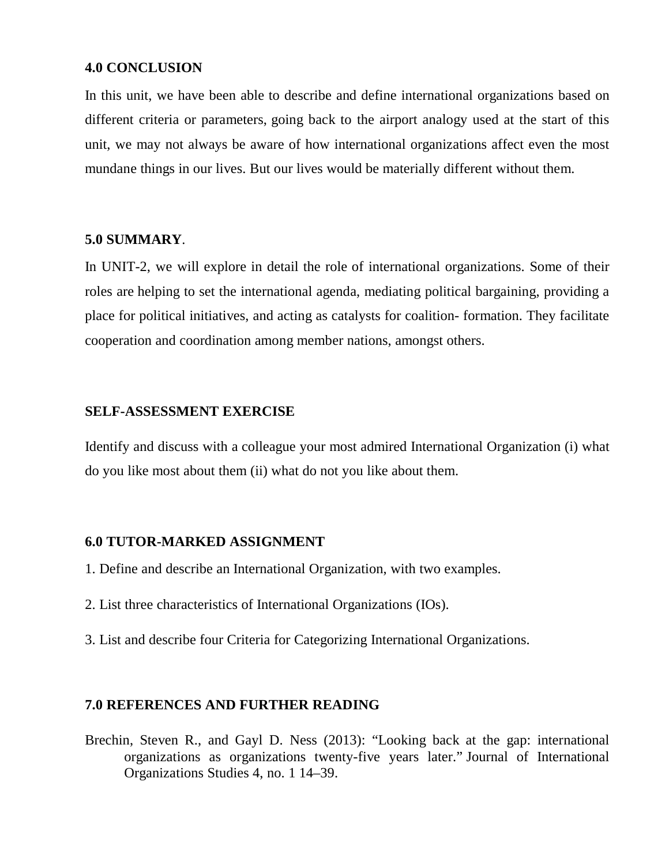#### **4.0 CONCLUSION**

In this unit, we have been able to describe and define international organizations based on different criteria or parameters, going back to the airport analogy used at the start of this unit, we may not always be aware of how international organizations affect even the most mundane things in our lives. But our lives would be materially different without them.

### **5.0 SUMMARY**.

In UNIT-2, we will explore in detail the role of international organizations. Some of their roles are helping to set the international agenda, mediating political bargaining, providing a place for political initiatives, and acting as catalysts for coalition- formation. They facilitate cooperation and coordination among member nations, amongst others.

# **SELF-ASSESSMENT EXERCISE**

Identify and discuss with a colleague your most admired International Organization (i) what do you like most about them (ii) what do not you like about them.

#### **6.0 TUTOR-MARKED ASSIGNMENT**

- 1. Define and describe an International Organization, with two examples.
- 2. List three characteristics of International Organizations (IOs).
- 3. List and describe four Criteria for Categorizing International Organizations.

# **7.0 REFERENCES AND FURTHER READING**

Brechin, Steven R., and Gayl D. Ness (2013): "Looking back at the gap: international organizations as organizations twenty-five years later." Journal of International Organizations Studies 4, no. 1 14–39.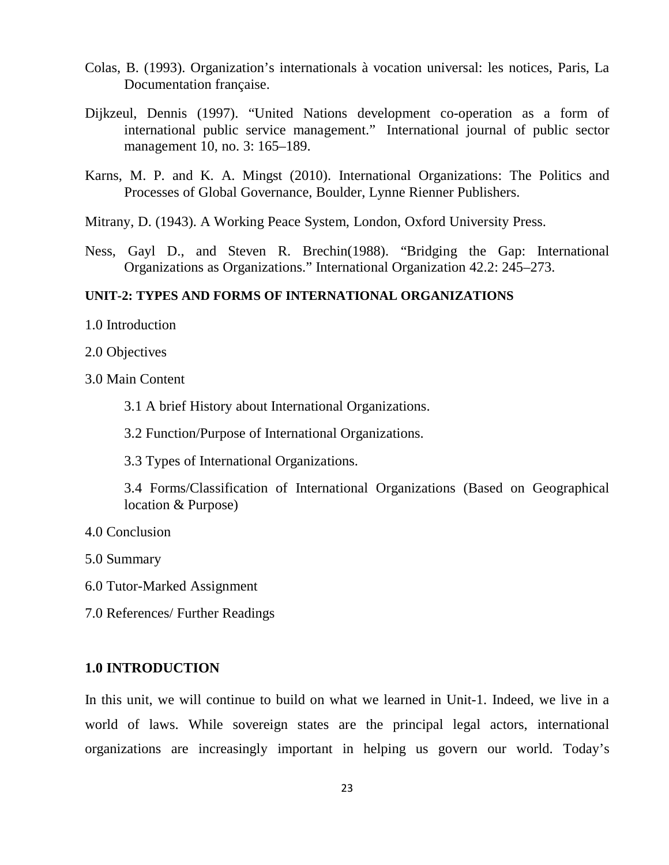- Colas, B. (1993). Organization's internationals à vocation universal: les notices, Paris, La Documentation française.
- Dijkzeul, Dennis (1997). "United Nations development co-operation as a form of international public service management." International journal of public sector management 10, no. 3: 165–189.
- Karns, M. P. and K. A. Mingst (2010). International Organizations: The Politics and Processes of Global Governance, Boulder, Lynne Rienner Publishers.
- Mitrany, D. (1943). A Working Peace System, London, Oxford University Press.
- Ness, Gayl D., and Steven R. Brechin(1988). "Bridging the Gap: International Organizations as Organizations." International Organization 42.2: 245–273.

#### **UNIT-2: TYPES AND FORMS OF INTERNATIONAL ORGANIZATIONS**

- 1.0 Introduction
- 2.0 Objectives
- 3.0 Main Content
	- 3.1 A brief History about International Organizations.
	- 3.2 Function/Purpose of International Organizations.
	- 3.3 Types of International Organizations.
	- 3.4 Forms/Classification of International Organizations (Based on Geographical location & Purpose)
- 4.0 Conclusion
- 5.0 Summary
- 6.0 Tutor-Marked Assignment
- 7.0 References/ Further Readings

#### **1.0 INTRODUCTION**

In this unit, we will continue to build on what we learned in Unit-1. Indeed, we live in a world of laws. While sovereign states are the principal legal actors, international organizations are increasingly important in helping us govern our world. Today's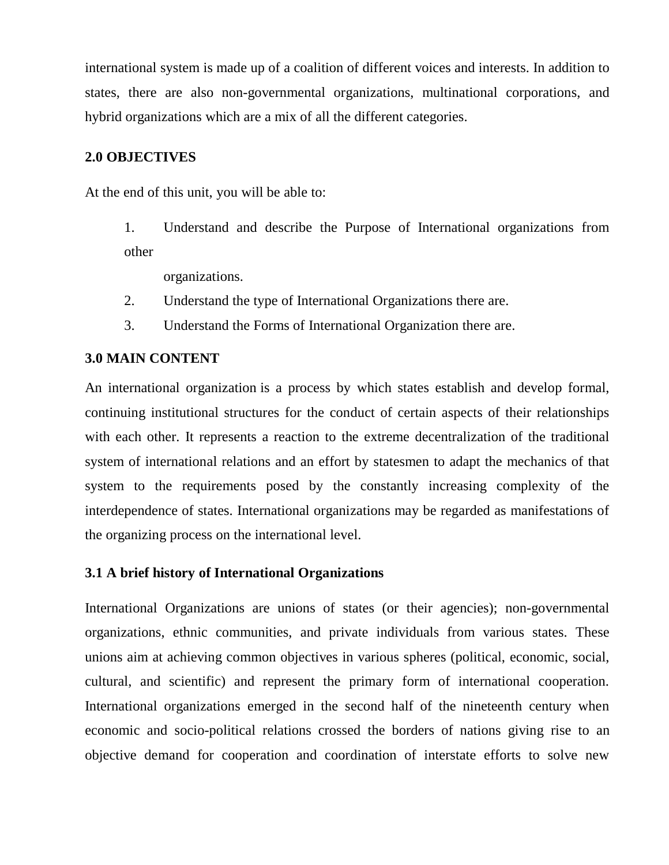international system is made up of a coalition of different voices and interests. In addition to states, there are also non-governmental organizations, multinational corporations, and hybrid organizations which are a mix of all the different categories.

## **2.0 OBJECTIVES**

At the end of this unit, you will be able to:

1. Understand and describe the Purpose of International organizations from other

organizations.

- 2. Understand the type of International Organizations there are.
- 3. Understand the Forms of International Organization there are.

#### **3.0 MAIN CONTENT**

An international organization is a process by which states establish and develop formal, continuing institutional structures for the conduct of certain aspects of their relationships with each other. It represents a reaction to the extreme decentralization of the traditional system of international relations and an effort by statesmen to adapt the mechanics of that system to the requirements posed by the constantly increasing complexity of the interdependence of states. International organizations may be regarded as manifestations of the organizing process on the international level.

#### **3.1 A brief history of International Organizations**

International Organizations are unions of states (or their agencies); non-governmental organizations, ethnic communities, and private individuals from various states. These unions aim at achieving common objectives in various spheres (political, economic, social, cultural, and scientific) and represent the primary form of international cooperation. International organizations emerged in the second half of the nineteenth century when economic and socio-political relations crossed the borders of nations giving rise to an objective demand for cooperation and coordination of interstate efforts to solve new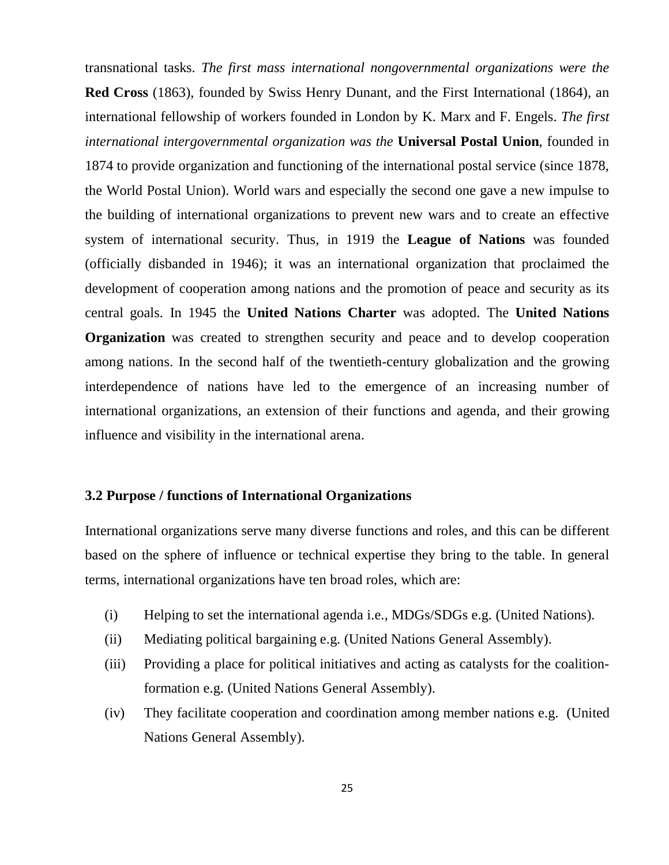transnational tasks. *The first mass international nongovernmental organizations were the* **Red Cross** (1863), founded by Swiss Henry Dunant, and the First International (1864), an international fellowship of workers founded in London by K. Marx and F. Engels. *The first international intergovernmental organization was the* **Universal Postal Union**, founded in 1874 to provide organization and functioning of the international postal service (since 1878, the World Postal Union). World wars and especially the second one gave a new impulse to the building of international organizations to prevent new wars and to create an effective system of international security. Thus, in 1919 the **League of Nations** was founded (officially disbanded in 1946); it was an international organization that proclaimed the development of cooperation among nations and the promotion of peace and security as its central goals. In 1945 the **United Nations Charter** was adopted. The **United Nations Organization** was created to strengthen security and peace and to develop cooperation among nations. In the second half of the twentieth-century globalization and the growing interdependence of nations have led to the emergence of an increasing number of international organizations, an extension of their functions and agenda, and their growing influence and visibility in the international arena.

#### **3.2 Purpose / functions of International Organizations**

International organizations serve many diverse functions and roles, and this can be different based on the sphere of influence or technical expertise they bring to the table. In general terms, international organizations have ten broad roles, which are:

- (i) Helping to set the international agenda i.e., MDGs/SDGs e.g. (United Nations).
- (ii) Mediating political bargaining e.g. (United Nations General Assembly).
- (iii) Providing a place for political initiatives and acting as catalysts for the coalitionformation e.g. (United Nations General Assembly).
- (iv) They facilitate cooperation and coordination among member nations e.g. (United Nations General Assembly).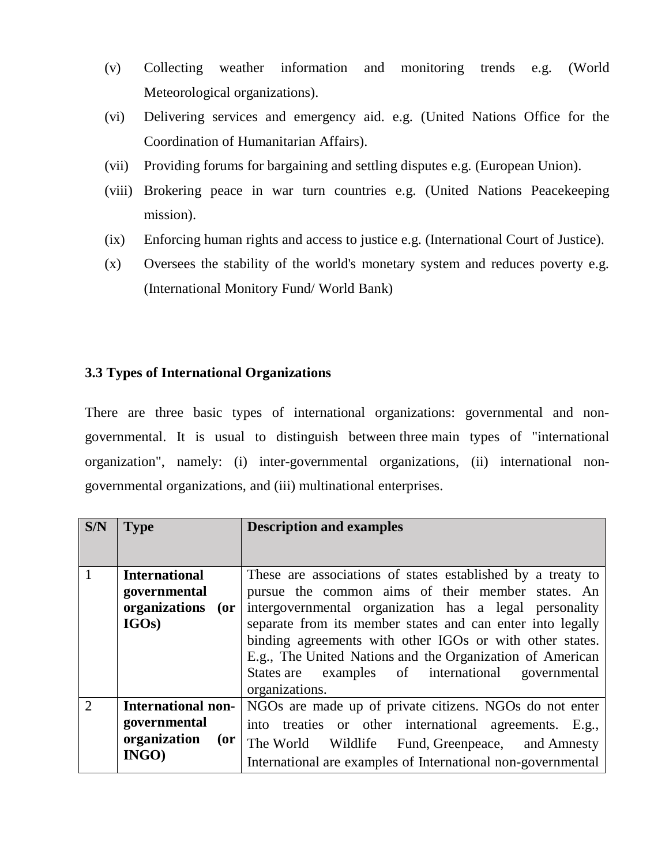- (v) Collecting weather information and monitoring trends e.g. (World Meteorological organizations).
- (vi) Delivering services and emergency aid. e.g. (United Nations Office for the Coordination of Humanitarian Affairs).
- (vii) Providing forums for bargaining and settling disputes e.g. (European Union).
- (viii) Brokering peace in war turn countries e.g. (United Nations Peacekeeping mission).
- (ix) Enforcing human rights and access to justice e.g. (International Court of Justice).
- (x) Oversees the stability of the world's monetary system and reduces poverty e.g. (International Monitory Fund/ World Bank)

# **3.3 Types of International Organizations**

There are three basic types of international organizations: governmental and nongovernmental. It is usual to distinguish between three main types of "international organization", namely: (i) inter-governmental organizations, (ii) international nongovernmental organizations, and (iii) multinational enterprises.

| $\overline{\text{S/N}}$ | <b>Type</b>                 | <b>Description and examples</b>                              |  |
|-------------------------|-----------------------------|--------------------------------------------------------------|--|
|                         |                             |                                                              |  |
| $\overline{1}$          | <b>International</b>        | These are associations of states established by a treaty to  |  |
|                         | governmental                | pursue the common aims of their member states. An            |  |
|                         | organizations<br>$($ or $ $ | intergovernmental organization has a legal personality       |  |
|                         | IGOs)                       | separate from its member states and can enter into legally   |  |
|                         |                             | binding agreements with other IGOs or with other states.     |  |
|                         |                             | E.g., The United Nations and the Organization of American    |  |
|                         |                             | States are examples of international<br>governmental         |  |
|                         |                             | organizations.                                               |  |
| $\overline{2}$          | <b>International non-</b>   | NGOs are made up of private citizens. NGOs do not enter      |  |
|                         | governmental                | into treaties or other international agreements. E.g.,       |  |
|                         | organization<br>$($ or      | The World Wildlife Fund, Greenpeace, and Amnesty             |  |
|                         | $INGO$ )                    | International are examples of International non-governmental |  |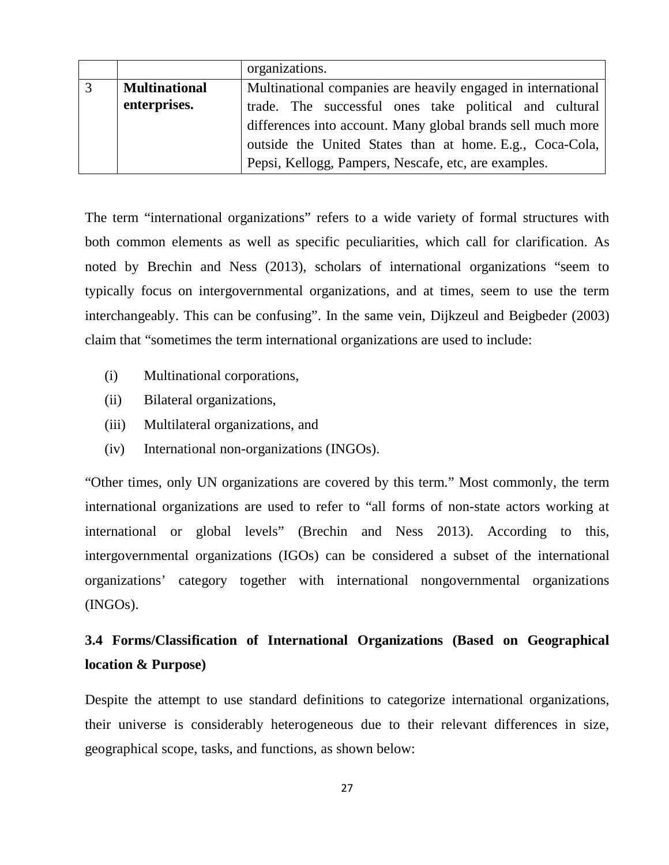|                      | organizations.                                               |  |
|----------------------|--------------------------------------------------------------|--|
| <b>Multinational</b> | Multinational companies are heavily engaged in international |  |
| enterprises.         | trade. The successful ones take political and cultural       |  |
|                      | differences into account. Many global brands sell much more  |  |
|                      | outside the United States than at home E.g., Coca-Cola,      |  |
|                      | Pepsi, Kellogg, Pampers, Nescafe, etc, are examples.         |  |

The term "international organizations" refers to a wide variety of formal structures with both common elements as well as specific peculiarities, which call for clarification. As noted by Brechin and Ness (2013), scholars of international organizations "seem to typically focus on intergovernmental organizations, and at times, seem to use the term interchangeably. This can be confusing". In the same vein, Dijkzeul and Beigbeder (2003) claim that "sometimes the term international organizations are used to include:

- (i) Multinational corporations,
- (ii) Bilateral organizations,
- (iii) Multilateral organizations, and
- (iv) International non-organizations (INGOs).

"Other times, only UN organizations are covered by this term." Most commonly, the term international organizations are used to refer to "all forms of non-state actors working at international or global levels" (Brechin and Ness 2013). According to this, intergovernmental organizations (IGOs) can be considered a subset of the international organizations' category together with international nongovernmental organizations (INGOs).

# **3.4 Forms/Classification of International Organizations (Based on Geographical location & Purpose)**

Despite the attempt to use standard definitions to categorize international organizations, their universe is considerably heterogeneous due to their relevant differences in size, geographical scope, tasks, and functions, as shown below: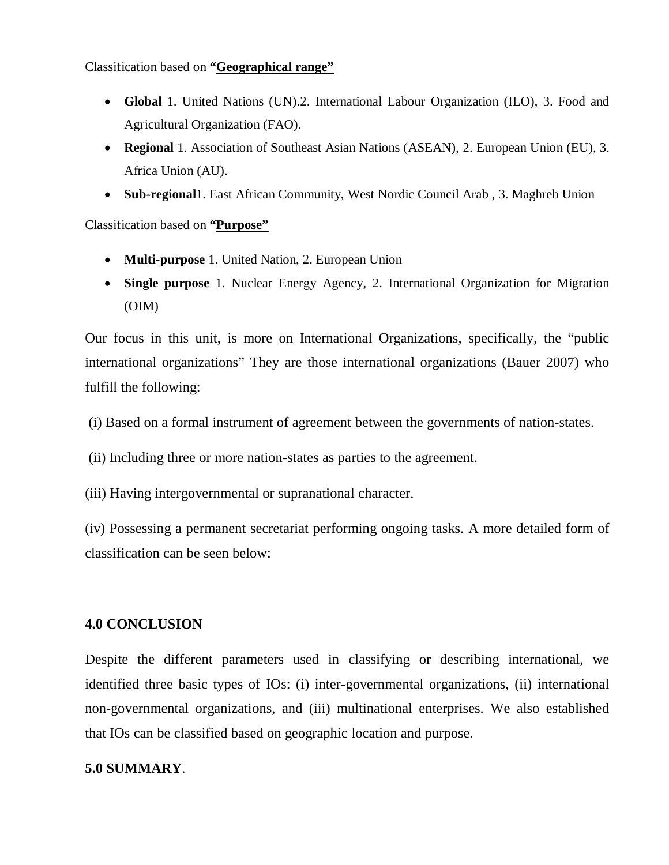Classification based on **"Geographical range"** 

- **Global** 1. United Nations (UN).2. International Labour Organization (ILO), 3. Food and Agricultural Organization (FAO).
- **Regional** 1. Association of Southeast Asian Nations (ASEAN), 2. European Union (EU), 3. Africa Union (AU).
- **Sub-regional**1. East African Community, West Nordic Council Arab , 3. Maghreb Union

### Classification based on **"Purpose"**

- **Multi-purpose** 1. United Nation, 2. European Union
- **Single purpose** 1. Nuclear Energy Agency, 2. International Organization for Migration (OIM)

Our focus in this unit, is more on International Organizations, specifically, the "public international organizations" They are those international organizations (Bauer 2007) who fulfill the following:

- (i) Based on a formal instrument of agreement between the governments of nation-states.
- (ii) Including three or more nation-states as parties to the agreement.
- (iii) Having intergovernmental or supranational character.

(iv) Possessing a permanent secretariat performing ongoing tasks. A more detailed form of classification can be seen below:

#### **4.0 CONCLUSION**

Despite the different parameters used in classifying or describing international, we identified three basic types of IOs: (i) inter-governmental organizations, (ii) international non-governmental organizations, and (iii) multinational enterprises. We also established that IOs can be classified based on geographic location and purpose.

#### **5.0 SUMMARY**.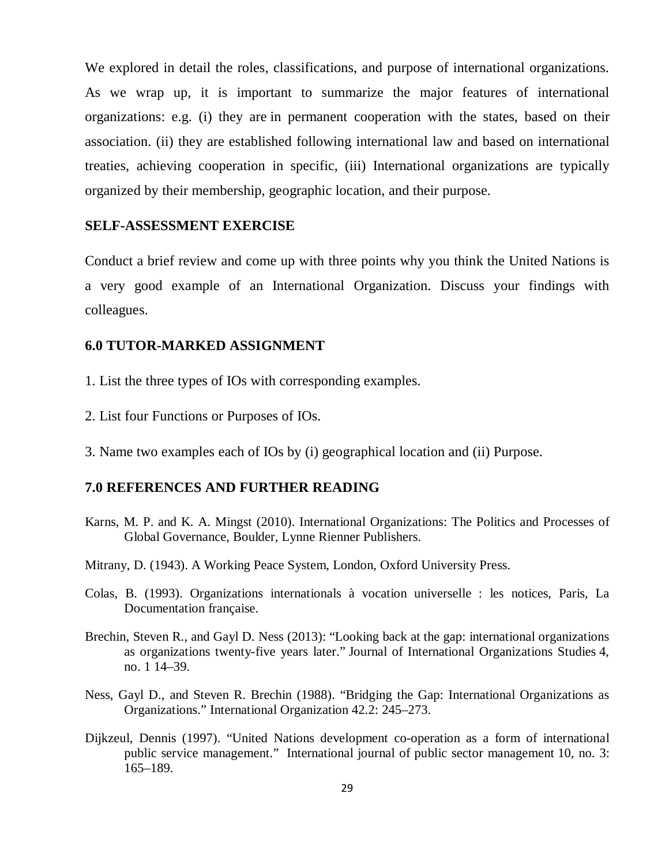We explored in detail the roles, classifications, and purpose of international organizations. As we wrap up, it is important to summarize the major features of international organizations: e.g. (i) they are in permanent cooperation with the states, based on their association. (ii) they are established following international law and based on international treaties, achieving cooperation in specific, (iii) International organizations are typically organized by their membership, geographic location, and their purpose.

#### **SELF-ASSESSMENT EXERCISE**

Conduct a brief review and come up with three points why you think the United Nations is a very good example of an International Organization. Discuss your findings with colleagues.

#### **6.0 TUTOR-MARKED ASSIGNMENT**

- 1. List the three types of IOs with corresponding examples.
- 2. List four Functions or Purposes of IOs.
- 3. Name two examples each of IOs by (i) geographical location and (ii) Purpose.

#### **7.0 REFERENCES AND FURTHER READING**

- Karns, M. P. and K. A. Mingst (2010). International Organizations: The Politics and Processes of Global Governance, Boulder, Lynne Rienner Publishers.
- Mitrany, D. (1943). A Working Peace System, London, Oxford University Press.
- Colas, B. (1993). Organizations internationals à vocation universelle : les notices, Paris, La Documentation française.
- Brechin, Steven R., and Gayl D. Ness (2013): "Looking back at the gap: international organizations as organizations twenty-five years later." Journal of International Organizations Studies 4, no. 1 14–39.
- Ness, Gayl D., and Steven R. Brechin (1988). "Bridging the Gap: International Organizations as Organizations." International Organization 42.2: 245–273.
- Dijkzeul, Dennis (1997). "United Nations development co-operation as a form of international public service management." International journal of public sector management 10, no. 3: 165–189.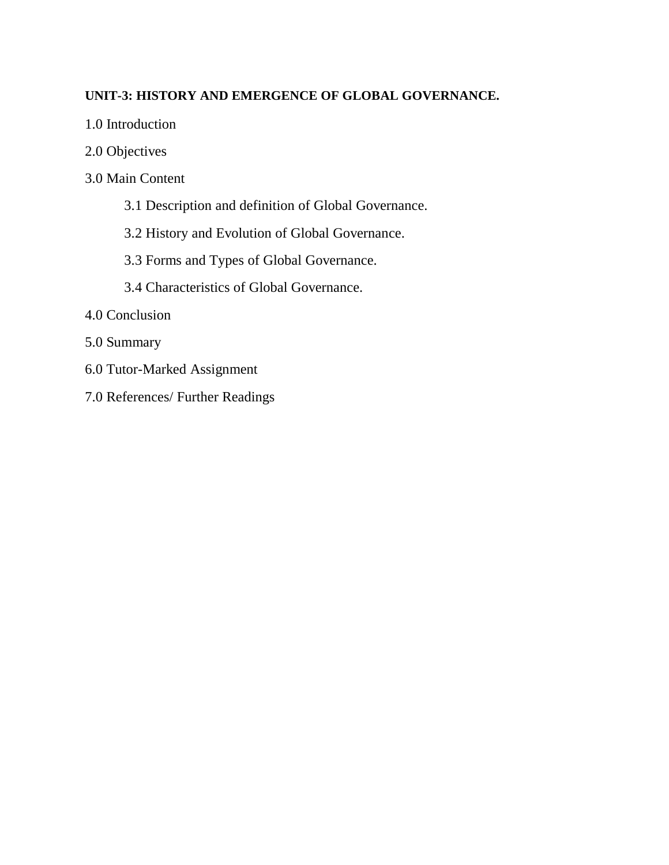# **UNIT-3: HISTORY AND EMERGENCE OF GLOBAL GOVERNANCE.**

- 1.0 Introduction
- 2.0 Objectives
- 3.0 Main Content
	- 3.1 Description and definition of Global Governance.
	- 3.2 History and Evolution of Global Governance.
	- 3.3 Forms and Types of Global Governance.
	- 3.4 Characteristics of Global Governance.
- 4.0 Conclusion
- 5.0 Summary
- 6.0 Tutor-Marked Assignment
- 7.0 References/ Further Readings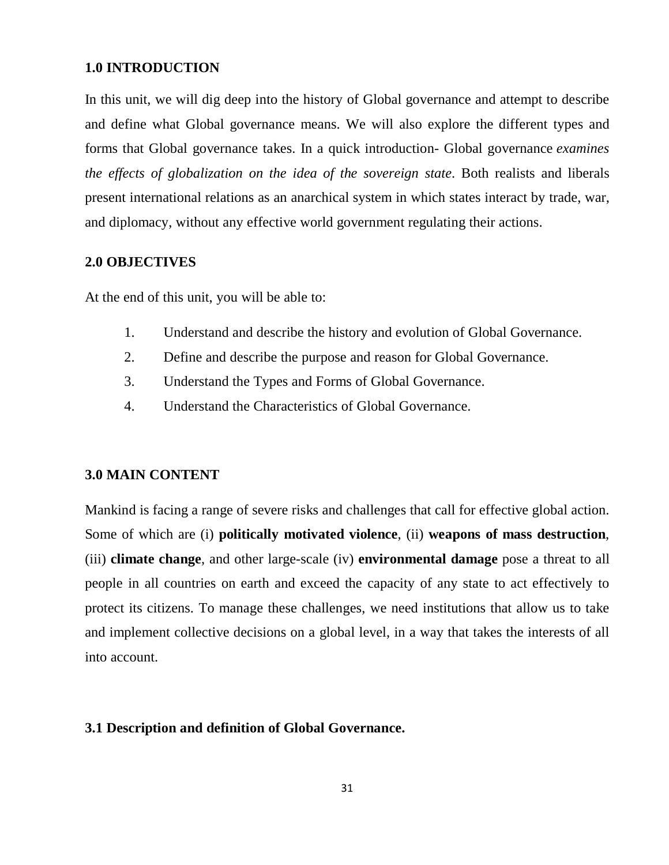#### **1.0 INTRODUCTION**

In this unit, we will dig deep into the history of Global governance and attempt to describe and define what Global governance means. We will also explore the different types and forms that Global governance takes. In a quick introduction- Global governance *examines the effects of globalization on the idea of the sovereign state*. Both realists and liberals present international relations as an anarchical system in which states interact by trade, war, and diplomacy, without any effective world government regulating their actions.

#### **2.0 OBJECTIVES**

At the end of this unit, you will be able to:

- 1. Understand and describe the history and evolution of Global Governance.
- 2. Define and describe the purpose and reason for Global Governance.
- 3. Understand the Types and Forms of Global Governance.
- 4. Understand the Characteristics of Global Governance.

#### **3.0 MAIN CONTENT**

Mankind is facing a range of severe risks and challenges that call for effective global action. Some of which are (i) **politically motivated violence**, (ii) **weapons of mass destruction**, (iii) **climate change**, and other large-scale (iv) **environmental damage** pose a threat to all people in all countries on earth and exceed the capacity of any state to act effectively to protect its citizens. To manage these challenges, we need institutions that allow us to take and implement collective decisions on a global level, in a way that takes the interests of all into account.

#### **3.1 Description and definition of Global Governance.**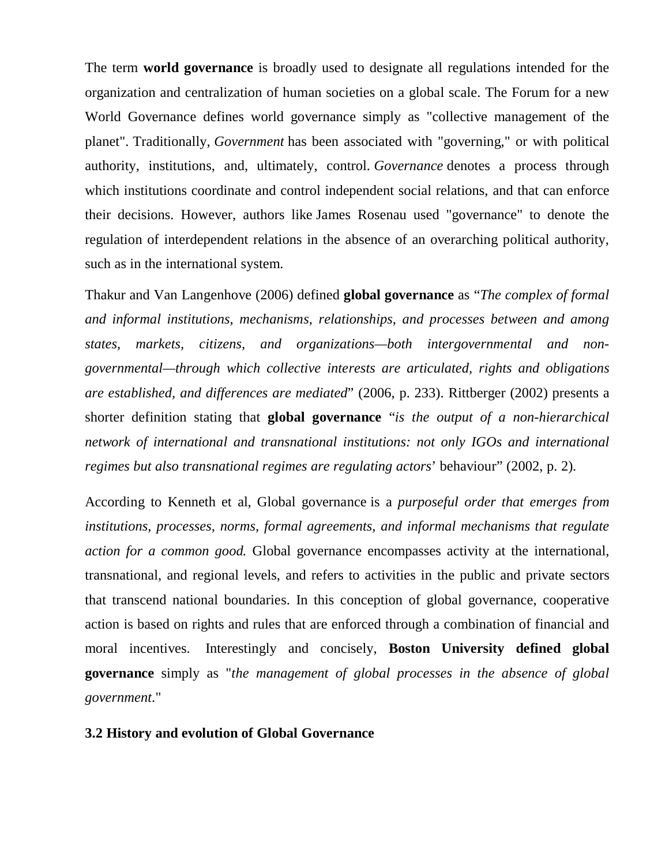The term **world governance** is broadly used to designate all regulations intended for the organization and centralization of human societies on a global scale. The Forum for a new World Governance defines world governance simply as "collective management of the planet". Traditionally, *Government* has been associated with "governing," or with political authority, institutions, and, ultimately, control. *Governance* denotes a process through which institutions coordinate and control independent social relations, and that can enforce their decisions. However, authors like James Rosenau used "governance" to denote the regulation of interdependent relations in the absence of an overarching political authority, such as in the international system.

Thakur and Van Langenhove (2006) defined **global governance** as "*The complex of formal and informal institutions, mechanisms, relationships, and processes between and among states, markets, citizens, and organizations—both intergovernmental and nongovernmental—through which collective interests are articulated, rights and obligations are established, and differences are mediated*" (2006, p. 233). Rittberger (2002) presents a shorter definition stating that **global governance** "*is the output of a non-hierarchical network of international and transnational institutions: not only IGOs and international regimes but also transnational regimes are regulating actors*' behaviour" (2002, p. 2).

According to Kenneth et al, Global governance is a *purposeful order that emerges from institutions, processes, norms, formal agreements, and informal mechanisms that regulate action for a common good.* Global governance encompasses activity at the international, transnational, and regional levels, and refers to activities in the public and private sectors that transcend national boundaries. In this conception of global governance, cooperative action is based on rights and rules that are enforced through a combination of financial and moral incentives. Interestingly and concisely, **Boston University defined global governance** simply as "*the management of global processes in the absence of global government*."

#### **3.2 History and evolution of Global Governance**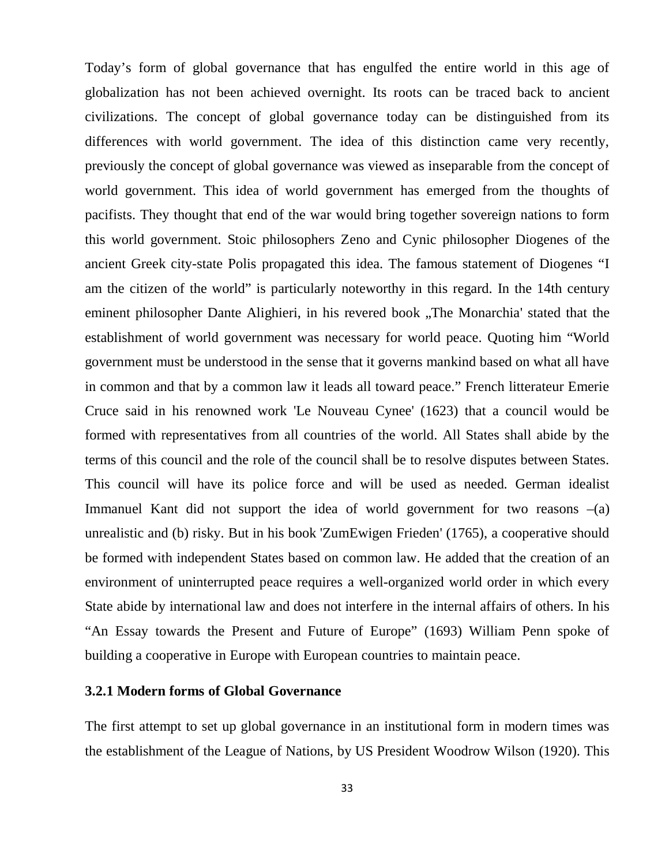Today's form of global governance that has engulfed the entire world in this age of globalization has not been achieved overnight. Its roots can be traced back to ancient civilizations. The concept of global governance today can be distinguished from its differences with world government. The idea of this distinction came very recently, previously the concept of global governance was viewed as inseparable from the concept of world government. This idea of world government has emerged from the thoughts of pacifists. They thought that end of the war would bring together sovereign nations to form this world government. Stoic philosophers Zeno and Cynic philosopher Diogenes of the ancient Greek city-state Polis propagated this idea. The famous statement of Diogenes "I am the citizen of the world" is particularly noteworthy in this regard. In the 14th century eminent philosopher Dante Alighieri, in his revered book "The Monarchia' stated that the establishment of world government was necessary for world peace. Quoting him "World government must be understood in the sense that it governs mankind based on what all have in common and that by a common law it leads all toward peace." French litterateur Emerie Cruce said in his renowned work 'Le Nouveau Cynee' (1623) that a council would be formed with representatives from all countries of the world. All States shall abide by the terms of this council and the role of the council shall be to resolve disputes between States. This council will have its police force and will be used as needed. German idealist Immanuel Kant did not support the idea of world government for two reasons  $-(a)$ unrealistic and (b) risky. But in his book 'ZumEwigen Frieden' (1765), a cooperative should be formed with independent States based on common law. He added that the creation of an environment of uninterrupted peace requires a well-organized world order in which every State abide by international law and does not interfere in the internal affairs of others. In his "An Essay towards the Present and Future of Europe" (1693) William Penn spoke of building a cooperative in Europe with European countries to maintain peace.

#### **3.2.1 Modern forms of Global Governance**

The first attempt to set up global governance in an institutional form in modern times was the establishment of the League of Nations, by US President Woodrow Wilson (1920). This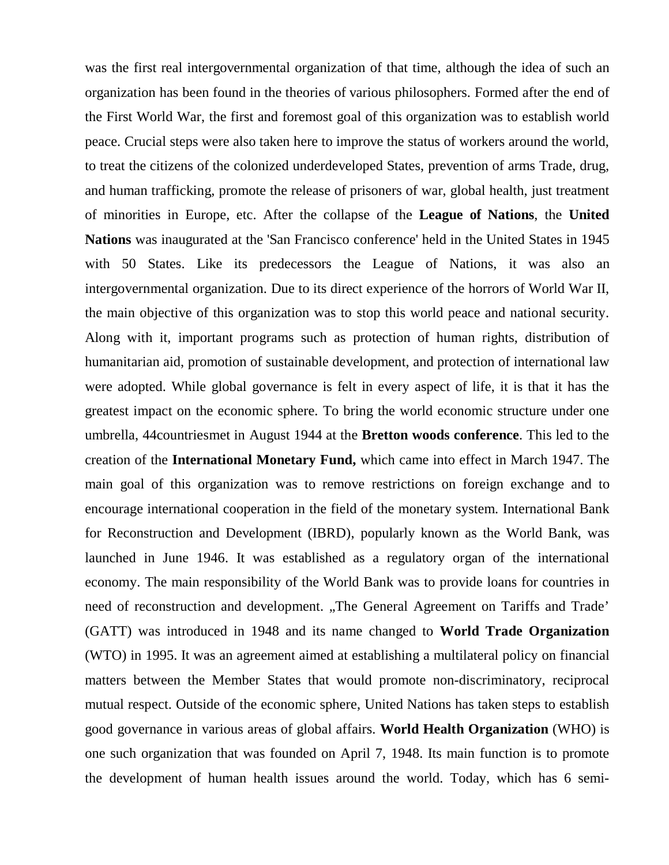was the first real intergovernmental organization of that time, although the idea of such an organization has been found in the theories of various philosophers. Formed after the end of the First World War, the first and foremost goal of this organization was to establish world peace. Crucial steps were also taken here to improve the status of workers around the world, to treat the citizens of the colonized underdeveloped States, prevention of arms Trade, drug, and human trafficking, promote the release of prisoners of war, global health, just treatment of minorities in Europe, etc. After the collapse of the **League of Nations**, the **United Nations** was inaugurated at the 'San Francisco conference' held in the United States in 1945 with 50 States. Like its predecessors the League of Nations, it was also an intergovernmental organization. Due to its direct experience of the horrors of World War II, the main objective of this organization was to stop this world peace and national security. Along with it, important programs such as protection of human rights, distribution of humanitarian aid, promotion of sustainable development, and protection of international law were adopted. While global governance is felt in every aspect of life, it is that it has the greatest impact on the economic sphere. To bring the world economic structure under one umbrella, 44countriesmet in August 1944 at the **Bretton woods conference**. This led to the creation of the **International Monetary Fund,** which came into effect in March 1947. The main goal of this organization was to remove restrictions on foreign exchange and to encourage international cooperation in the field of the monetary system. International Bank for Reconstruction and Development (IBRD), popularly known as the World Bank, was launched in June 1946. It was established as a regulatory organ of the international economy. The main responsibility of the World Bank was to provide loans for countries in need of reconstruction and development. "The General Agreement on Tariffs and Trade' (GATT) was introduced in 1948 and its name changed to **World Trade Organization** (WTO) in 1995. It was an agreement aimed at establishing a multilateral policy on financial matters between the Member States that would promote non-discriminatory, reciprocal mutual respect. Outside of the economic sphere, United Nations has taken steps to establish good governance in various areas of global affairs. **World Health Organization** (WHO) is one such organization that was founded on April 7, 1948. Its main function is to promote the development of human health issues around the world. Today, which has 6 semi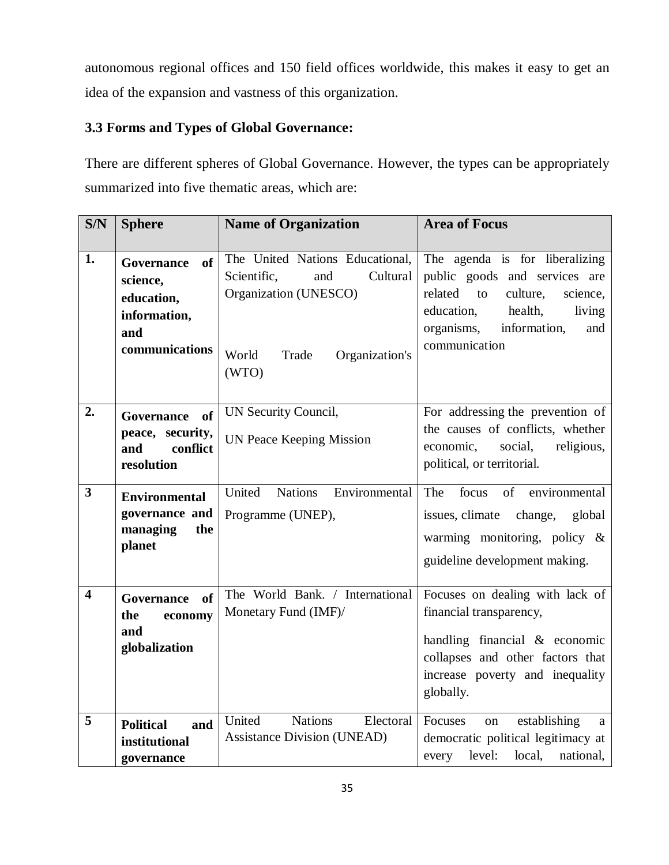autonomous regional offices and 150 field offices worldwide, this makes it easy to get an idea of the expansion and vastness of this organization.

# **3.3 Forms and Types of Global Governance:**

There are different spheres of Global Governance. However, the types can be appropriately summarized into five thematic areas, which are:

| S/N                     | <b>Sphere</b>                                                                              | <b>Name of Organization</b>                                                                                                             | <b>Area of Focus</b>                                                                                                                                                                              |
|-------------------------|--------------------------------------------------------------------------------------------|-----------------------------------------------------------------------------------------------------------------------------------------|---------------------------------------------------------------------------------------------------------------------------------------------------------------------------------------------------|
| 1.                      | <b>of</b><br>Governance<br>science,<br>education,<br>information,<br>and<br>communications | The United Nations Educational,<br>Scientific,<br>Cultural<br>and<br>Organization (UNESCO)<br>World<br>Organization's<br>Trade<br>(WTO) | The agenda is for liberalizing<br>public goods and services are<br>related<br>culture,<br>to<br>science,<br>education,<br>health,<br>living<br>organisms,<br>information,<br>and<br>communication |
| 2.                      | <b>Governance</b><br>of<br>peace, security,<br>and<br>conflict<br>resolution               | UN Security Council,<br><b>UN Peace Keeping Mission</b>                                                                                 | For addressing the prevention of<br>the causes of conflicts, whether<br>economic,<br>social,<br>religious,<br>political, or territorial.                                                          |
| 3                       | <b>Environmental</b><br>governance and<br>managing<br>the<br>planet                        | United<br><b>Nations</b><br>Environmental<br>Programme (UNEP),                                                                          | focus<br>of<br>The<br>environmental<br>issues, climate change,<br>global<br>warming monitoring, policy $\&$<br>guideline development making.                                                      |
| $\overline{\mathbf{4}}$ | of<br>Governance<br>the<br>economy<br>and<br>globalization                                 | The World Bank. / International<br>Monetary Fund (IMF)/                                                                                 | Focuses on dealing with lack of<br>financial transparency,<br>handling financial & economic<br>collapses and other factors that<br>increase poverty and inequality<br>globally.                   |
| 5                       | <b>Political</b><br>and<br>institutional<br>governance                                     | United<br><b>Nations</b><br>Electoral<br><b>Assistance Division (UNEAD)</b>                                                             | establishing<br>Focuses<br>on<br>a<br>democratic political legitimacy at<br>level:<br>local,<br>national,<br>every                                                                                |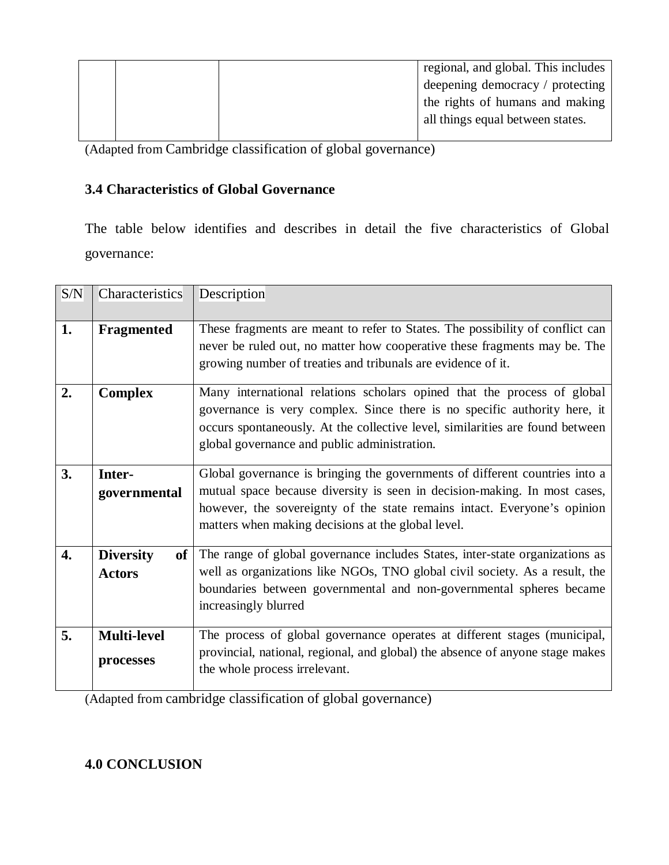|  | regional, and global. This includes |
|--|-------------------------------------|
|  | deepening democracy / protecting    |
|  | the rights of humans and making     |
|  | all things equal between states.    |
|  |                                     |

(Adapted from Cambridge classification of global governance)

# **3.4 Characteristics of Global Governance**

The table below identifies and describes in detail the five characteristics of Global governance:

| S/N | Characteristics                   | Description                                                                                                                                                                                                                                                                                |  |
|-----|-----------------------------------|--------------------------------------------------------------------------------------------------------------------------------------------------------------------------------------------------------------------------------------------------------------------------------------------|--|
| 1.  | <b>Fragmented</b>                 | These fragments are meant to refer to States. The possibility of conflict can<br>never be ruled out, no matter how cooperative these fragments may be. The<br>growing number of treaties and tribunals are evidence of it.                                                                 |  |
| 2.  | <b>Complex</b>                    | Many international relations scholars opined that the process of global<br>governance is very complex. Since there is no specific authority here, it<br>occurs spontaneously. At the collective level, similarities are found between<br>global governance and public administration.      |  |
| 3.  | Inter-<br>governmental            | Global governance is bringing the governments of different countries into a<br>mutual space because diversity is seen in decision-making. In most cases,<br>however, the sovereignty of the state remains intact. Everyone's opinion<br>matters when making decisions at the global level. |  |
| 4.  | <b>Diversity</b><br><b>Actors</b> | of The range of global governance includes States, inter-state organizations as<br>well as organizations like NGOs, TNO global civil society. As a result, the<br>boundaries between governmental and non-governmental spheres became<br>increasingly blurred                              |  |
| 5.  | <b>Multi-level</b><br>processes   | The process of global governance operates at different stages (municipal,<br>provincial, national, regional, and global) the absence of anyone stage makes<br>the whole process irrelevant.                                                                                                |  |

(Adapted from cambridge classification of global governance)

# **4.0 CONCLUSION**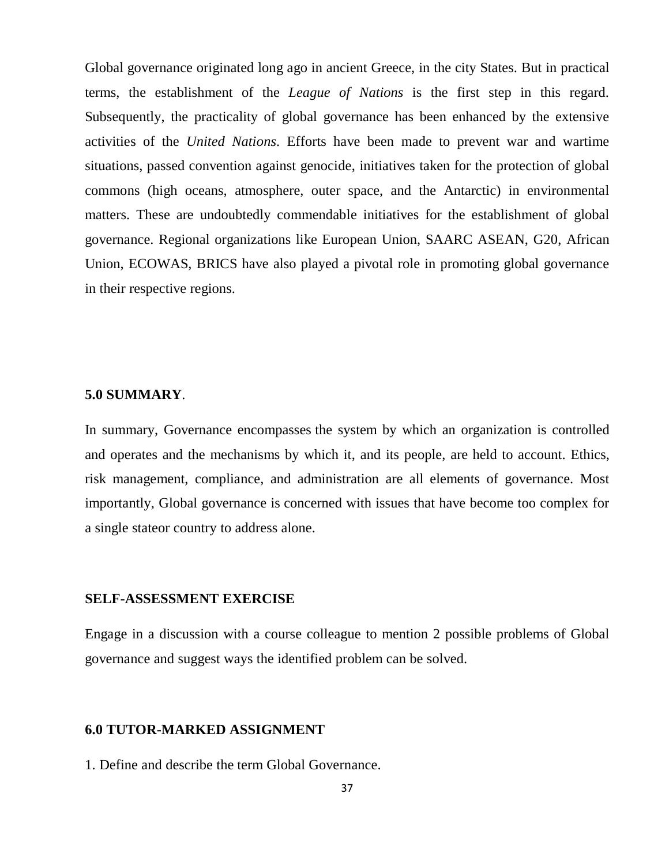Global governance originated long ago in ancient Greece, in the city States. But in practical terms, the establishment of the *League of Nations* is the first step in this regard. Subsequently, the practicality of global governance has been enhanced by the extensive activities of the *United Nations*. Efforts have been made to prevent war and wartime situations, passed convention against genocide, initiatives taken for the protection of global commons (high oceans, atmosphere, outer space, and the Antarctic) in environmental matters. These are undoubtedly commendable initiatives for the establishment of global governance. Regional organizations like European Union, SAARC ASEAN, G20, African Union, ECOWAS, BRICS have also played a pivotal role in promoting global governance in their respective regions.

#### **5.0 SUMMARY**.

In summary, Governance encompasses the system by which an organization is controlled and operates and the mechanisms by which it, and its people, are held to account. Ethics, risk management, compliance, and administration are all elements of governance. Most importantly, Global governance is concerned with issues that have become too complex for a single stateor country to address alone.

#### **SELF-ASSESSMENT EXERCISE**

Engage in a discussion with a course colleague to mention 2 possible problems of Global governance and suggest ways the identified problem can be solved.

## **6.0 TUTOR-MARKED ASSIGNMENT**

1. Define and describe the term Global Governance.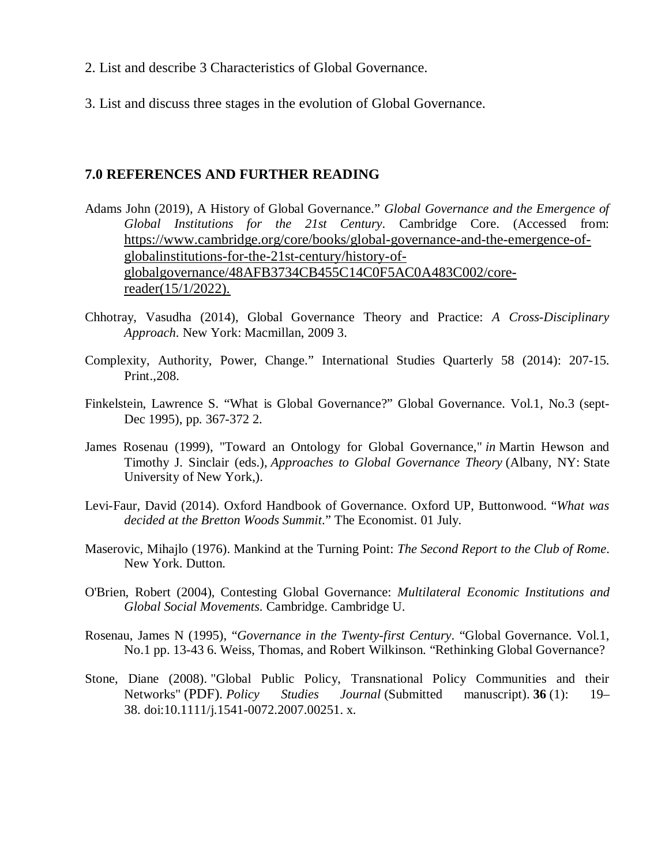- 2. List and describe 3 Characteristics of Global Governance.
- 3. List and discuss three stages in the evolution of Global Governance.

### **7.0 REFERENCES AND FURTHER READING**

- Adams John (2019), A History of Global Governance." *Global Governance and the Emergence of Global Institutions for the 21st Century*. Cambridge Core. (Accessed from: https://www.cambridge.org/core/books/global-governance-and-the-emergence-ofglobalinstitutions-for-the-21st-century/history-ofglobalgovernance/48AFB3734CB455C14C0F5AC0A483C002/corereader(15/1/2022).
- Chhotray, Vasudha (2014), Global Governance Theory and Practice: *A Cross-Disciplinary Approach*. New York: Macmillan, 2009 3.
- Complexity, Authority, Power, Change." International Studies Quarterly 58 (2014): 207-15. Print.,208.
- Finkelstein, Lawrence S. "What is Global Governance?" Global Governance. Vol.1, No.3 (sept-Dec 1995), pp. 367-372 2.
- James Rosenau (1999), "Toward an Ontology for Global Governance," *in* Martin Hewson and Timothy J. Sinclair (eds.), *Approaches to Global Governance Theory* (Albany, NY: State University of New York,).
- Levi-Faur, David (2014). Oxford Handbook of Governance. Oxford UP, Buttonwood. "*What was decided at the Bretton Woods Summit*." The Economist. 01 July.
- Maserovic, Mihajlo (1976). Mankind at the Turning Point: *The Second Report to the Club of Rome*. New York. Dutton.
- O'Brien, Robert (2004), Contesting Global Governance: *Multilateral Economic Institutions and Global Social Movements*. Cambridge. Cambridge U.
- Rosenau, James N (1995), "*Governance in the Twenty-first Century*. "Global Governance. Vol.1, No.1 pp. 13-43 6. Weiss, Thomas, and Robert Wilkinson. "Rethinking Global Governance?
- Stone, Diane (2008). "Global Public Policy, Transnational Policy Communities and their Networks" (PDF). *Policy Studies Journal* (Submitted manuscript). **36** (1): 19– 38. doi:10.1111/j.1541-0072.2007.00251. x.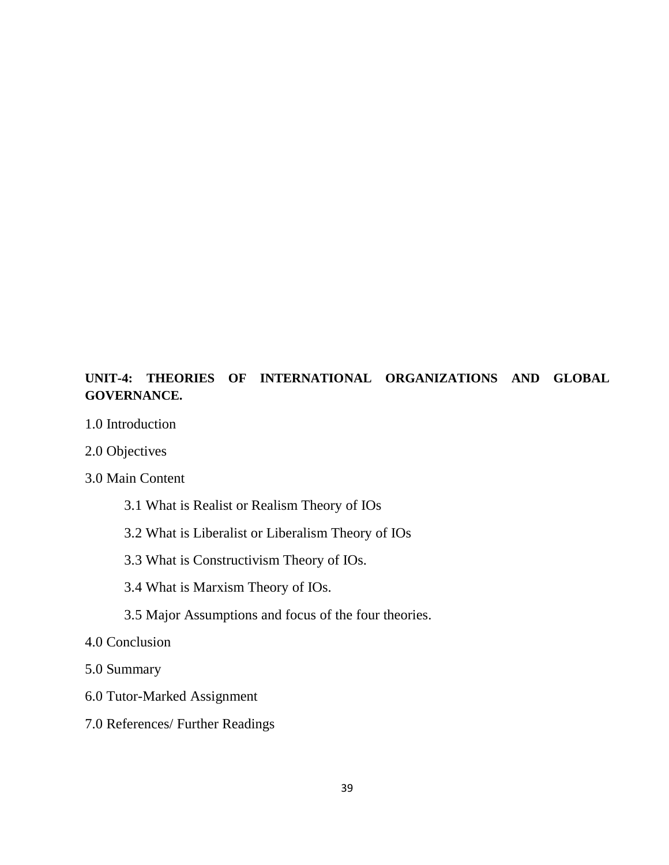# **UNIT-4: THEORIES OF INTERNATIONAL ORGANIZATIONS AND GLOBAL GOVERNANCE.**

- 1.0 Introduction
- 2.0 Objectives
- 3.0 Main Content
	- 3.1 What is Realist or Realism Theory of IOs
	- 3.2 What is Liberalist or Liberalism Theory of IOs
	- 3.3 What is Constructivism Theory of IOs.
	- 3.4 What is Marxism Theory of IOs.
	- 3.5 Major Assumptions and focus of the four theories.
- 4.0 Conclusion
- 5.0 Summary
- 6.0 Tutor-Marked Assignment
- 7.0 References/ Further Readings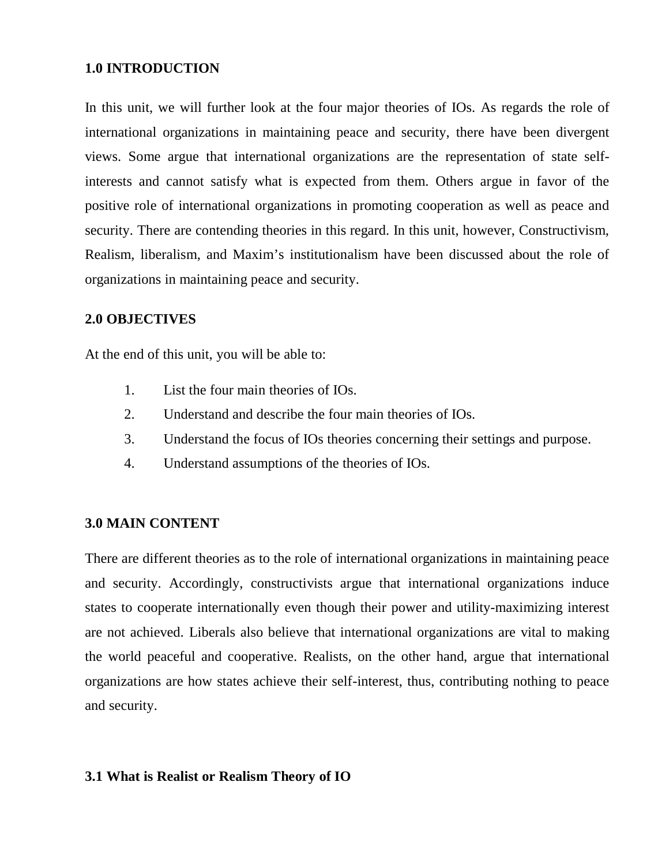## **1.0 INTRODUCTION**

In this unit, we will further look at the four major theories of IOs. As regards the role of international organizations in maintaining peace and security, there have been divergent views. Some argue that international organizations are the representation of state selfinterests and cannot satisfy what is expected from them. Others argue in favor of the positive role of international organizations in promoting cooperation as well as peace and security. There are contending theories in this regard. In this unit, however, Constructivism, Realism, liberalism, and Maxim's institutionalism have been discussed about the role of organizations in maintaining peace and security.

## **2.0 OBJECTIVES**

At the end of this unit, you will be able to:

- 1. List the four main theories of IOs.
- 2. Understand and describe the four main theories of IOs.
- 3. Understand the focus of IOs theories concerning their settings and purpose.
- 4. Understand assumptions of the theories of IOs.

## **3.0 MAIN CONTENT**

There are different theories as to the role of international organizations in maintaining peace and security. Accordingly, constructivists argue that international organizations induce states to cooperate internationally even though their power and utility-maximizing interest are not achieved. Liberals also believe that international organizations are vital to making the world peaceful and cooperative. Realists, on the other hand, argue that international organizations are how states achieve their self-interest, thus, contributing nothing to peace and security.

## **3.1 What is Realist or Realism Theory of IO**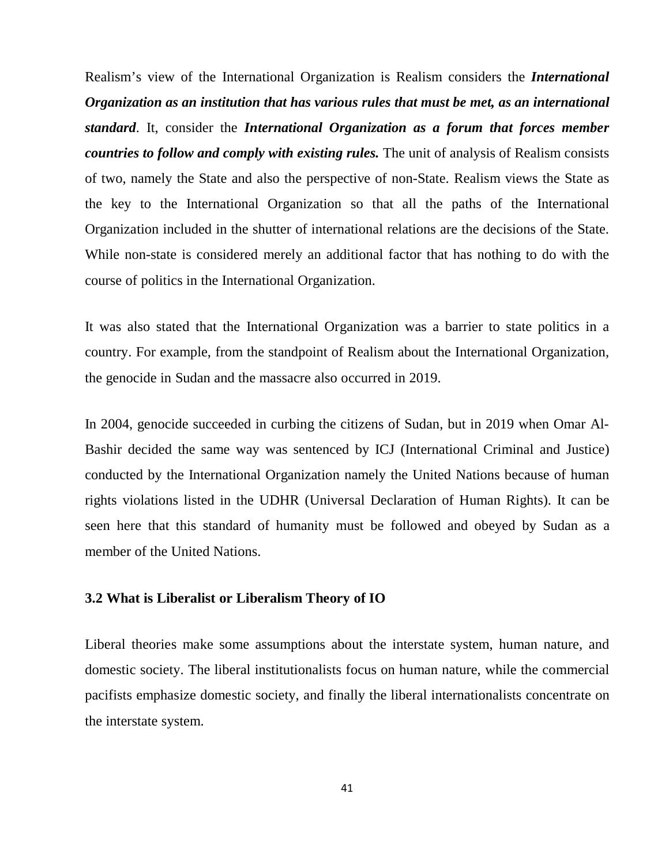Realism's view of the International Organization is Realism considers the *International Organization as an institution that has various rules that must be met, as an international standard*. It, consider the *International Organization as a forum that forces member countries to follow and comply with existing rules.* The unit of analysis of Realism consists of two, namely the State and also the perspective of non-State. Realism views the State as the key to the International Organization so that all the paths of the International Organization included in the shutter of international relations are the decisions of the State. While non-state is considered merely an additional factor that has nothing to do with the course of politics in the International Organization.

It was also stated that the International Organization was a barrier to state politics in a country. For example, from the standpoint of Realism about the International Organization, the genocide in Sudan and the massacre also occurred in 2019.

In 2004, genocide succeeded in curbing the citizens of Sudan, but in 2019 when Omar Al-Bashir decided the same way was sentenced by ICJ (International Criminal and Justice) conducted by the International Organization namely the United Nations because of human rights violations listed in the UDHR (Universal Declaration of Human Rights). It can be seen here that this standard of humanity must be followed and obeyed by Sudan as a member of the United Nations.

#### **3.2 What is Liberalist or Liberalism Theory of IO**

Liberal theories make some assumptions about the interstate system, human nature, and domestic society. The liberal institutionalists focus on human nature, while the commercial pacifists emphasize domestic society, and finally the liberal internationalists concentrate on the interstate system.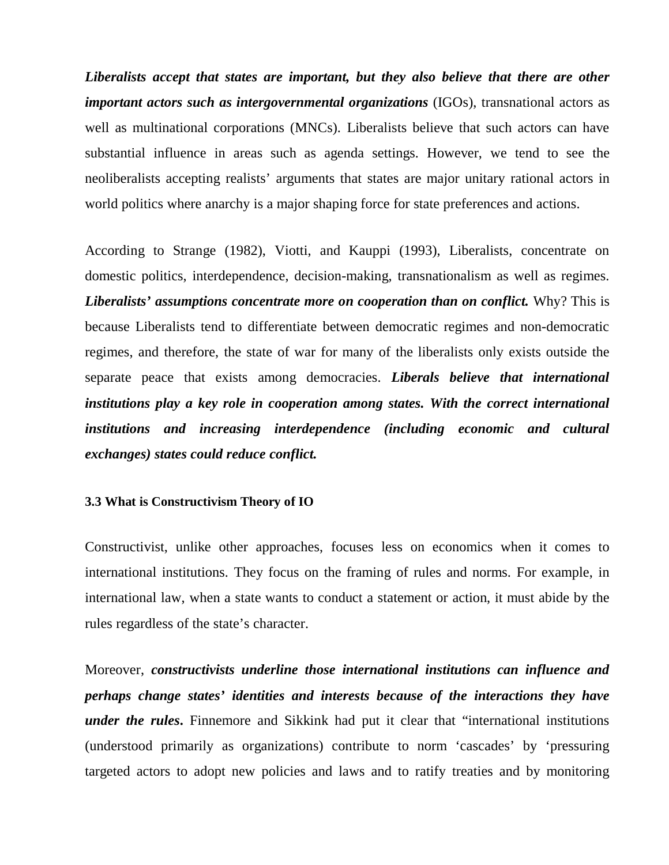*Liberalists accept that states are important, but they also believe that there are other important actors such as intergovernmental organizations* (IGOs), transnational actors as well as multinational corporations (MNCs). Liberalists believe that such actors can have substantial influence in areas such as agenda settings. However, we tend to see the neoliberalists accepting realists' arguments that states are major unitary rational actors in world politics where anarchy is a major shaping force for state preferences and actions.

According to Strange (1982), Viotti, and Kauppi (1993), Liberalists, concentrate on domestic politics, interdependence, decision-making, transnationalism as well as regimes. *Liberalists' assumptions concentrate more on cooperation than on conflict.* Why? This is because Liberalists tend to differentiate between democratic regimes and non-democratic regimes, and therefore, the state of war for many of the liberalists only exists outside the separate peace that exists among democracies. *Liberals believe that international institutions play a key role in cooperation among states. With the correct international institutions and increasing interdependence (including economic and cultural exchanges) states could reduce conflict.*

#### **3.3 What is Constructivism Theory of IO**

Constructivist, unlike other approaches, focuses less on economics when it comes to international institutions. They focus on the framing of rules and norms. For example, in international law, when a state wants to conduct a statement or action, it must abide by the rules regardless of the state's character.

Moreover, *constructivists underline those international institutions can influence and perhaps change states' identities and interests because of the interactions they have under the rules***.** Finnemore and Sikkink had put it clear that "international institutions (understood primarily as organizations) contribute to norm 'cascades' by 'pressuring targeted actors to adopt new policies and laws and to ratify treaties and by monitoring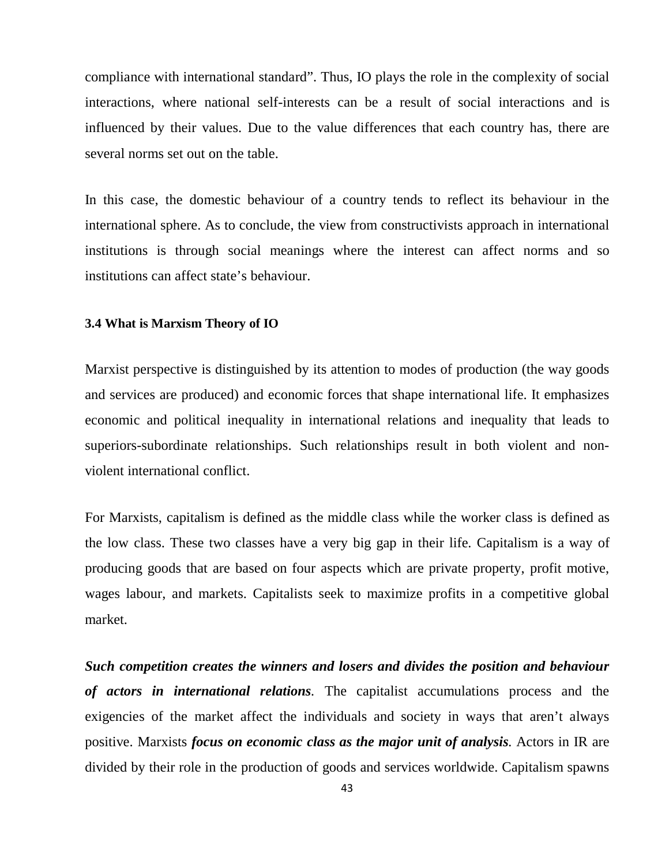compliance with international standard". Thus, IO plays the role in the complexity of social interactions, where national self-interests can be a result of social interactions and is influenced by their values. Due to the value differences that each country has, there are several norms set out on the table.

In this case, the domestic behaviour of a country tends to reflect its behaviour in the international sphere. As to conclude, the view from constructivists approach in international institutions is through social meanings where the interest can affect norms and so institutions can affect state's behaviour.

#### **3.4 What is Marxism Theory of IO**

Marxist perspective is distinguished by its attention to modes of production (the way goods and services are produced) and economic forces that shape international life. It emphasizes economic and political inequality in international relations and inequality that leads to superiors-subordinate relationships. Such relationships result in both violent and nonviolent international conflict.

For Marxists, capitalism is defined as the middle class while the worker class is defined as the low class. These two classes have a very big gap in their life. Capitalism is a way of producing goods that are based on four aspects which are private property, profit motive, wages labour, and markets. Capitalists seek to maximize profits in a competitive global market.

*Such competition creates the winners and losers and divides the position and behaviour of actors in international relations.* The capitalist accumulations process and the exigencies of the market affect the individuals and society in ways that aren't always positive. Marxists *focus on economic class as the major unit of analysis.* Actors in IR are divided by their role in the production of goods and services worldwide. Capitalism spawns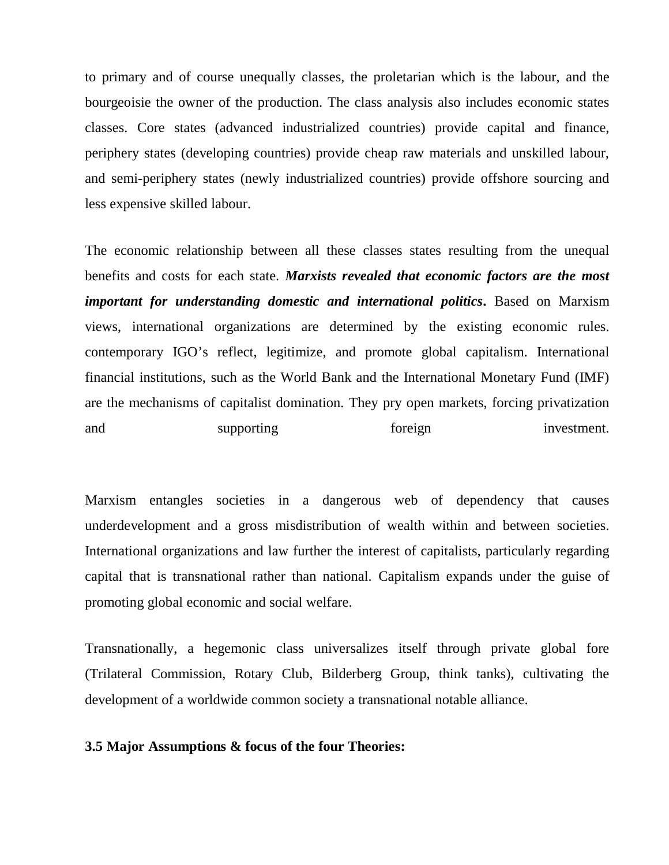to primary and of course unequally classes, the proletarian which is the labour, and the bourgeoisie the owner of the production. The class analysis also includes economic states classes. Core states (advanced industrialized countries) provide capital and finance, periphery states (developing countries) provide cheap raw materials and unskilled labour, and semi-periphery states (newly industrialized countries) provide offshore sourcing and less expensive skilled labour.

The economic relationship between all these classes states resulting from the unequal benefits and costs for each state. *Marxists revealed that economic factors are the most important for understanding domestic and international politics***.** Based on Marxism views, international organizations are determined by the existing economic rules. contemporary IGO's reflect, legitimize, and promote global capitalism. International financial institutions, such as the World Bank and the International Monetary Fund (IMF) are the mechanisms of capitalist domination. They pry open markets, forcing privatization and supporting foreign investment.

Marxism entangles societies in a dangerous web of dependency that causes underdevelopment and a gross misdistribution of wealth within and between societies. International organizations and law further the interest of capitalists, particularly regarding capital that is transnational rather than national. Capitalism expands under the guise of promoting global economic and social welfare.

Transnationally, a hegemonic class universalizes itself through private global fore (Trilateral Commission, Rotary Club, Bilderberg Group, think tanks), cultivating the development of a worldwide common society a transnational notable alliance.

#### **3.5 Major Assumptions & focus of the four Theories:**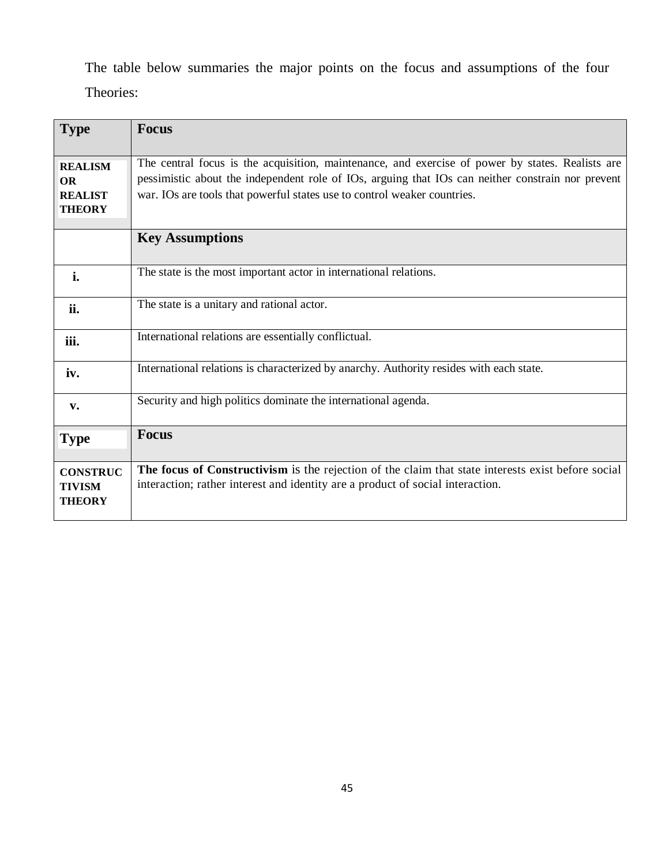The table below summaries the major points on the focus and assumptions of the four Theories:

| <b>Type</b>                                                    | <b>Focus</b>                                                                                                                                                                                                                                                                      |
|----------------------------------------------------------------|-----------------------------------------------------------------------------------------------------------------------------------------------------------------------------------------------------------------------------------------------------------------------------------|
| <b>REALISM</b><br><b>OR</b><br><b>REALIST</b><br><b>THEORY</b> | The central focus is the acquisition, maintenance, and exercise of power by states. Realists are<br>pessimistic about the independent role of IOs, arguing that IOs can neither constrain nor prevent<br>war. IOs are tools that powerful states use to control weaker countries. |
|                                                                | <b>Key Assumptions</b>                                                                                                                                                                                                                                                            |
| i.                                                             | The state is the most important actor in international relations.                                                                                                                                                                                                                 |
| ii.                                                            | The state is a unitary and rational actor.                                                                                                                                                                                                                                        |
| iii.                                                           | International relations are essentially conflictual.                                                                                                                                                                                                                              |
| iv.                                                            | International relations is characterized by anarchy. Authority resides with each state.                                                                                                                                                                                           |
| v.                                                             | Security and high politics dominate the international agenda.                                                                                                                                                                                                                     |
| <b>Type</b>                                                    | <b>Focus</b>                                                                                                                                                                                                                                                                      |
| <b>CONSTRUC</b><br><b>TIVISM</b><br><b>THEORY</b>              | The focus of Constructivism is the rejection of the claim that state interests exist before social<br>interaction; rather interest and identity are a product of social interaction.                                                                                              |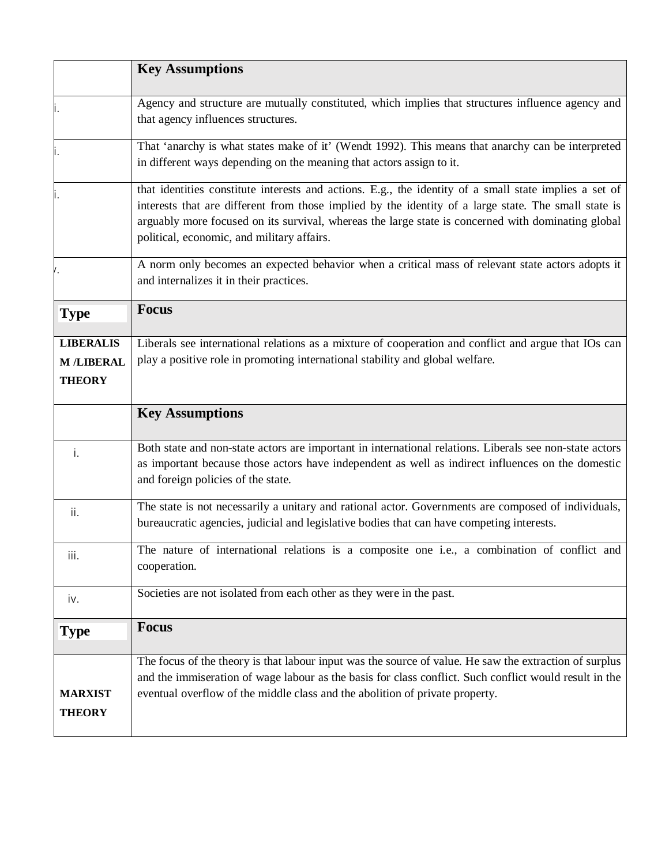|                                                        | <b>Key Assumptions</b>                                                                                                                                                                                                                                                                                                                                             |
|--------------------------------------------------------|--------------------------------------------------------------------------------------------------------------------------------------------------------------------------------------------------------------------------------------------------------------------------------------------------------------------------------------------------------------------|
|                                                        | Agency and structure are mutually constituted, which implies that structures influence agency and<br>that agency influences structures.                                                                                                                                                                                                                            |
|                                                        | That 'anarchy is what states make of it' (Wendt 1992). This means that anarchy can be interpreted<br>in different ways depending on the meaning that actors assign to it.                                                                                                                                                                                          |
|                                                        | that identities constitute interests and actions. E.g., the identity of a small state implies a set of<br>interests that are different from those implied by the identity of a large state. The small state is<br>arguably more focused on its survival, whereas the large state is concerned with dominating global<br>political, economic, and military affairs. |
|                                                        | A norm only becomes an expected behavior when a critical mass of relevant state actors adopts it<br>and internalizes it in their practices.                                                                                                                                                                                                                        |
| <b>Type</b>                                            | <b>Focus</b>                                                                                                                                                                                                                                                                                                                                                       |
| <b>LIBERALIS</b><br><b>M /LIBERAL</b><br><b>THEORY</b> | Liberals see international relations as a mixture of cooperation and conflict and argue that IOs can<br>play a positive role in promoting international stability and global welfare.                                                                                                                                                                              |
|                                                        |                                                                                                                                                                                                                                                                                                                                                                    |
|                                                        | <b>Key Assumptions</b>                                                                                                                                                                                                                                                                                                                                             |
| i.                                                     | Both state and non-state actors are important in international relations. Liberals see non-state actors<br>as important because those actors have independent as well as indirect influences on the domestic<br>and foreign policies of the state.                                                                                                                 |
| ii.                                                    | The state is not necessarily a unitary and rational actor. Governments are composed of individuals,<br>bureaucratic agencies, judicial and legislative bodies that can have competing interests.                                                                                                                                                                   |
| iii.                                                   | The nature of international relations is a composite one i.e., a combination of conflict and<br>cooperation.                                                                                                                                                                                                                                                       |
| iv.                                                    | Societies are not isolated from each other as they were in the past.                                                                                                                                                                                                                                                                                               |
| <b>Type</b>                                            | <b>Focus</b>                                                                                                                                                                                                                                                                                                                                                       |
| <b>MARXIST</b><br><b>THEORY</b>                        | The focus of the theory is that labour input was the source of value. He saw the extraction of surplus<br>and the immiseration of wage labour as the basis for class conflict. Such conflict would result in the<br>eventual overflow of the middle class and the abolition of private property.                                                                   |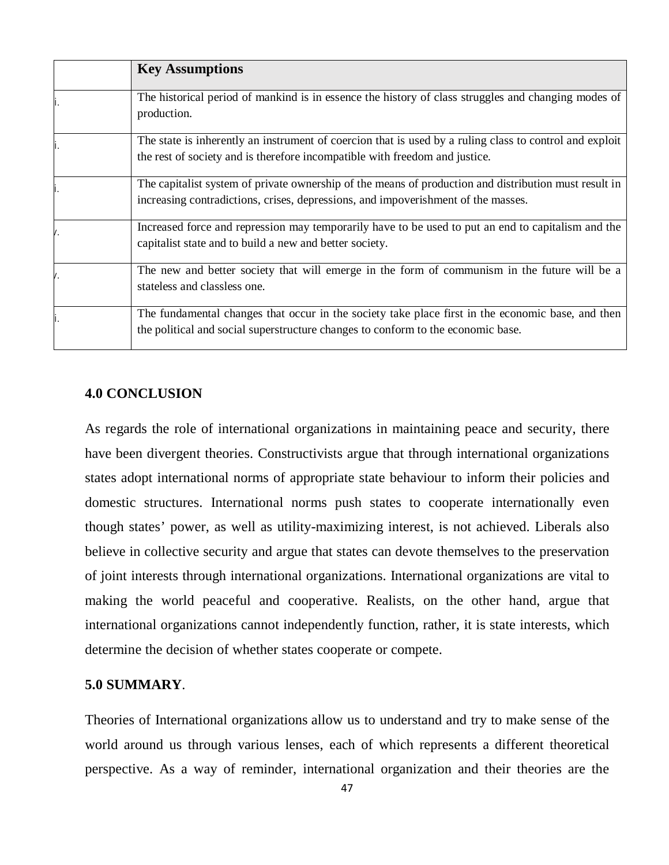| <b>Key Assumptions</b>                                                                                                                                                                     |
|--------------------------------------------------------------------------------------------------------------------------------------------------------------------------------------------|
| The historical period of mankind is in essence the history of class struggles and changing modes of<br>production.                                                                         |
| The state is inherently an instrument of coercion that is used by a ruling class to control and exploit<br>the rest of society and is therefore incompatible with freedom and justice.     |
| The capitalist system of private ownership of the means of production and distribution must result in<br>increasing contradictions, crises, depressions, and impoverishment of the masses. |
| Increased force and repression may temporarily have to be used to put an end to capitalism and the<br>capitalist state and to build a new and better society.                              |
| The new and better society that will emerge in the form of communism in the future will be a<br>stateless and classless one.                                                               |
| The fundamental changes that occur in the society take place first in the economic base, and then<br>the political and social superstructure changes to conform to the economic base.      |

### **4.0 CONCLUSION**

As regards the role of international organizations in maintaining peace and security, there have been divergent theories. Constructivists argue that through international organizations states adopt international norms of appropriate state behaviour to inform their policies and domestic structures. International norms push states to cooperate internationally even though states' power, as well as utility-maximizing interest, is not achieved. Liberals also believe in collective security and argue that states can devote themselves to the preservation of joint interests through international organizations. International organizations are vital to making the world peaceful and cooperative. Realists, on the other hand, argue that international organizations cannot independently function, rather, it is state interests, which determine the decision of whether states cooperate or compete.

## **5.0 SUMMARY**.

Theories of International organizations allow us to understand and try to make sense of the world around us through various lenses, each of which represents a different theoretical perspective. As a way of reminder, international organization and their theories are the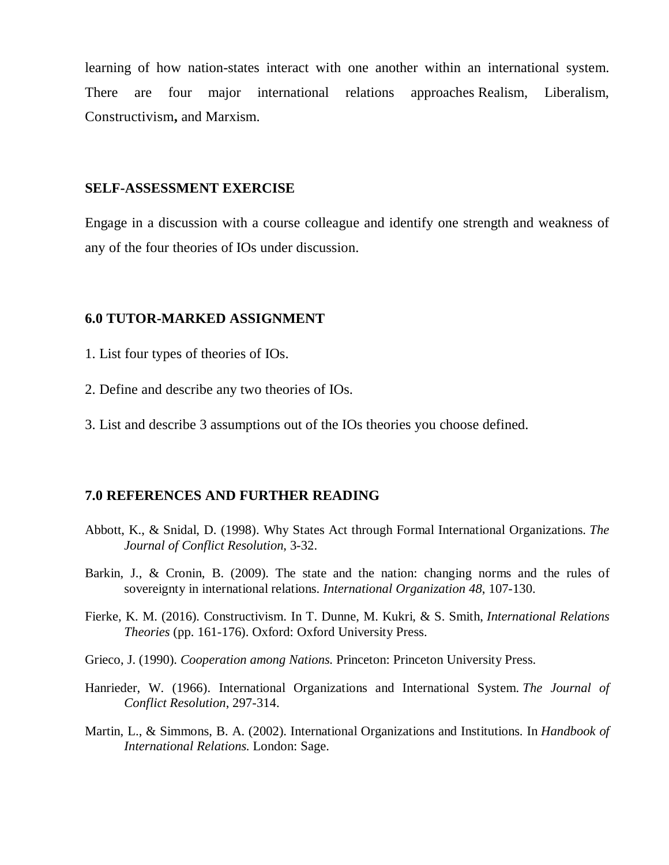learning of how nation-states interact with one another within an international system. There are four major international relations approaches Realism, Liberalism, Constructivism**,** and Marxism.

#### **SELF-ASSESSMENT EXERCISE**

Engage in a discussion with a course colleague and identify one strength and weakness of any of the four theories of IOs under discussion.

#### **6.0 TUTOR-MARKED ASSIGNMENT**

- 1. List four types of theories of IOs.
- 2. Define and describe any two theories of IOs.
- 3. List and describe 3 assumptions out of the IOs theories you choose defined.

#### **7.0 REFERENCES AND FURTHER READING**

- Abbott, K., & Snidal, D. (1998). Why States Act through Formal International Organizations. *The Journal of Conflict Resolution*, 3-32.
- Barkin, J., & Cronin, B. (2009). The state and the nation: changing norms and the rules of sovereignty in international relations. *International Organization 48*, 107-130.
- Fierke, K. M. (2016). Constructivism. In T. Dunne, M. Kukri, & S. Smith, *International Relations Theories* (pp. 161-176). Oxford: Oxford University Press.
- Grieco, J. (1990). *Cooperation among Nations.* Princeton: Princeton University Press.
- Hanrieder, W. (1966). International Organizations and International System. *The Journal of Conflict Resolution*, 297-314.
- Martin, L., & Simmons, B. A. (2002). International Organizations and Institutions. In *Handbook of International Relations.* London: Sage.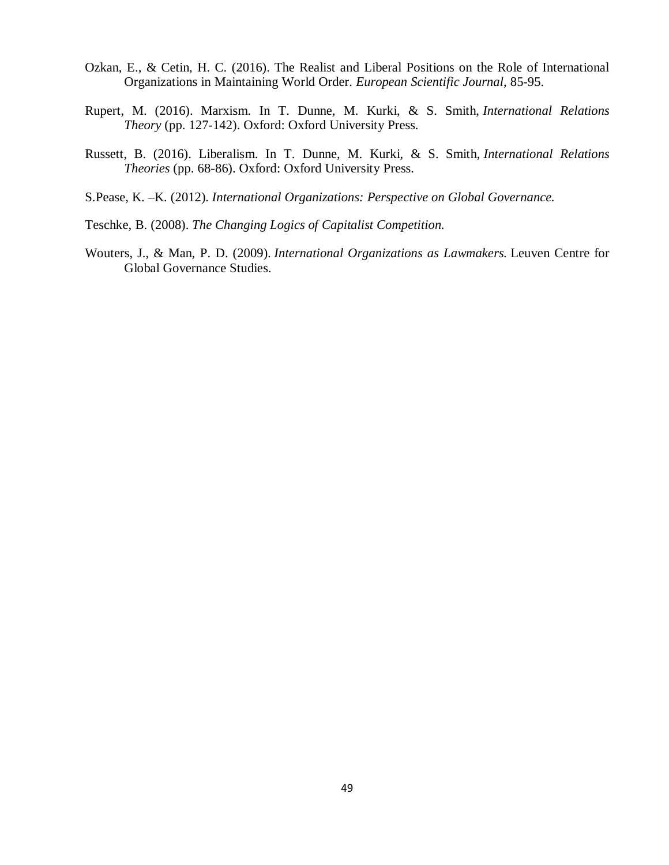- Ozkan, E., & Cetin, H. C. (2016). The Realist and Liberal Positions on the Role of International Organizations in Maintaining World Order. *European Scientific Journal*, 85-95.
- Rupert, M. (2016). Marxism. In T. Dunne, M. Kurki, & S. Smith, *International Relations Theory* (pp. 127-142). Oxford: Oxford University Press.
- Russett, B. (2016). Liberalism. In T. Dunne, M. Kurki, & S. Smith, *International Relations Theories* (pp. 68-86). Oxford: Oxford University Press.
- S.Pease, K. –K. (2012). *International Organizations: Perspective on Global Governance.*
- Teschke, B. (2008). *The Changing Logics of Capitalist Competition.*
- Wouters, J., & Man, P. D. (2009). *International Organizations as Lawmakers.* Leuven Centre for Global Governance Studies.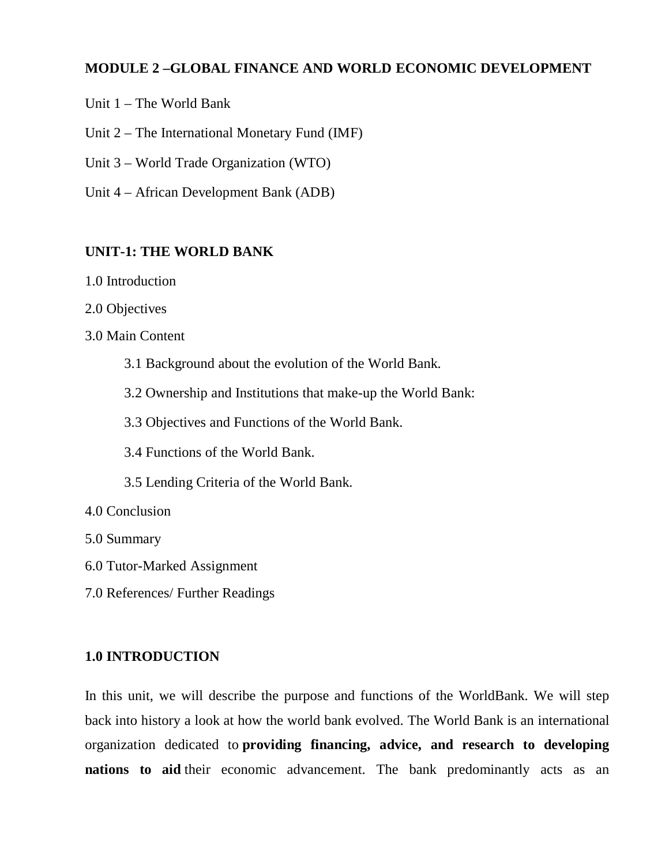# **MODULE 2 –GLOBAL FINANCE AND WORLD ECONOMIC DEVELOPMENT**

- Unit 1 The World Bank
- Unit 2 The International Monetary Fund (IMF)
- Unit 3 World Trade Organization (WTO)
- Unit 4 African Development Bank (ADB)

### **UNIT-1: THE WORLD BANK**

- 1.0 Introduction
- 2.0 Objectives
- 3.0 Main Content
	- 3.1 Background about the evolution of the World Bank.
	- 3.2 Ownership and Institutions that make-up the World Bank:
	- 3.3 Objectives and Functions of the World Bank.
	- 3.4 Functions of the World Bank.
	- 3.5 Lending Criteria of the World Bank.
- 4.0 Conclusion
- 5.0 Summary
- 6.0 Tutor-Marked Assignment
- 7.0 References/ Further Readings

### **1.0 INTRODUCTION**

In this unit, we will describe the purpose and functions of the WorldBank. We will step back into history a look at how the world bank evolved. The World Bank is an international organization dedicated to **providing financing, advice, and research to developing nations to aid** their economic advancement. The bank predominantly acts as an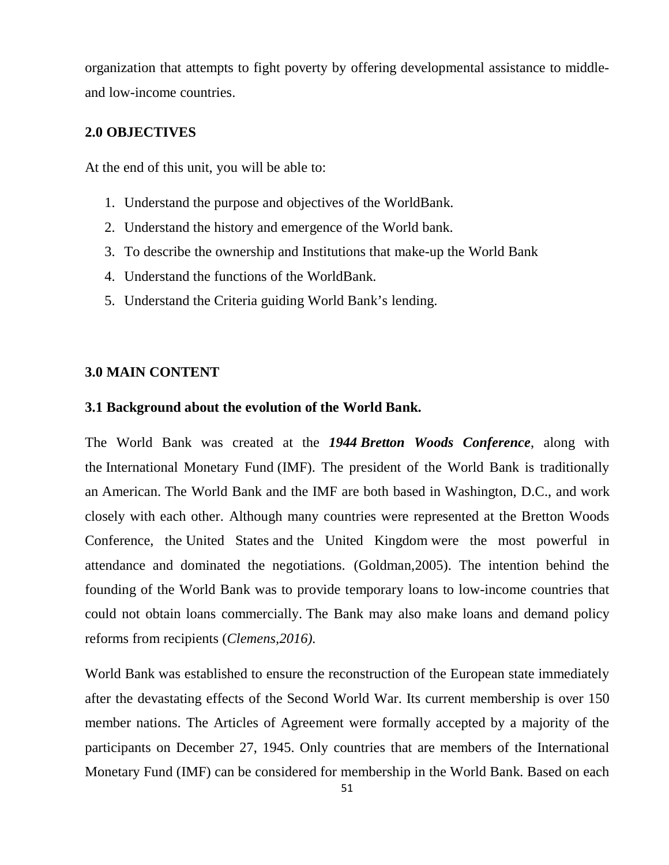organization that attempts to fight poverty by offering developmental assistance to middleand low-income countries.

## **2.0 OBJECTIVES**

At the end of this unit, you will be able to:

- 1. Understand the purpose and objectives of the WorldBank.
- 2. Understand the history and emergence of the World bank.
- 3. To describe the ownership and Institutions that make-up the World Bank
- 4. Understand the functions of the WorldBank.
- 5. Understand the Criteria guiding World Bank's lending.

#### **3.0 MAIN CONTENT**

#### **3.1 Background about the evolution of the World Bank.**

The World Bank was created at the *1944 Bretton Woods Conference*, along with the International Monetary Fund (IMF). The president of the World Bank is traditionally an American. The World Bank and the IMF are both based in Washington, D.C., and work closely with each other. Although many countries were represented at the Bretton Woods Conference, the United States and the United Kingdom were the most powerful in attendance and dominated the negotiations. (Goldman,2005). The intention behind the founding of the World Bank was to provide temporary loans to low-income countries that could not obtain loans commercially. The Bank may also make loans and demand policy reforms from recipients (*Clemens,2016).*

World Bank was established to ensure the reconstruction of the European state immediately after the devastating effects of the Second World War. Its current membership is over 150 member nations. The Articles of Agreement were formally accepted by a majority of the participants on December 27, 1945. Only countries that are members of the International Monetary Fund (IMF) can be considered for membership in the World Bank. Based on each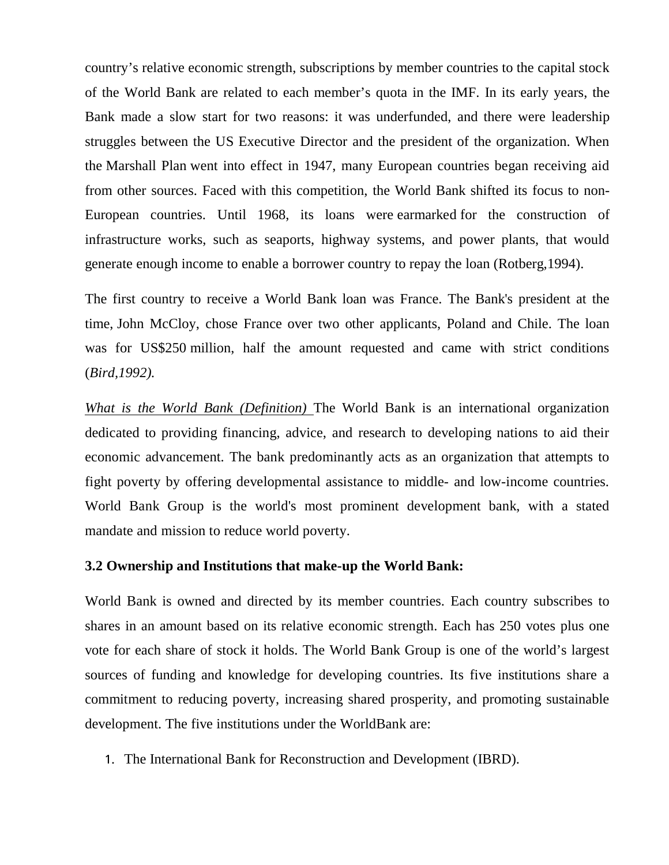country's relative economic strength, subscriptions by member countries to the capital stock of the World Bank are related to each member's quota in the IMF. In its early years, the Bank made a slow start for two reasons: it was underfunded, and there were leadership struggles between the US Executive Director and the president of the organization. When the Marshall Plan went into effect in 1947, many European countries began receiving aid from other sources. Faced with this competition, the World Bank shifted its focus to non-European countries. Until 1968, its loans were earmarked for the construction of infrastructure works, such as seaports, highway systems, and power plants, that would generate enough income to enable a borrower country to repay the loan (Rotberg,1994).

The first country to receive a World Bank loan was France. The Bank's president at the time, John McCloy, chose France over two other applicants, Poland and Chile. The loan was for US\$250 million, half the amount requested and came with strict conditions (*Bird,1992).* 

*What is the World Bank (Definition)* The World Bank is an international organization dedicated to providing financing, advice, and research to developing nations to aid their economic advancement. The bank predominantly acts as an organization that attempts to fight poverty by offering developmental assistance to middle- and low-income countries. World Bank Group is the world's most prominent development bank, with a stated mandate and mission to reduce world poverty.

## **3.2 Ownership and Institutions that make-up the World Bank:**

World Bank is owned and directed by its member countries. Each country subscribes to shares in an amount based on its relative economic strength. Each has 250 votes plus one vote for each share of stock it holds. The World Bank Group is one of the world's largest sources of funding and knowledge for developing countries. Its five institutions share a commitment to reducing poverty, increasing shared prosperity, and promoting sustainable development. The five institutions under the WorldBank are:

1. The International Bank for Reconstruction and Development (IBRD).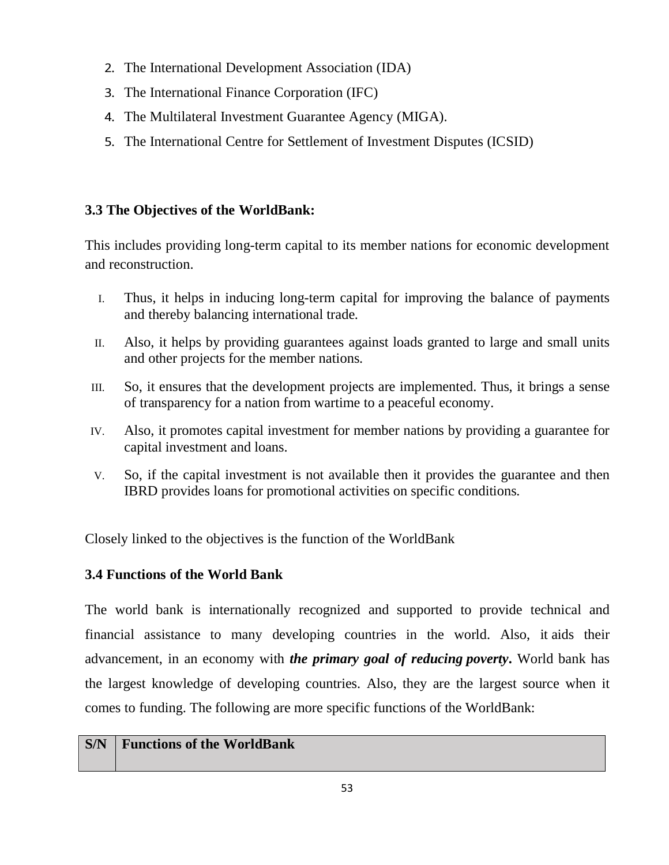- 2. The International Development Association (IDA)
- 3. The International Finance Corporation (IFC)
- 4. The Multilateral Investment Guarantee Agency (MIGA).
- 5. The International Centre for Settlement of Investment Disputes (ICSID)

# **3.3 The Objectives of the WorldBank:**

This includes providing long-term capital to its member nations for economic development and reconstruction.

- I. Thus, it helps in inducing long-term capital for improving the balance of payments and thereby balancing international trade.
- II. Also, it helps by providing guarantees against loads granted to large and small units and other projects for the member nations.
- III. So, it ensures that the development projects are implemented. Thus, it brings a sense of transparency for a nation from wartime to a peaceful economy.
- IV. Also, it promotes capital investment for member nations by providing a guarantee for capital investment and loans.
- V. So, if the capital investment is not available then it provides the guarantee and then IBRD provides loans for promotional activities on specific conditions.

Closely linked to the objectives is the function of the WorldBank

# **3.4 Functions of the World Bank**

The world bank is internationally recognized and supported to provide technical and financial assistance to many developing countries in the world. Also, it aids their advancement, in an economy with *the primary goal of reducing poverty***.** World bank has the largest knowledge of developing countries. Also, they are the largest source when it comes to funding. The following are more specific functions of the WorldBank:

## **S/N Functions of the WorldBank**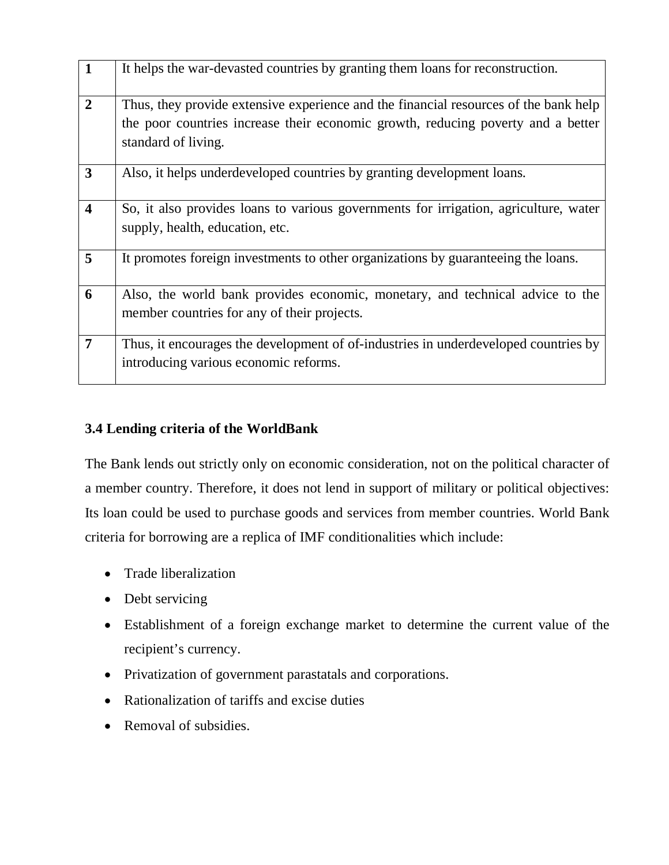| $\mathbf{1}$            | It helps the war-devasted countries by granting them loans for reconstruction.                                                                                                                  |
|-------------------------|-------------------------------------------------------------------------------------------------------------------------------------------------------------------------------------------------|
| $\overline{2}$          | Thus, they provide extensive experience and the financial resources of the bank help<br>the poor countries increase their economic growth, reducing poverty and a better<br>standard of living. |
| 3                       | Also, it helps underdeveloped countries by granting development loans.                                                                                                                          |
| $\overline{\mathbf{4}}$ | So, it also provides loans to various governments for irrigation, agriculture, water<br>supply, health, education, etc.                                                                         |
| 5                       | It promotes foreign investments to other organizations by guaranteeing the loans.                                                                                                               |
| 6                       | Also, the world bank provides economic, monetary, and technical advice to the<br>member countries for any of their projects.                                                                    |
| 7                       | Thus, it encourages the development of of-industries in underdeveloped countries by<br>introducing various economic reforms.                                                                    |

# **3.4 Lending criteria of the WorldBank**

The Bank lends out strictly only on economic consideration, not on the political character of a member country. Therefore, it does not lend in support of military or political objectives: Its loan could be used to purchase goods and services from member countries. World Bank criteria for borrowing are a replica of IMF conditionalities which include:

- Trade liberalization
- Debt servicing
- Establishment of a foreign exchange market to determine the current value of the recipient's currency.
- Privatization of government parastatals and corporations.
- Rationalization of tariffs and excise duties
- Removal of subsidies.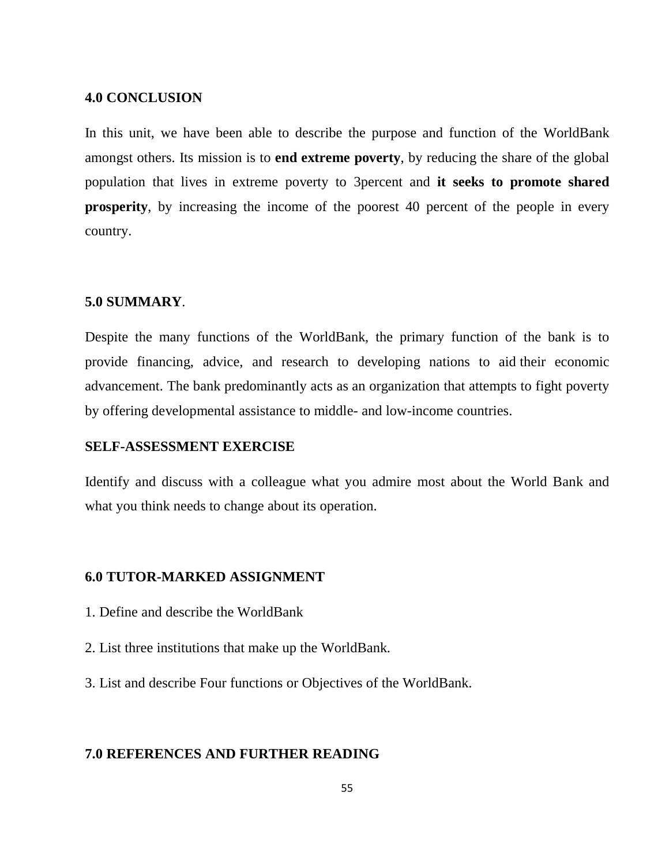### **4.0 CONCLUSION**

In this unit, we have been able to describe the purpose and function of the WorldBank amongst others. Its mission is to **end extreme poverty**, by reducing the share of the global population that lives in extreme poverty to 3percent and **it seeks to promote shared prosperity**, by increasing the income of the poorest 40 percent of the people in every country.

#### **5.0 SUMMARY**.

Despite the many functions of the WorldBank, the primary function of the bank is to provide financing, advice, and research to developing nations to aid their economic advancement. The bank predominantly acts as an organization that attempts to fight poverty by offering developmental assistance to middle- and low-income countries.

## **SELF-ASSESSMENT EXERCISE**

Identify and discuss with a colleague what you admire most about the World Bank and what you think needs to change about its operation.

#### **6.0 TUTOR-MARKED ASSIGNMENT**

- 1. Define and describe the WorldBank
- 2. List three institutions that make up the WorldBank.
- 3. List and describe Four functions or Objectives of the WorldBank.

#### **7.0 REFERENCES AND FURTHER READING**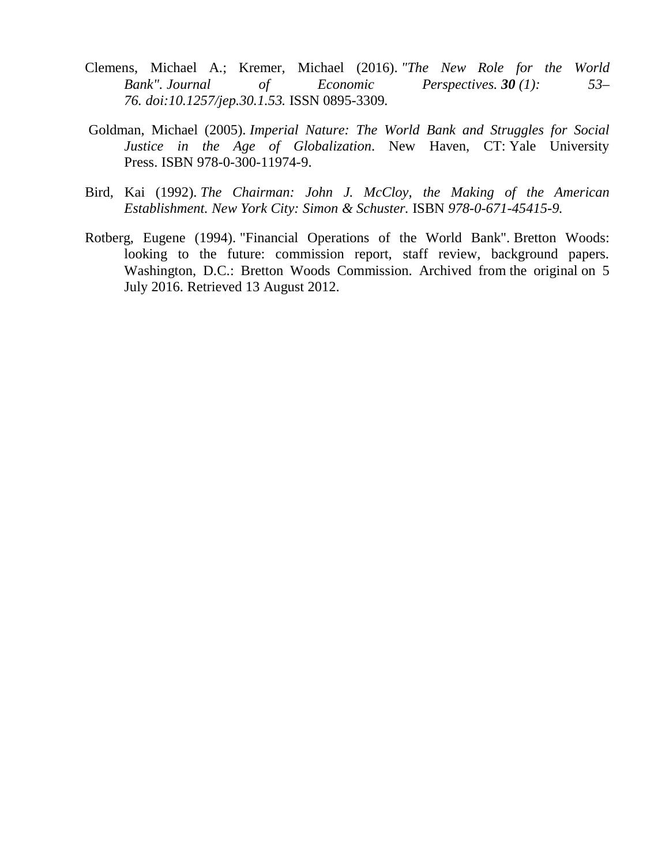- Clemens, Michael A.; Kremer, Michael (2016). *"The New Role for the World Bank". Journal of Economic Perspectives.* **30** (1): 53– *76. doi:10.1257/jep.30.1.53.* ISSN 0895-3309*.*
- Goldman, Michael (2005). *Imperial Nature: The World Bank and Struggles for Social Justice in the Age of Globalization*. New Haven, CT: Yale University Press. ISBN 978-0-300-11974-9.
- Bird, Kai (1992). *The Chairman: John J. McCloy, the Making of the American Establishment. New York City: Simon & Schuster.* ISBN *978-0-671-45415-9.*
- Rotberg, Eugene (1994). "Financial Operations of the World Bank". Bretton Woods: looking to the future: commission report, staff review, background papers. Washington, D.C.: Bretton Woods Commission. Archived from the original on 5 July 2016. Retrieved 13 August 2012.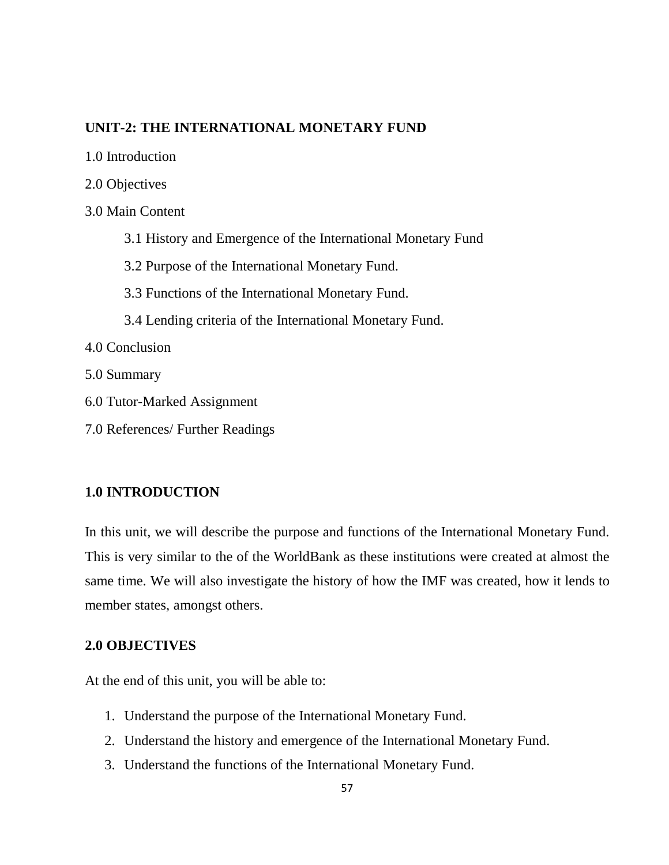### **UNIT-2: THE INTERNATIONAL MONETARY FUND**

- 1.0 Introduction
- 2.0 Objectives
- 3.0 Main Content
	- 3.1 History and Emergence of the International Monetary Fund
	- 3.2 Purpose of the International Monetary Fund.
	- 3.3 Functions of the International Monetary Fund.
	- 3.4 Lending criteria of the International Monetary Fund.
- 4.0 Conclusion
- 5.0 Summary
- 6.0 Tutor-Marked Assignment
- 7.0 References/ Further Readings

## **1.0 INTRODUCTION**

In this unit, we will describe the purpose and functions of the International Monetary Fund. This is very similar to the of the WorldBank as these institutions were created at almost the same time. We will also investigate the history of how the IMF was created, how it lends to member states, amongst others.

## **2.0 OBJECTIVES**

At the end of this unit, you will be able to:

- 1. Understand the purpose of the International Monetary Fund.
- 2. Understand the history and emergence of the International Monetary Fund.
- 3. Understand the functions of the International Monetary Fund.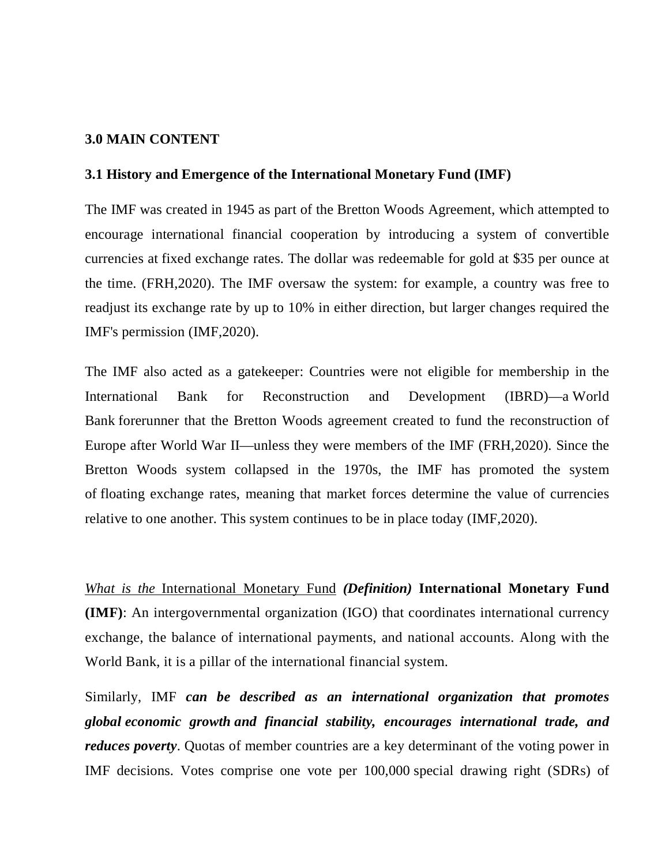#### **3.0 MAIN CONTENT**

#### **3.1 History and Emergence of the International Monetary Fund (IMF)**

The IMF was created in 1945 as part of the Bretton Woods Agreement, which attempted to encourage international financial cooperation by introducing a system of convertible currencies at fixed exchange rates. The dollar was redeemable for gold at \$35 per ounce at the time. (FRH,2020). The IMF oversaw the system: for example, a country was free to readjust its exchange rate by up to 10% in either direction, but larger changes required the IMF's permission (IMF,2020).

The IMF also acted as a gatekeeper: Countries were not eligible for membership in the International Bank for Reconstruction and Development (IBRD)—a World Bank forerunner that the Bretton Woods agreement created to fund the reconstruction of Europe after World War II—unless they were members of the IMF (FRH,2020). Since the Bretton Woods system collapsed in the 1970s, the IMF has promoted the system of floating exchange rates, meaning that market forces determine the value of currencies relative to one another. This system continues to be in place today (IMF,2020).

*What is the* International Monetary Fund *(Definition)* **International Monetary Fund (IMF)**: An intergovernmental organization (IGO) that coordinates international currency exchange, the balance of international payments, and national accounts. Along with the World Bank, it is a pillar of the international financial system.

Similarly, IMF *can be described as an international organization that promotes global economic growth and financial stability, encourages international trade, and reduces poverty*. Quotas of member countries are a key determinant of the voting power in IMF decisions. Votes comprise one vote per 100,000 special drawing right (SDRs) of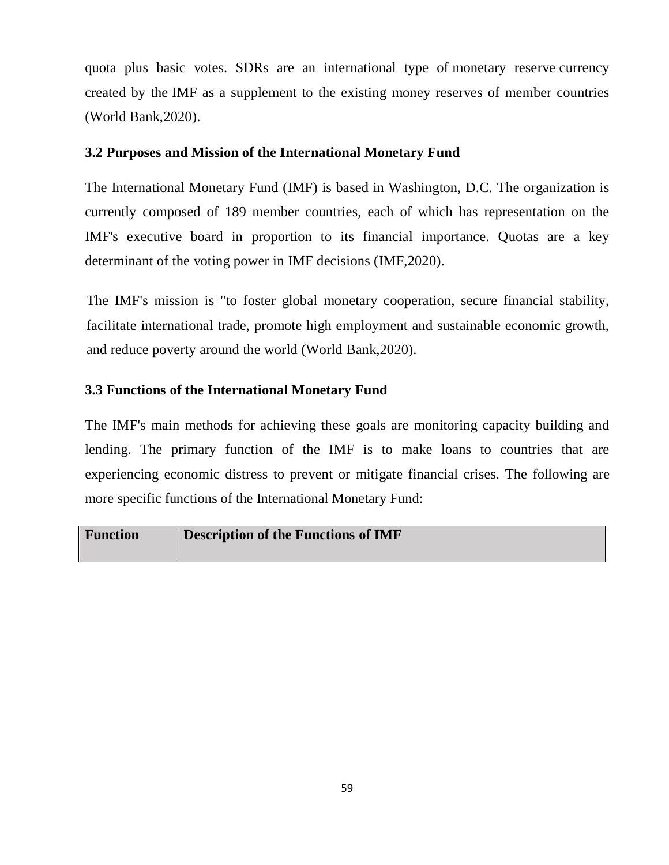quota plus basic votes. SDRs are an international type of monetary reserve currency created by the IMF as a supplement to the existing money reserves of member countries (World Bank,2020).

## **3.2 Purposes and Mission of the International Monetary Fund**

The International Monetary Fund (IMF) is based in Washington, D.C. The organization is currently composed of 189 member countries, each of which has representation on the IMF's executive board in proportion to its financial importance. Quotas are a key determinant of the voting power in IMF decisions (IMF,2020).

The IMF's mission is "to foster global monetary cooperation, secure financial stability, facilitate international trade, promote high employment and sustainable economic growth, and reduce poverty around the world (World Bank,2020).

## **3.3 Functions of the International Monetary Fund**

The IMF's main methods for achieving these goals are monitoring capacity building and lending. The primary function of the IMF is to make loans to countries that are experiencing economic distress to prevent or mitigate financial crises. The following are more specific functions of the International Monetary Fund:

| <b>Function</b> | <b>Description of the Functions of IMF</b> |
|-----------------|--------------------------------------------|
|                 |                                            |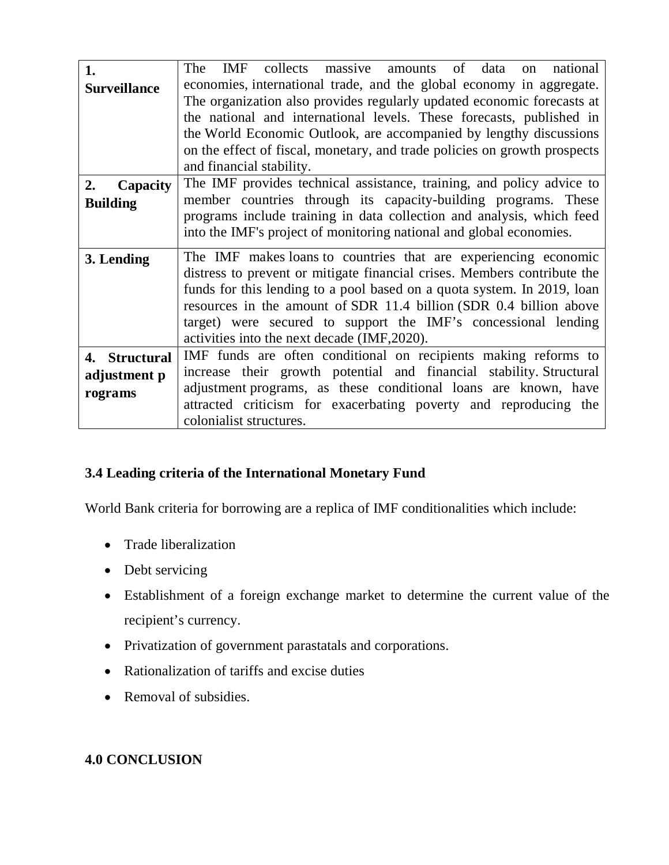| 1.                  | The<br><b>IMF</b><br>collects massive<br>amounts of data<br>national<br>$\alpha$ |
|---------------------|----------------------------------------------------------------------------------|
| <b>Surveillance</b> | economies, international trade, and the global economy in aggregate.             |
|                     | The organization also provides regularly updated economic forecasts at           |
|                     | the national and international levels. These forecasts, published in             |
|                     | the World Economic Outlook, are accompanied by lengthy discussions               |
|                     | on the effect of fiscal, monetary, and trade policies on growth prospects        |
|                     | and financial stability.                                                         |
| Capacity<br>2.      | The IMF provides technical assistance, training, and policy advice to            |
|                     | member countries through its capacity-building programs. These                   |
| <b>Building</b>     | programs include training in data collection and analysis, which feed            |
|                     | into the IMF's project of monitoring national and global economies.              |
|                     |                                                                                  |
| 3. Lending          | The IMF makes loans to countries that are experiencing economic                  |
|                     | distress to prevent or mitigate financial crises. Members contribute the         |
|                     | funds for this lending to a pool based on a quota system. In 2019, loan          |
|                     | resources in the amount of SDR 11.4 billion (SDR 0.4 billion above               |
|                     | target) were secured to support the IMF's concessional lending                   |
|                     | activities into the next decade (IMF, 2020).                                     |
| 4. Structural       | IMF funds are often conditional on recipients making reforms to                  |
| adjustment p        | increase their growth potential and financial stability. Structural              |
| rograms             | adjustment programs, as these conditional loans are known, have                  |
|                     | attracted criticism for exacerbating poverty and reproducing the                 |
|                     | colonialist structures.                                                          |

# **3.4 Leading criteria of the International Monetary Fund**

World Bank criteria for borrowing are a replica of IMF conditionalities which include:

- Trade liberalization
- Debt servicing
- Establishment of a foreign exchange market to determine the current value of the recipient's currency.
- Privatization of government parastatals and corporations.
- Rationalization of tariffs and excise duties
- Removal of subsidies.

# **4.0 CONCLUSION**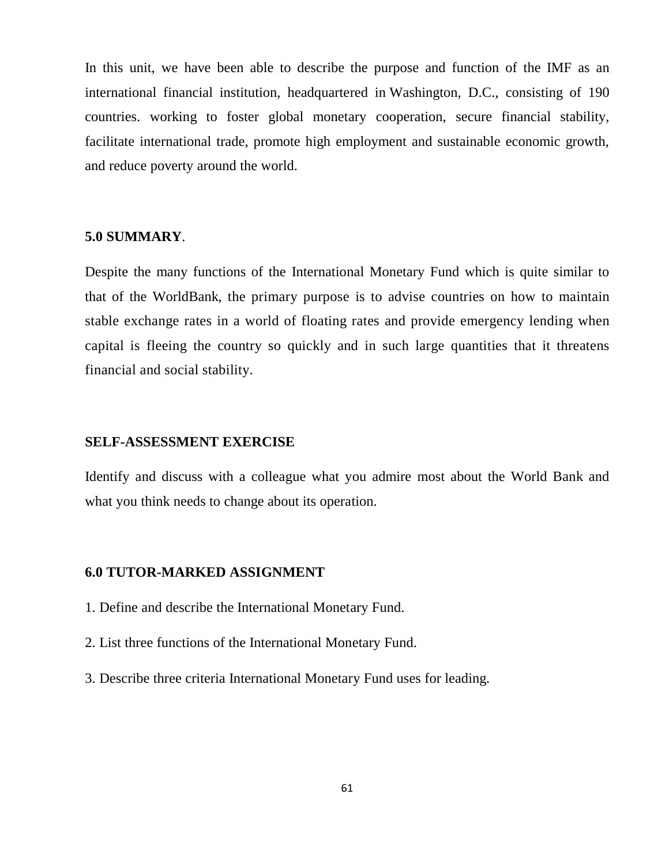In this unit, we have been able to describe the purpose and function of the IMF as an international financial institution, headquartered in Washington, D.C., consisting of 190 countries. working to foster global monetary cooperation, secure financial stability, facilitate international trade, promote high employment and sustainable economic growth, and reduce poverty around the world.

#### **5.0 SUMMARY**.

Despite the many functions of the International Monetary Fund which is quite similar to that of the WorldBank, the primary purpose is to advise countries on how to maintain stable exchange rates in a world of floating rates and provide emergency lending when capital is fleeing the country so quickly and in such large quantities that it threatens financial and social stability.

#### **SELF-ASSESSMENT EXERCISE**

Identify and discuss with a colleague what you admire most about the World Bank and what you think needs to change about its operation.

#### **6.0 TUTOR-MARKED ASSIGNMENT**

- 1. Define and describe the International Monetary Fund.
- 2. List three functions of the International Monetary Fund.
- 3. Describe three criteria International Monetary Fund uses for leading.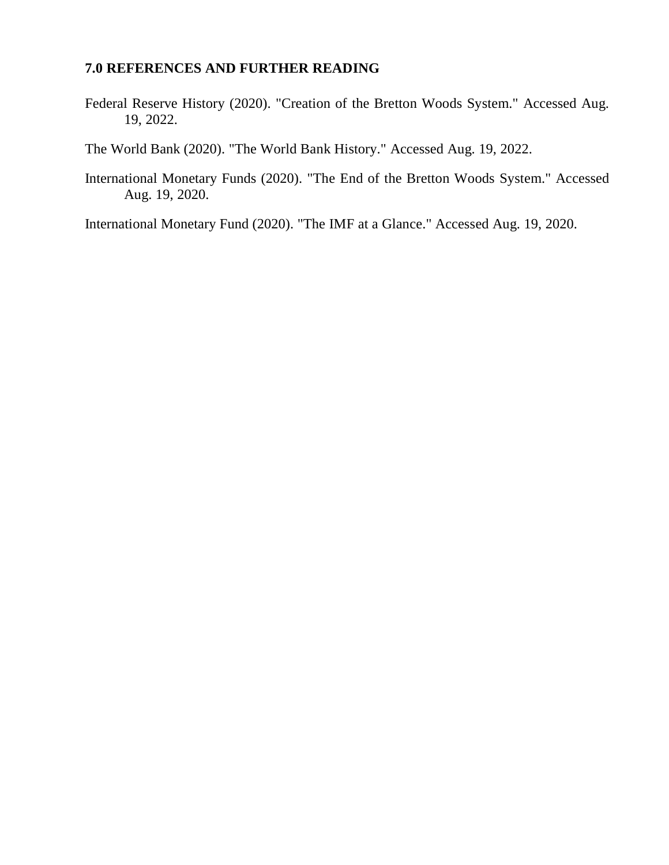# **7.0 REFERENCES AND FURTHER READING**

Federal Reserve History (2020). "Creation of the Bretton Woods System." Accessed Aug. 19, 2022.

The World Bank (2020). "The World Bank History." Accessed Aug. 19, 2022.

International Monetary Funds (2020). "The End of the Bretton Woods System." Accessed Aug. 19, 2020.

International Monetary Fund (2020). "The IMF at a Glance." Accessed Aug. 19, 2020.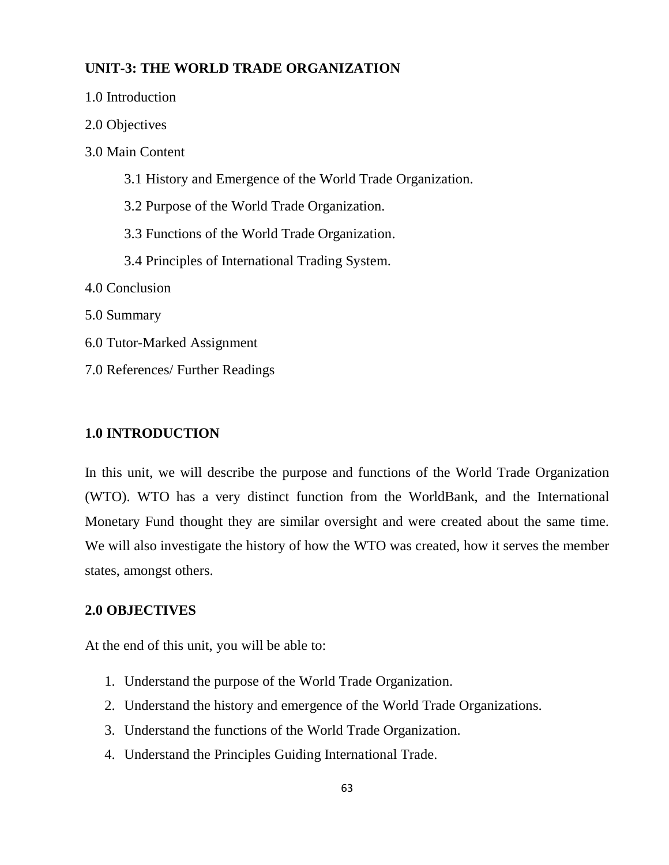## **UNIT-3: THE WORLD TRADE ORGANIZATION**

| 1.0 Introduction                                           |  |
|------------------------------------------------------------|--|
| 2.0 Objectives                                             |  |
| 3.0 Main Content                                           |  |
| 3.1 History and Emergence of the World Trade Organization. |  |
| 3.2 Purpose of the World Trade Organization.               |  |
| 3.3 Functions of the World Trade Organization.             |  |
| 3.4 Principles of International Trading System.            |  |
| 4.0 Conclusion                                             |  |
| 5.0 Summary                                                |  |
| 6.0 Tutor-Marked Assignment                                |  |
| 7.0 References/ Further Readings                           |  |

## **1.0 INTRODUCTION**

In this unit, we will describe the purpose and functions of the World Trade Organization (WTO). WTO has a very distinct function from the WorldBank, and the International Monetary Fund thought they are similar oversight and were created about the same time. We will also investigate the history of how the WTO was created, how it serves the member states, amongst others.

### **2.0 OBJECTIVES**

At the end of this unit, you will be able to:

- 1. Understand the purpose of the World Trade Organization.
- 2. Understand the history and emergence of the World Trade Organizations.
- 3. Understand the functions of the World Trade Organization.
- 4. Understand the Principles Guiding International Trade.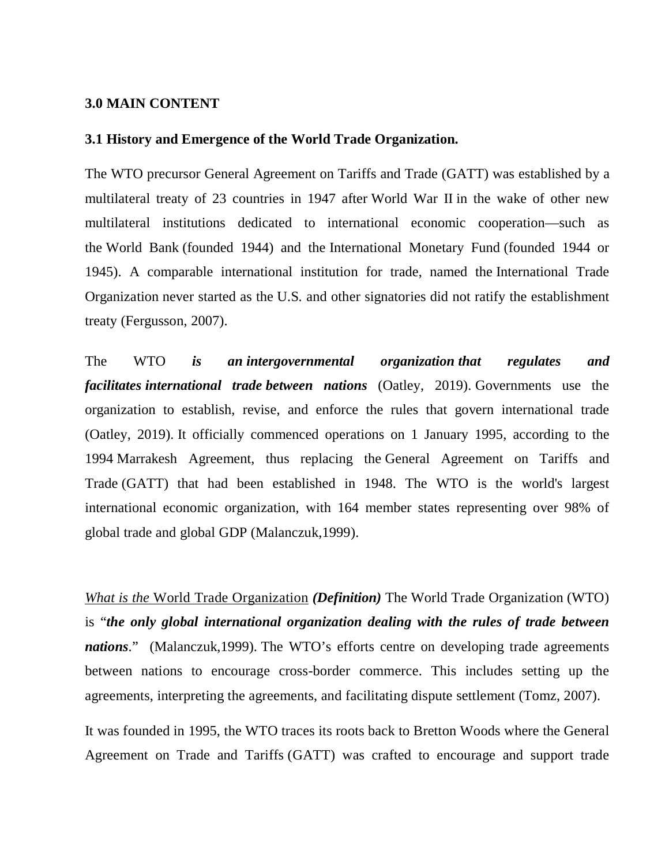#### **3.0 MAIN CONTENT**

#### **3.1 History and Emergence of the World Trade Organization.**

The WTO precursor General Agreement on Tariffs and Trade (GATT) was established by a multilateral treaty of 23 countries in 1947 after World War II in the wake of other new multilateral institutions dedicated to international economic cooperation—such as the World Bank (founded 1944) and the International Monetary Fund (founded 1944 or 1945). A comparable international institution for trade, named the International Trade Organization never started as the U.S. and other signatories did not ratify the establishment treaty (Fergusson, 2007).

The WTO *is an intergovernmental organization that regulates and facilitates international trade between nations* (Oatley, 2019). Governments use the organization to establish, revise, and enforce the rules that govern international trade (Oatley, 2019). It officially commenced operations on 1 January 1995, according to the 1994 Marrakesh Agreement, thus replacing the General Agreement on Tariffs and Trade (GATT) that had been established in 1948. The WTO is the world's largest international economic organization, with 164 member states representing over 98% of global trade and global GDP (Malanczuk,1999).

*What is the* World Trade Organization *(Definition)* The World Trade Organization (WTO) is "*the only global international organization dealing with the rules of trade between nations*." (Malanczuk,1999). The WTO's efforts centre on developing trade agreements between nations to encourage cross-border commerce. This includes setting up the agreements, interpreting the agreements, and facilitating dispute settlement (Tomz, 2007).

It was founded in 1995, the WTO traces its roots back to Bretton Woods where the General Agreement on Trade and Tariffs (GATT) was crafted to encourage and support trade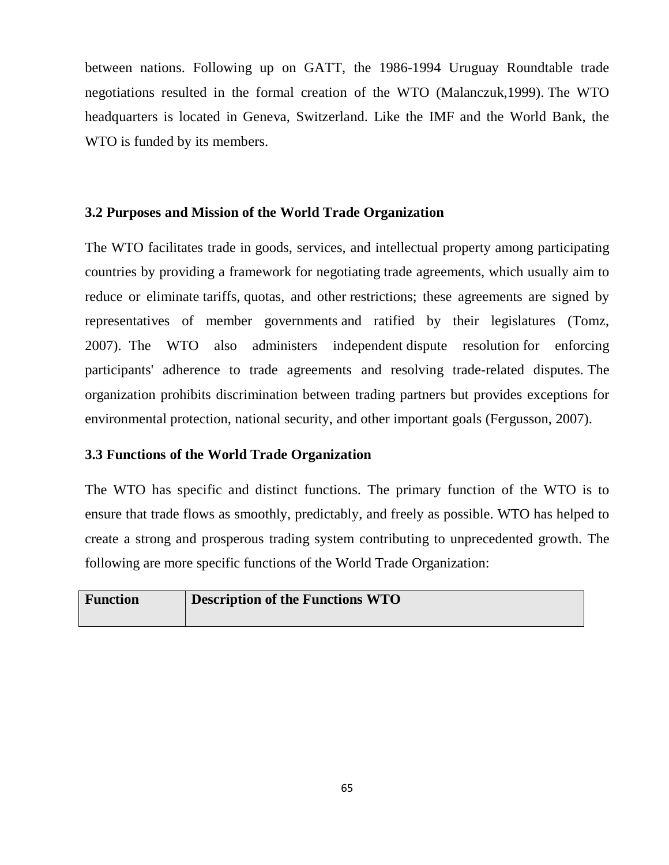between nations. Following up on GATT, the 1986-1994 Uruguay Roundtable trade negotiations resulted in the formal creation of the WTO (Malanczuk,1999). The WTO headquarters is located in Geneva, Switzerland. Like the IMF and the World Bank, the WTO is funded by its members.

### **3.2 Purposes and Mission of the World Trade Organization**

The WTO facilitates trade in goods, services, and intellectual property among participating countries by providing a framework for negotiating trade agreements, which usually aim to reduce or eliminate tariffs, quotas, and other restrictions; these agreements are signed by representatives of member governments and ratified by their legislatures (Tomz, 2007). The WTO also administers independent dispute resolution for enforcing participants' adherence to trade agreements and resolving trade-related disputes. The organization prohibits discrimination between trading partners but provides exceptions for environmental protection, national security, and other important goals (Fergusson, 2007).

### **3.3 Functions of the World Trade Organization**

The WTO has specific and distinct functions. The primary function of the WTO is to ensure that trade flows as smoothly, predictably, and freely as possible. WTO has helped to create a strong and prosperous trading system contributing to unprecedented growth. The following are more specific functions of the World Trade Organization:

| <b>Function</b> | <b>Description of the Functions WTO</b> |
|-----------------|-----------------------------------------|
|                 |                                         |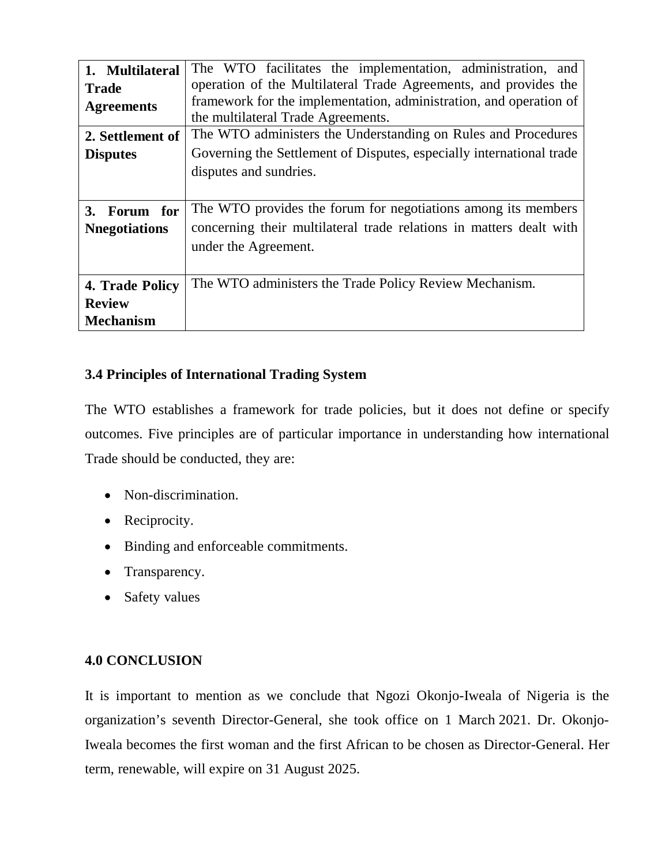| 1. Multilateral       | The WTO facilitates the implementation, administration, and          |
|-----------------------|----------------------------------------------------------------------|
| <b>Trade</b>          | operation of the Multilateral Trade Agreements, and provides the     |
| <b>Agreements</b>     | framework for the implementation, administration, and operation of   |
|                       | the multilateral Trade Agreements.                                   |
| 2. Settlement of      | The WTO administers the Understanding on Rules and Procedures        |
| <b>Disputes</b>       | Governing the Settlement of Disputes, especially international trade |
|                       | disputes and sundries.                                               |
|                       |                                                                      |
| 3.<br>Forum for       | The WTO provides the forum for negotiations among its members        |
| <b>N</b> negotiations | concerning their multilateral trade relations in matters dealt with  |
|                       | under the Agreement.                                                 |
|                       |                                                                      |
| 4. Trade Policy       | The WTO administers the Trade Policy Review Mechanism.               |
| <b>Review</b>         |                                                                      |
| <b>Mechanism</b>      |                                                                      |

# **3.4 Principles of International Trading System**

The WTO establishes a framework for trade policies, but it does not define or specify outcomes. Five principles are of particular importance in understanding how international Trade should be conducted, they are:

- Non-discrimination.
- Reciprocity.
- Binding and enforceable commitments.
- Transparency.
- Safety values

# **4.0 CONCLUSION**

It is important to mention as we conclude that Ngozi Okonjo-Iweala of Nigeria is the organization's seventh Director-General, she took office on 1 March 2021. Dr. Okonjo-Iweala becomes the first woman and the first African to be chosen as Director-General. Her term, renewable, will expire on 31 August 2025.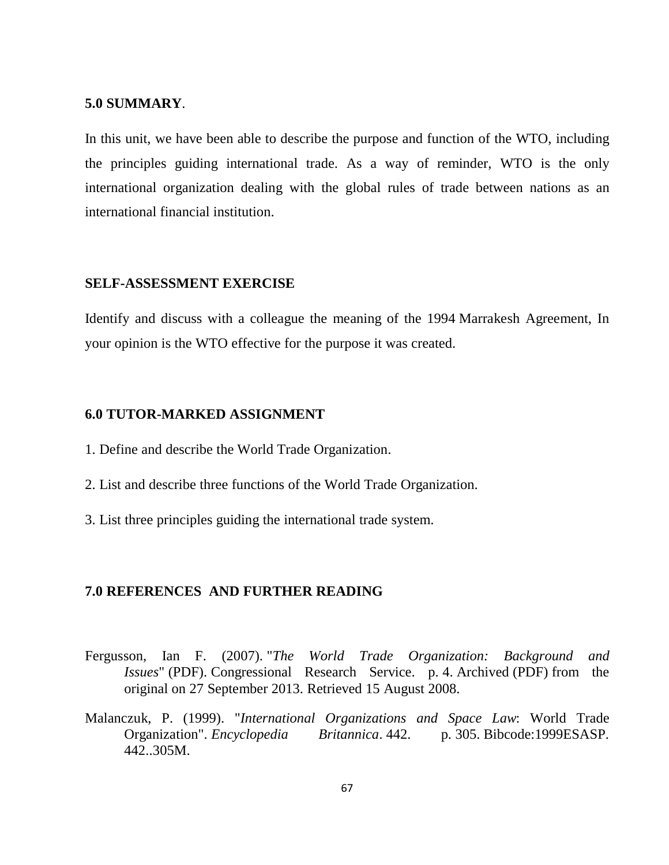#### **5.0 SUMMARY**.

In this unit, we have been able to describe the purpose and function of the WTO, including the principles guiding international trade. As a way of reminder, WTO is the only international organization dealing with the global rules of trade between nations as an international financial institution.

#### **SELF-ASSESSMENT EXERCISE**

Identify and discuss with a colleague the meaning of the 1994 Marrakesh Agreement, In your opinion is the WTO effective for the purpose it was created.

#### **6.0 TUTOR-MARKED ASSIGNMENT**

- 1. Define and describe the World Trade Organization.
- 2. List and describe three functions of the World Trade Organization.
- 3. List three principles guiding the international trade system.

#### **7.0 REFERENCES AND FURTHER READING**

- Fergusson, Ian F. (2007). "*The World Trade Organization: Background and Issues*" (PDF). Congressional Research Service. p. 4. Archived (PDF) from the original on 27 September 2013. Retrieved 15 August 2008.
- Malanczuk, P. (1999). "*International Organizations and Space Law*: World Trade Organization". *Encyclopedia Britannica*. 442. p. 305. Bibcode:1999ESASP. 442..305M.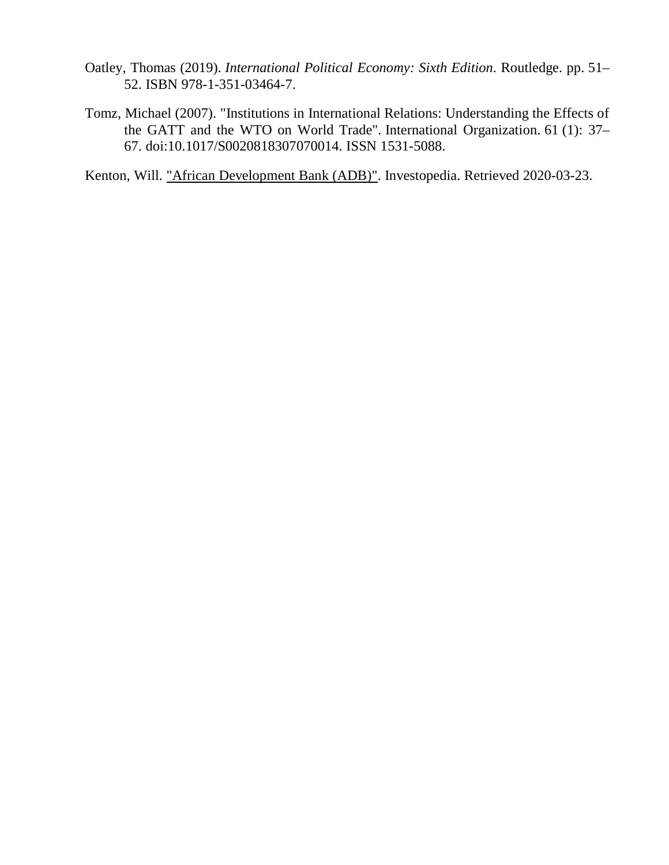- Oatley, Thomas (2019). *International Political Economy: Sixth Edition*. Routledge. pp. 51– 52. ISBN 978-1-351-03464-7.
- Tomz, Michael (2007). "Institutions in International Relations: Understanding the Effects of the GATT and the WTO on World Trade". International Organization. 61 (1): 37– 67. doi:10.1017/S0020818307070014. ISSN 1531-5088.

Kenton, Will. "African Development Bank (ADB)". Investopedia. Retrieved 2020-03-23.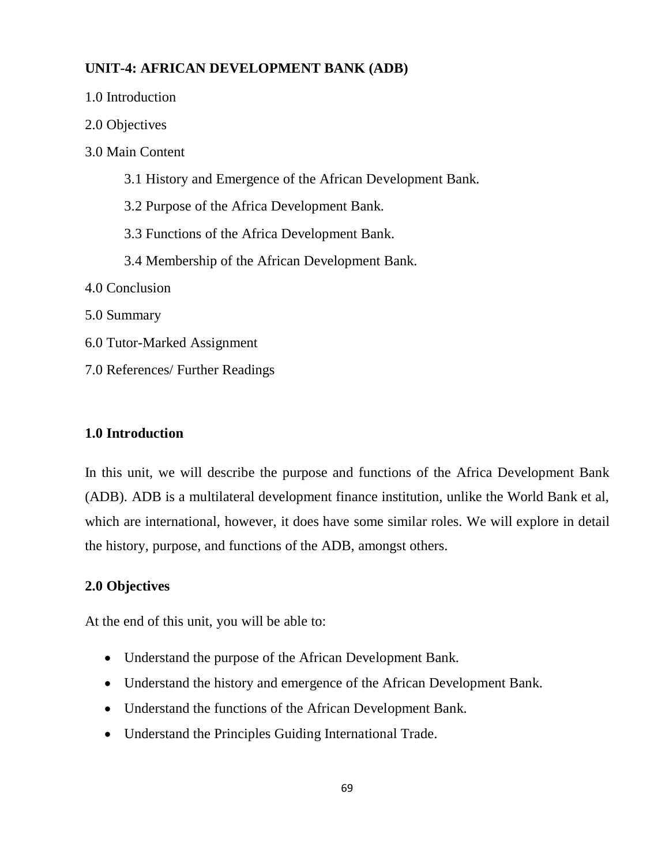# **UNIT-4: AFRICAN DEVELOPMENT BANK (ADB)**

| 1.0 Introduction                                           |  |
|------------------------------------------------------------|--|
| 2.0 Objectives                                             |  |
| 3.0 Main Content                                           |  |
| 3.1 History and Emergence of the African Development Bank. |  |
| 3.2 Purpose of the Africa Development Bank.                |  |
| 3.3 Functions of the Africa Development Bank.              |  |
| 3.4 Membership of the African Development Bank.            |  |
| 4.0 Conclusion                                             |  |
| 5.0 Summary                                                |  |
| 6.0 Tutor-Marked Assignment                                |  |
| 7.0 References/ Further Readings                           |  |

## **1.0 Introduction**

In this unit, we will describe the purpose and functions of the Africa Development Bank (ADB). ADB is a multilateral development finance institution, unlike the World Bank et al, which are international, however, it does have some similar roles. We will explore in detail the history, purpose, and functions of the ADB, amongst others.

#### **2.0 Objectives**

At the end of this unit, you will be able to:

- Understand the purpose of the African Development Bank.
- Understand the history and emergence of the African Development Bank.
- Understand the functions of the African Development Bank.
- Understand the Principles Guiding International Trade.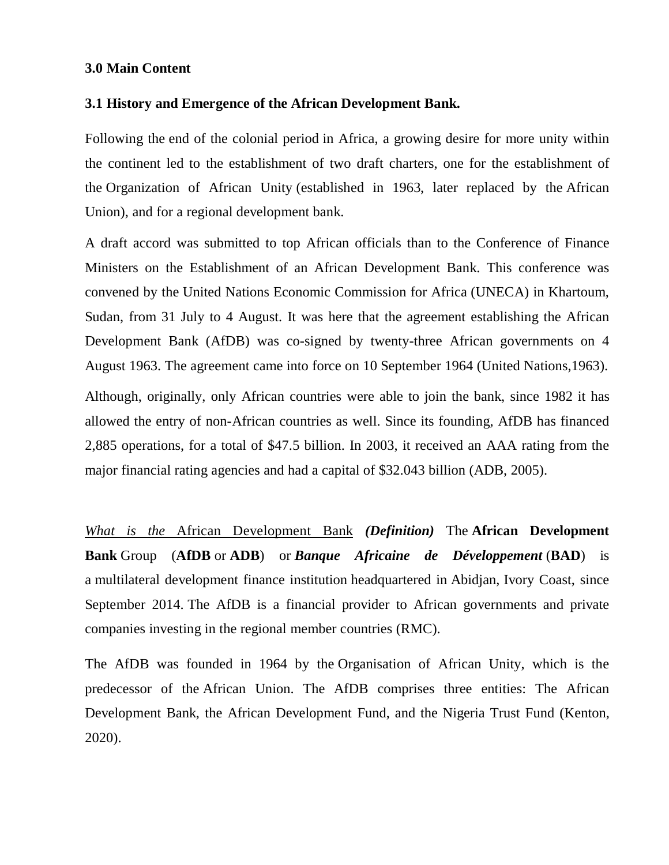### **3.0 Main Content**

#### **3.1 History and Emergence of the African Development Bank.**

Following the end of the colonial period in Africa, a growing desire for more unity within the continent led to the establishment of two draft charters, one for the establishment of the Organization of African Unity (established in 1963, later replaced by the African Union), and for a regional development bank.

A draft accord was submitted to top African officials than to the Conference of Finance Ministers on the Establishment of an African Development Bank. This conference was convened by the United Nations Economic Commission for Africa (UNECA) in Khartoum, Sudan, from 31 July to 4 August. It was here that the agreement establishing the African Development Bank (AfDB) was co-signed by twenty-three African governments on 4 August 1963. The agreement came into force on 10 September 1964 (United Nations,1963).

Although, originally, only African countries were able to join the bank, since 1982 it has allowed the entry of non-African countries as well. Since its founding, AfDB has financed 2,885 operations, for a total of \$47.5 billion. In 2003, it received an AAA rating from the major financial rating agencies and had a capital of \$32.043 billion (ADB, 2005).

*What is the* African Development Bank *(Definition)* The **African Development Bank** Group (**AfDB** or **ADB**) or *Banque Africaine de Développement* (**BAD**) is a multilateral development finance institution headquartered in Abidjan, Ivory Coast, since September 2014. The AfDB is a financial provider to African governments and private companies investing in the regional member countries (RMC).

The AfDB was founded in 1964 by the Organisation of African Unity, which is the predecessor of the African Union. The AfDB comprises three entities: The African Development Bank, the African Development Fund, and the Nigeria Trust Fund (Kenton, 2020).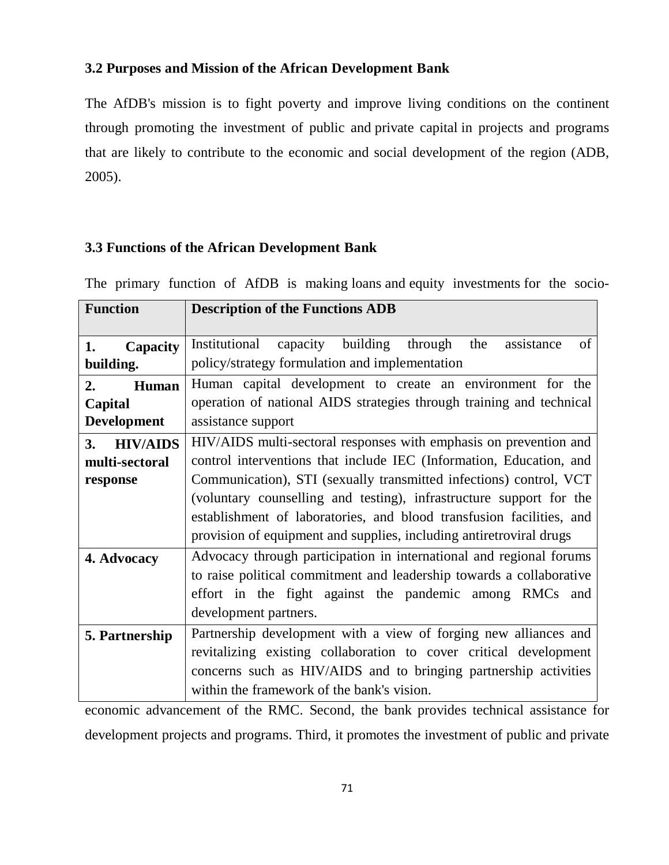## **3.2 Purposes and Mission of the African Development Bank**

The AfDB's mission is to fight poverty and improve living conditions on the continent through promoting the investment of public and private capital in projects and programs that are likely to contribute to the economic and social development of the region (ADB, 2005).

## **3.3 Functions of the African Development Bank**

| <b>Function</b>                                     | <b>Description of the Functions ADB</b>                                                                                                                                                                                                                                                                                                                                                                                              |
|-----------------------------------------------------|--------------------------------------------------------------------------------------------------------------------------------------------------------------------------------------------------------------------------------------------------------------------------------------------------------------------------------------------------------------------------------------------------------------------------------------|
| 1.<br>Capacity<br>building.                         | capacity building<br>Institutional<br>through<br>the<br>of<br>assistance<br>policy/strategy formulation and implementation                                                                                                                                                                                                                                                                                                           |
| 2.<br>Human<br>Capital<br><b>Development</b>        | Human capital development to create an environment for the<br>operation of national AIDS strategies through training and technical<br>assistance support                                                                                                                                                                                                                                                                             |
| 3.<br><b>HIV/AIDS</b><br>multi-sectoral<br>response | HIV/AIDS multi-sectoral responses with emphasis on prevention and<br>control interventions that include IEC (Information, Education, and<br>Communication), STI (sexually transmitted infections) control, VCT<br>(voluntary counselling and testing), infrastructure support for the<br>establishment of laboratories, and blood transfusion facilities, and<br>provision of equipment and supplies, including antiretroviral drugs |
| 4. Advocacy                                         | Advocacy through participation in international and regional forums<br>to raise political commitment and leadership towards a collaborative<br>effort in the fight against the pandemic among RMCs and<br>development partners.                                                                                                                                                                                                      |
| 5. Partnership                                      | Partnership development with a view of forging new alliances and<br>revitalizing existing collaboration to cover critical development<br>concerns such as HIV/AIDS and to bringing partnership activities<br>within the framework of the bank's vision.                                                                                                                                                                              |

The primary function of AfDB is making loans and equity investments for the socio-

economic advancement of the RMC. Second, the bank provides technical assistance for development projects and programs. Third, it promotes the investment of public and private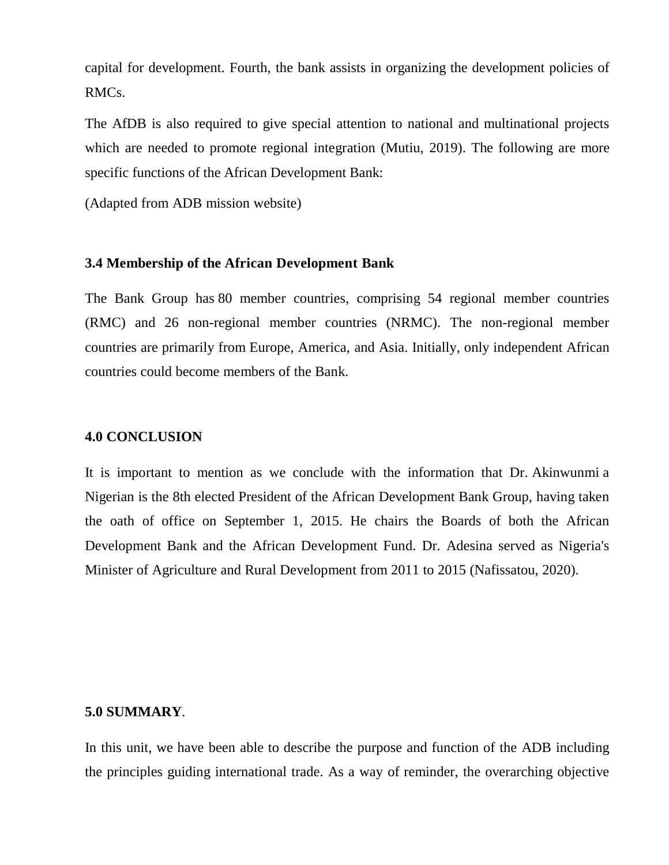capital for development. Fourth, the bank assists in organizing the development policies of RMCs.

The AfDB is also required to give special attention to national and multinational projects which are needed to promote regional integration (Mutiu, 2019). The following are more specific functions of the African Development Bank:

(Adapted from ADB mission website)

#### **3.4 Membership of the African Development Bank**

The Bank Group has 80 member countries, comprising 54 regional member countries (RMC) and 26 non-regional member countries (NRMC). The non-regional member countries are primarily from Europe, America, and Asia. Initially, only independent African countries could become members of the Bank.

#### **4.0 CONCLUSION**

It is important to mention as we conclude with the information that Dr. Akinwunmi a Nigerian is the 8th elected President of the African Development Bank Group, having taken the oath of office on September 1, 2015. He chairs the Boards of both the African Development Bank and the African Development Fund. Dr. Adesina served as Nigeria's Minister of Agriculture and Rural Development from 2011 to 2015 (Nafissatou, 2020).

#### **5.0 SUMMARY**.

In this unit, we have been able to describe the purpose and function of the ADB including the principles guiding international trade. As a way of reminder, the overarching objective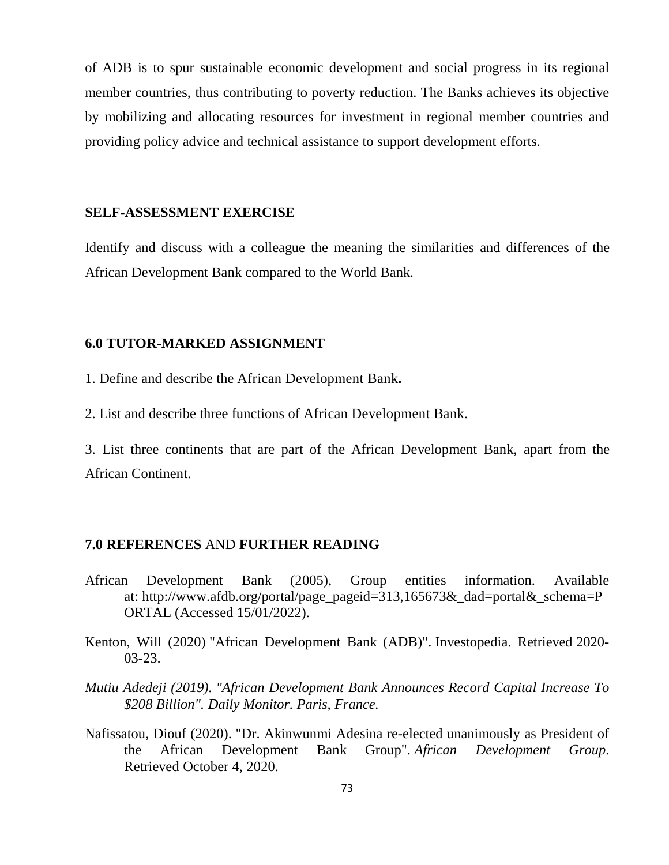of ADB is to spur sustainable economic development and social progress in its regional member countries, thus contributing to poverty reduction. The Banks achieves its objective by mobilizing and allocating resources for investment in regional member countries and providing policy advice and technical assistance to support development efforts.

#### **SELF-ASSESSMENT EXERCISE**

Identify and discuss with a colleague the meaning the similarities and differences of the African Development Bank compared to the World Bank.

#### **6.0 TUTOR-MARKED ASSIGNMENT**

- 1. Define and describe the African Development Bank**.**
- 2. List and describe three functions of African Development Bank.

3. List three continents that are part of the African Development Bank, apart from the African Continent.

#### **7.0 REFERENCES** AND **FURTHER READING**

- African Development Bank (2005), Group entities information. Available at: http://www.afdb.org/portal/page\_pageid=313,165673&\_dad=portal&\_schema=P ORTAL (Accessed 15/01/2022).
- Kenton, Will (2020) "African Development Bank (ADB)". Investopedia. Retrieved 2020- 03-23.
- *Mutiu Adedeji (2019). "African Development Bank Announces Record Capital Increase To \$208 Billion". Daily Monitor. Paris, France.*
- Nafissatou, Diouf (2020). "Dr. Akinwunmi Adesina re-elected unanimously as President of the African Development Bank Group". *African Development Group*. Retrieved October 4, 2020.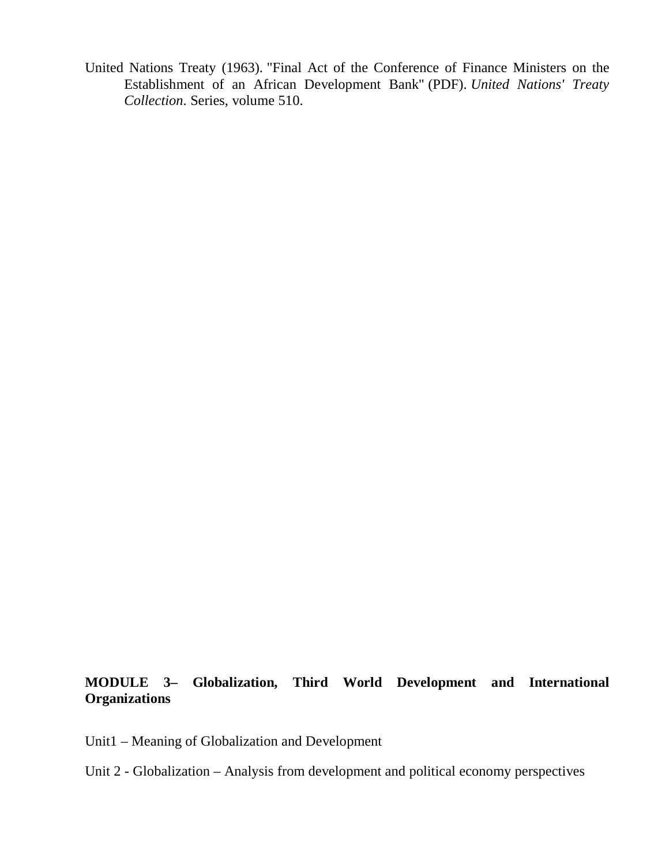United Nations Treaty (1963). "Final Act of the Conference of Finance Ministers on the Establishment of an African Development Bank" (PDF). *United Nations' Treaty Collection*. Series, volume 510.

## **MODULE 3– Globalization, Third World Development and International Organizations**

- Unit1 Meaning of Globalization and Development
- Unit 2 Globalization Analysis from development and political economy perspectives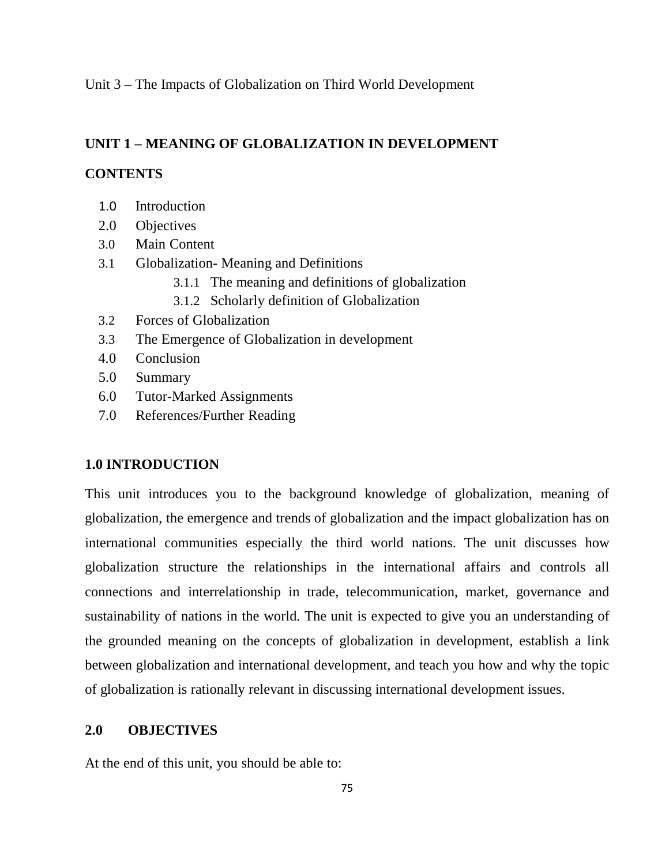Unit 3 – The Impacts of Globalization on Third World Development

## **UNIT 1 – MEANING OF GLOBALIZATION IN DEVELOPMENT**

### **CONTENTS**

- 1.0 Introduction
- 2.0 Objectives
- 3.0 Main Content
- 3.1 Globalization- Meaning and Definitions
	- 3.1.1 The meaning and definitions of globalization
	- 3.1.2 Scholarly definition of Globalization
- 3.2 Forces of Globalization
- 3.3 The Emergence of Globalization in development
- 4.0 Conclusion
- 5.0 Summary
- 6.0 Tutor-Marked Assignments
- 7.0 References/Further Reading

#### **1.0 INTRODUCTION**

This unit introduces you to the background knowledge of globalization, meaning of globalization, the emergence and trends of globalization and the impact globalization has on international communities especially the third world nations. The unit discusses how globalization structure the relationships in the international affairs and controls all connections and interrelationship in trade, telecommunication, market, governance and sustainability of nations in the world. The unit is expected to give you an understanding of the grounded meaning on the concepts of globalization in development, establish a link between globalization and international development, and teach you how and why the topic of globalization is rationally relevant in discussing international development issues.

### **2.0 OBJECTIVES**

At the end of this unit, you should be able to: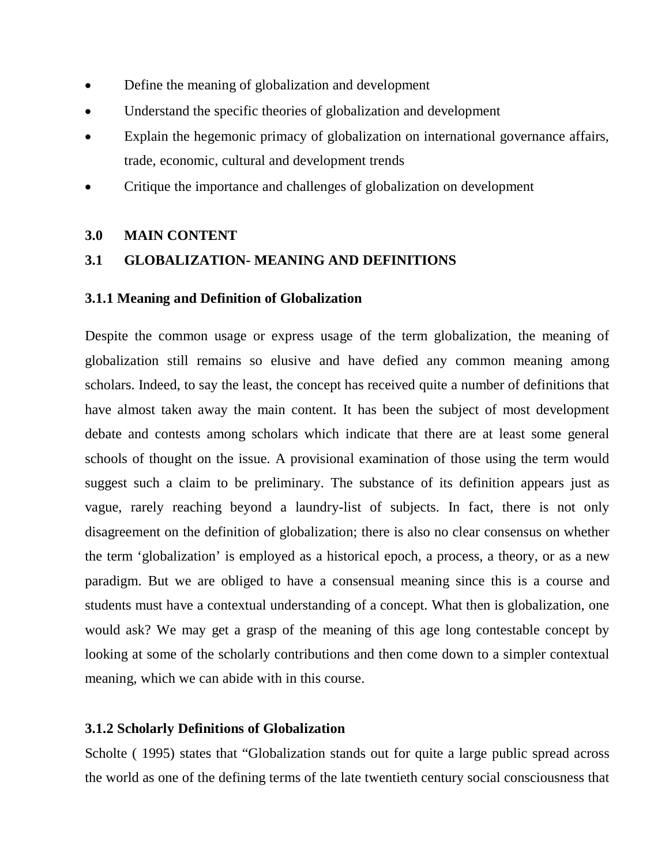- Define the meaning of globalization and development
- Understand the specific theories of globalization and development
- Explain the hegemonic primacy of globalization on international governance affairs, trade, economic, cultural and development trends
- Critique the importance and challenges of globalization on development

## **3.0 MAIN CONTENT**

## **3.1 GLOBALIZATION- MEANING AND DEFINITIONS**

#### **3.1.1 Meaning and Definition of Globalization**

Despite the common usage or express usage of the term globalization, the meaning of globalization still remains so elusive and have defied any common meaning among scholars. Indeed, to say the least, the concept has received quite a number of definitions that have almost taken away the main content. It has been the subject of most development debate and contests among scholars which indicate that there are at least some general schools of thought on the issue. A provisional examination of those using the term would suggest such a claim to be preliminary. The substance of its definition appears just as vague, rarely reaching beyond a laundry-list of subjects. In fact, there is not only disagreement on the definition of globalization; there is also no clear consensus on whether the term 'globalization' is employed as a historical epoch, a process, a theory, or as a new paradigm. But we are obliged to have a consensual meaning since this is a course and students must have a contextual understanding of a concept. What then is globalization, one would ask? We may get a grasp of the meaning of this age long contestable concept by looking at some of the scholarly contributions and then come down to a simpler contextual meaning, which we can abide with in this course.

#### **3.1.2 Scholarly Definitions of Globalization**

Scholte ( 1995) states that "Globalization stands out for quite a large public spread across the world as one of the defining terms of the late twentieth century social consciousness that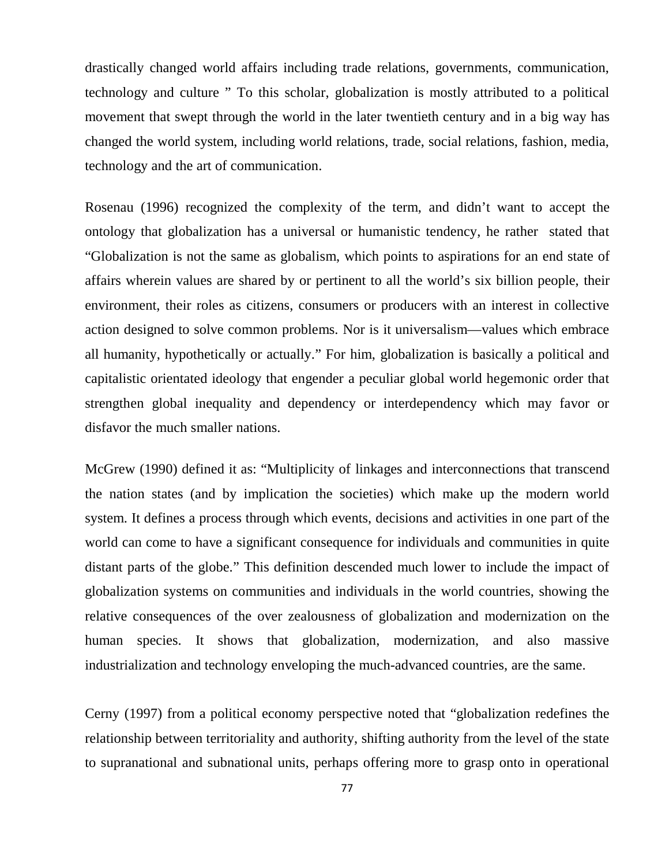drastically changed world affairs including trade relations, governments, communication, technology and culture " To this scholar, globalization is mostly attributed to a political movement that swept through the world in the later twentieth century and in a big way has changed the world system, including world relations, trade, social relations, fashion, media, technology and the art of communication.

Rosenau (1996) recognized the complexity of the term, and didn't want to accept the ontology that globalization has a universal or humanistic tendency, he rather stated that "Globalization is not the same as globalism, which points to aspirations for an end state of affairs wherein values are shared by or pertinent to all the world's six billion people, their environment, their roles as citizens, consumers or producers with an interest in collective action designed to solve common problems. Nor is it universalism—values which embrace all humanity, hypothetically or actually." For him, globalization is basically a political and capitalistic orientated ideology that engender a peculiar global world hegemonic order that strengthen global inequality and dependency or interdependency which may favor or disfavor the much smaller nations.

McGrew (1990) defined it as: "Multiplicity of linkages and interconnections that transcend the nation states (and by implication the societies) which make up the modern world system. It defines a process through which events, decisions and activities in one part of the world can come to have a significant consequence for individuals and communities in quite distant parts of the globe." This definition descended much lower to include the impact of globalization systems on communities and individuals in the world countries, showing the relative consequences of the over zealousness of globalization and modernization on the human species. It shows that globalization, modernization, and also massive industrialization and technology enveloping the much-advanced countries, are the same.

Cerny (1997) from a political economy perspective noted that "globalization redefines the relationship between territoriality and authority, shifting authority from the level of the state to supranational and subnational units, perhaps offering more to grasp onto in operational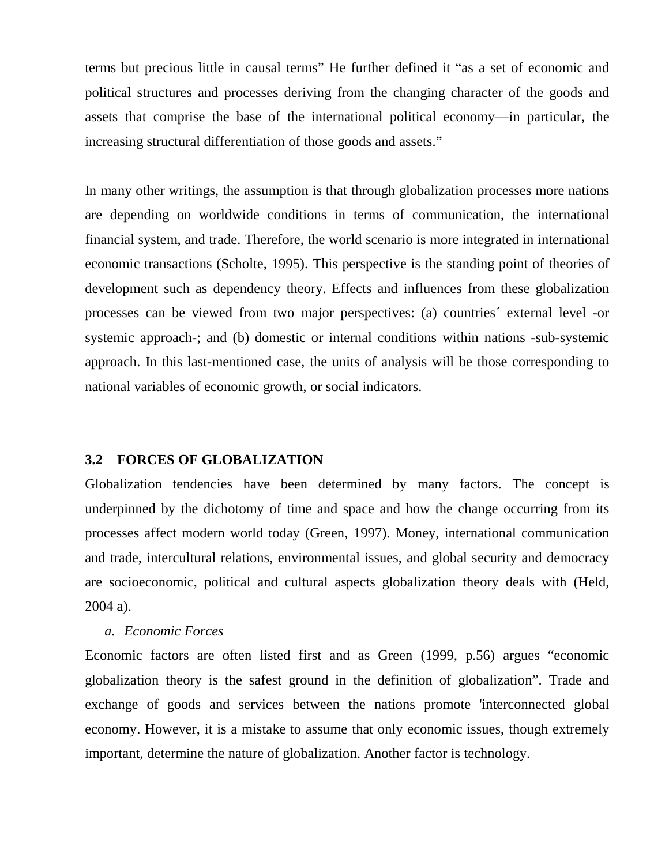terms but precious little in causal terms" He further defined it "as a set of economic and political structures and processes deriving from the changing character of the goods and assets that comprise the base of the international political economy—in particular, the increasing structural differentiation of those goods and assets."

In many other writings, the assumption is that through globalization processes more nations are depending on worldwide conditions in terms of communication, the international financial system, and trade. Therefore, the world scenario is more integrated in international economic transactions (Scholte, 1995). This perspective is the standing point of theories of development such as dependency theory. Effects and influences from these globalization processes can be viewed from two major perspectives: (a) countries´ external level -or systemic approach-; and (b) domestic or internal conditions within nations -sub-systemic approach. In this last-mentioned case, the units of analysis will be those corresponding to national variables of economic growth, or social indicators.

#### **3.2 FORCES OF GLOBALIZATION**

Globalization tendencies have been determined by many factors. The concept is underpinned by the dichotomy of time and space and how the change occurring from its processes affect modern world today (Green, 1997). Money, international communication and trade, intercultural relations, environmental issues, and global security and democracy are socioeconomic, political and cultural aspects globalization theory deals with (Held, 2004 a).

#### *a. Economic Forces*

Economic factors are often listed first and as Green (1999, p.56) argues "economic globalization theory is the safest ground in the definition of globalization". Trade and exchange of goods and services between the nations promote 'interconnected global economy. However, it is a mistake to assume that only economic issues, though extremely important, determine the nature of globalization. Another factor is technology.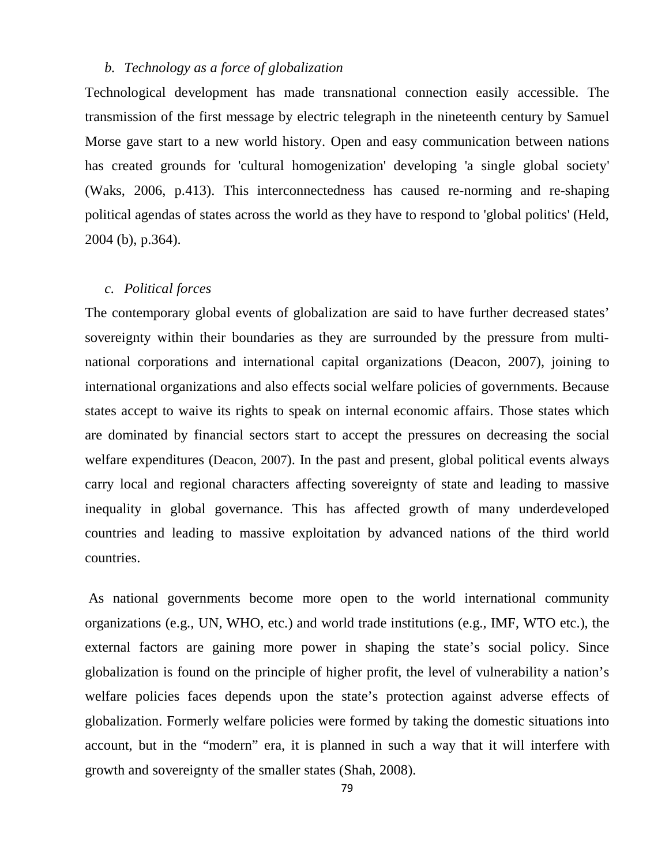### *b. Technology as a force of globalization*

Technological development has made transnational connection easily accessible. The transmission of the first message by electric telegraph in the nineteenth century by Samuel Morse gave start to a new world history. Open and easy communication between nations has created grounds for 'cultural homogenization' developing 'a single global society' (Waks, 2006, p.413). This interconnectedness has caused re-norming and re-shaping political agendas of states across the world as they have to respond to 'global politics' (Held, 2004 (b), p.364).

#### *c. Political forces*

The contemporary global events of globalization are said to have further decreased states' sovereignty within their boundaries as they are surrounded by the pressure from multinational corporations and international capital organizations (Deacon, 2007), joining to international organizations and also effects social welfare policies of governments. Because states accept to waive its rights to speak on internal economic affairs. Those states which are dominated by financial sectors start to accept the pressures on decreasing the social welfare expenditures (Deacon, 2007). In the past and present, global political events always carry local and regional characters affecting sovereignty of state and leading to massive inequality in global governance. This has affected growth of many underdeveloped countries and leading to massive exploitation by advanced nations of the third world countries.

 As national governments become more open to the world international community organizations (e.g., UN, WHO, etc.) and world trade institutions (e.g., IMF, WTO etc.), the external factors are gaining more power in shaping the state's social policy. Since globalization is found on the principle of higher profit, the level of vulnerability a nation's welfare policies faces depends upon the state's protection against adverse effects of globalization. Formerly welfare policies were formed by taking the domestic situations into account, but in the "modern" era, it is planned in such a way that it will interfere with growth and sovereignty of the smaller states (Shah, 2008).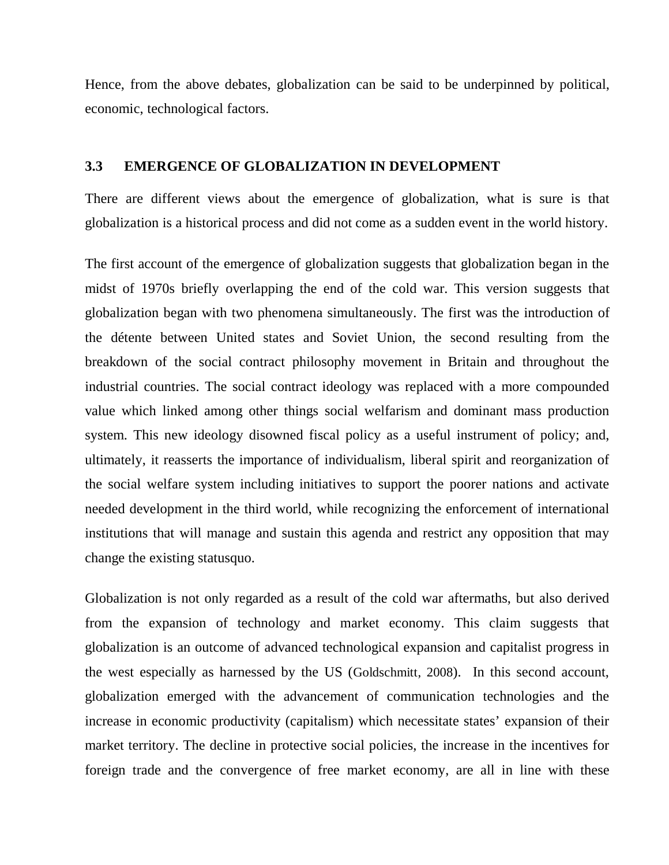Hence, from the above debates, globalization can be said to be underpinned by political, economic, technological factors.

#### **3.3 EMERGENCE OF GLOBALIZATION IN DEVELOPMENT**

There are different views about the emergence of globalization, what is sure is that globalization is a historical process and did not come as a sudden event in the world history.

The first account of the emergence of globalization suggests that globalization began in the midst of 1970s briefly overlapping the end of the cold war. This version suggests that globalization began with two phenomena simultaneously. The first was the introduction of the détente between United states and Soviet Union, the second resulting from the breakdown of the social contract philosophy movement in Britain and throughout the industrial countries. The social contract ideology was replaced with a more compounded value which linked among other things social welfarism and dominant mass production system. This new ideology disowned fiscal policy as a useful instrument of policy; and, ultimately, it reasserts the importance of individualism, liberal spirit and reorganization of the social welfare system including initiatives to support the poorer nations and activate needed development in the third world, while recognizing the enforcement of international institutions that will manage and sustain this agenda and restrict any opposition that may change the existing statusquo.

Globalization is not only regarded as a result of the cold war aftermaths, but also derived from the expansion of technology and market economy. This claim suggests that globalization is an outcome of advanced technological expansion and capitalist progress in the west especially as harnessed by the US (Goldschmitt, 2008). In this second account, globalization emerged with the advancement of communication technologies and the increase in economic productivity (capitalism) which necessitate states' expansion of their market territory. The decline in protective social policies, the increase in the incentives for foreign trade and the convergence of free market economy, are all in line with these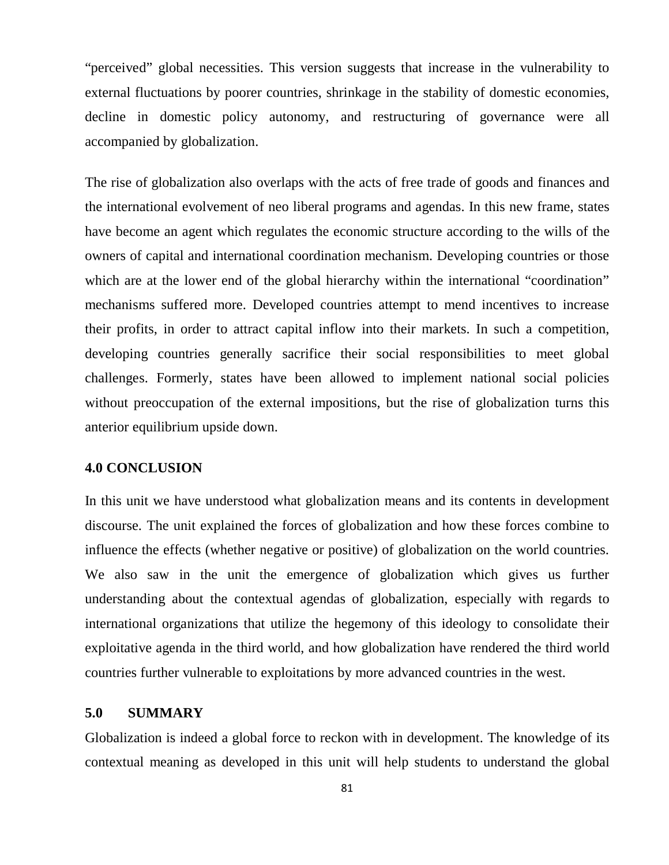"perceived" global necessities. This version suggests that increase in the vulnerability to external fluctuations by poorer countries, shrinkage in the stability of domestic economies, decline in domestic policy autonomy, and restructuring of governance were all accompanied by globalization.

The rise of globalization also overlaps with the acts of free trade of goods and finances and the international evolvement of neo liberal programs and agendas. In this new frame, states have become an agent which regulates the economic structure according to the wills of the owners of capital and international coordination mechanism. Developing countries or those which are at the lower end of the global hierarchy within the international "coordination" mechanisms suffered more. Developed countries attempt to mend incentives to increase their profits, in order to attract capital inflow into their markets. In such a competition, developing countries generally sacrifice their social responsibilities to meet global challenges. Formerly, states have been allowed to implement national social policies without preoccupation of the external impositions, but the rise of globalization turns this anterior equilibrium upside down.

#### **4.0 CONCLUSION**

In this unit we have understood what globalization means and its contents in development discourse. The unit explained the forces of globalization and how these forces combine to influence the effects (whether negative or positive) of globalization on the world countries. We also saw in the unit the emergence of globalization which gives us further understanding about the contextual agendas of globalization, especially with regards to international organizations that utilize the hegemony of this ideology to consolidate their exploitative agenda in the third world, and how globalization have rendered the third world countries further vulnerable to exploitations by more advanced countries in the west.

#### **5.0 SUMMARY**

Globalization is indeed a global force to reckon with in development. The knowledge of its contextual meaning as developed in this unit will help students to understand the global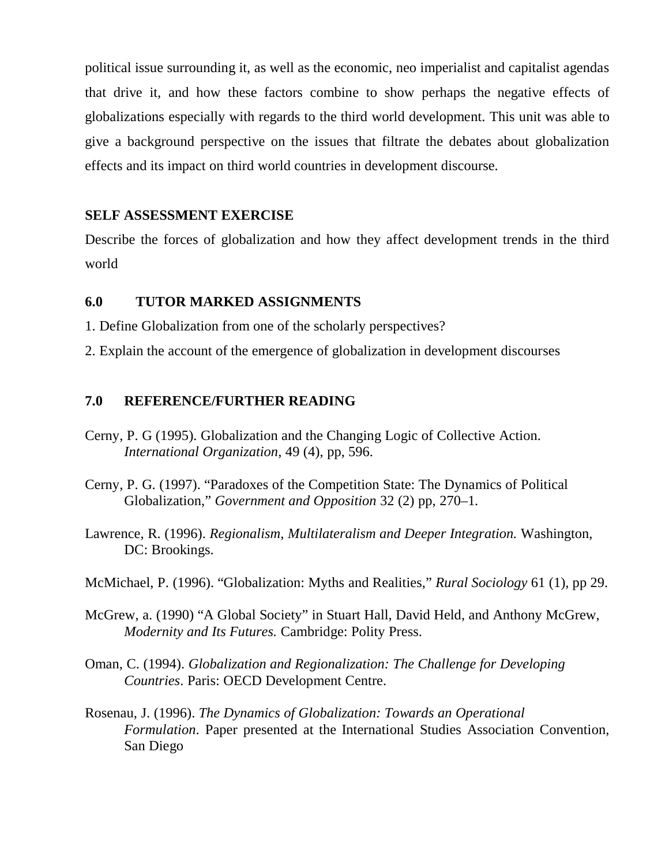political issue surrounding it, as well as the economic, neo imperialist and capitalist agendas that drive it, and how these factors combine to show perhaps the negative effects of globalizations especially with regards to the third world development. This unit was able to give a background perspective on the issues that filtrate the debates about globalization effects and its impact on third world countries in development discourse.

## **SELF ASSESSMENT EXERCISE**

Describe the forces of globalization and how they affect development trends in the third world

### **6.0 TUTOR MARKED ASSIGNMENTS**

- 1. Define Globalization from one of the scholarly perspectives?
- 2. Explain the account of the emergence of globalization in development discourses

### **7.0 REFERENCE/FURTHER READING**

- Cerny, P. G (1995). Globalization and the Changing Logic of Collective Action. *International Organization,* 49 (4), pp, 596.
- Cerny, P. G. (1997). "Paradoxes of the Competition State: The Dynamics of Political Globalization," *Government and Opposition* 32 (2) pp, 270–1.
- Lawrence, R. (1996). *Regionalism, Multilateralism and Deeper Integration.* Washington, DC: Brookings.
- McMichael, P. (1996). "Globalization: Myths and Realities," *Rural Sociology* 61 (1), pp 29.
- McGrew, a. (1990) "A Global Society" in Stuart Hall, David Held, and Anthony McGrew, *Modernity and Its Futures.* Cambridge: Polity Press.
- Oman, C. (1994). *Globalization and Regionalization: The Challenge for Developing Countries*. Paris: OECD Development Centre.
- Rosenau, J. (1996). *The Dynamics of Globalization: Towards an Operational Formulation*. Paper presented at the International Studies Association Convention, San Diego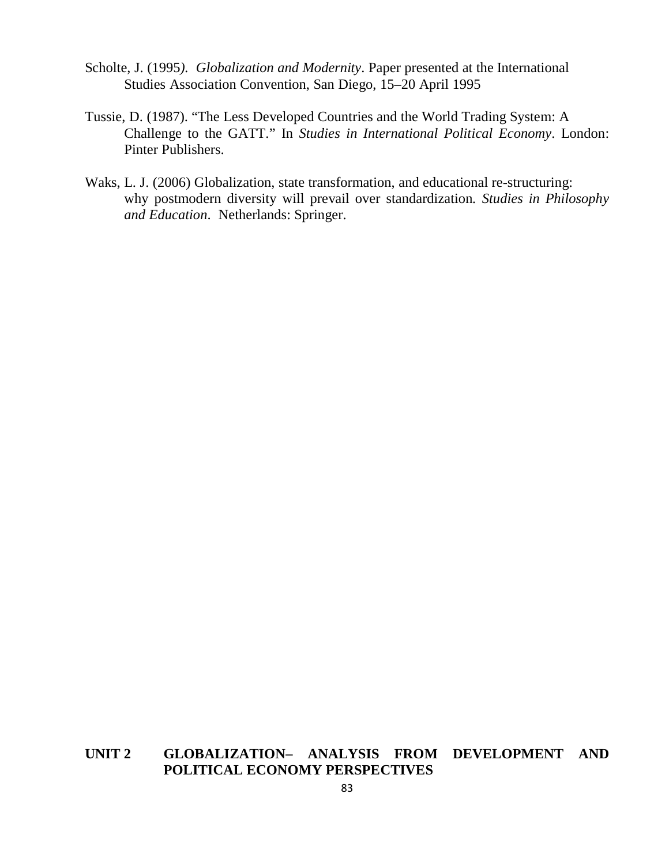- Scholte, J. (1995*). Globalization and Modernity*. Paper presented at the International Studies Association Convention, San Diego, 15–20 April 1995
- Tussie, D. (1987). "The Less Developed Countries and the World Trading System: A Challenge to the GATT." In *Studies in International Political Economy*. London: Pinter Publishers.
- Waks, L. J. (2006) Globalization, state transformation, and educational re-structuring: why postmodern diversity will prevail over standardization*. Studies in Philosophy and Education*. Netherlands: Springer.

## **UNIT 2 GLOBALIZATION– ANALYSIS FROM DEVELOPMENT AND POLITICAL ECONOMY PERSPECTIVES**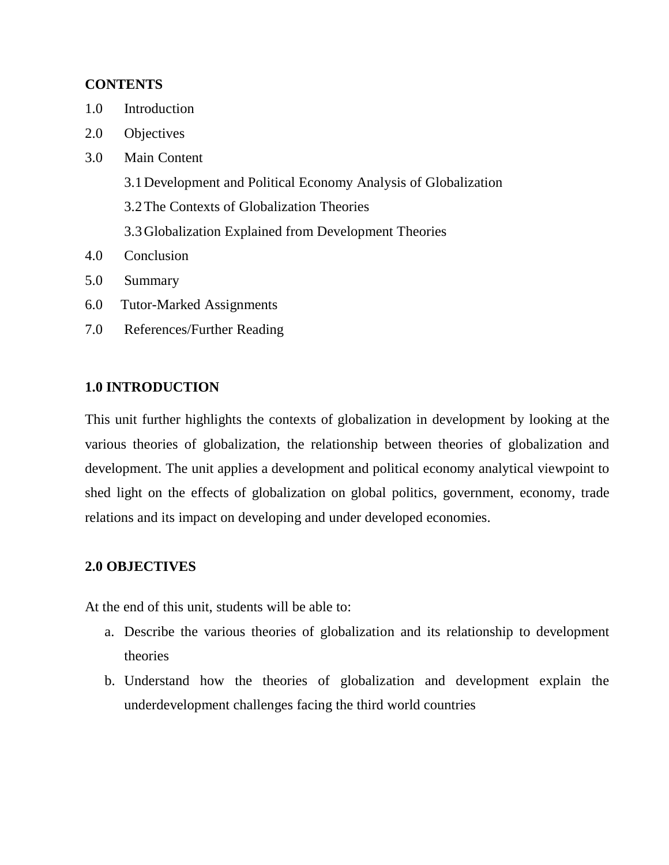## **CONTENTS**

- 1.0 Introduction
- 2.0 Objectives
- 3.0 Main Content
	- 3.1Development and Political Economy Analysis of Globalization
	- 3.2The Contexts of Globalization Theories
	- 3.3Globalization Explained from Development Theories
- 4.0 Conclusion
- 5.0 Summary
- 6.0 Tutor-Marked Assignments
- 7.0 References/Further Reading

## **1.0 INTRODUCTION**

This unit further highlights the contexts of globalization in development by looking at the various theories of globalization, the relationship between theories of globalization and development. The unit applies a development and political economy analytical viewpoint to shed light on the effects of globalization on global politics, government, economy, trade relations and its impact on developing and under developed economies.

## **2.0 OBJECTIVES**

At the end of this unit, students will be able to:

- a. Describe the various theories of globalization and its relationship to development theories
- b. Understand how the theories of globalization and development explain the underdevelopment challenges facing the third world countries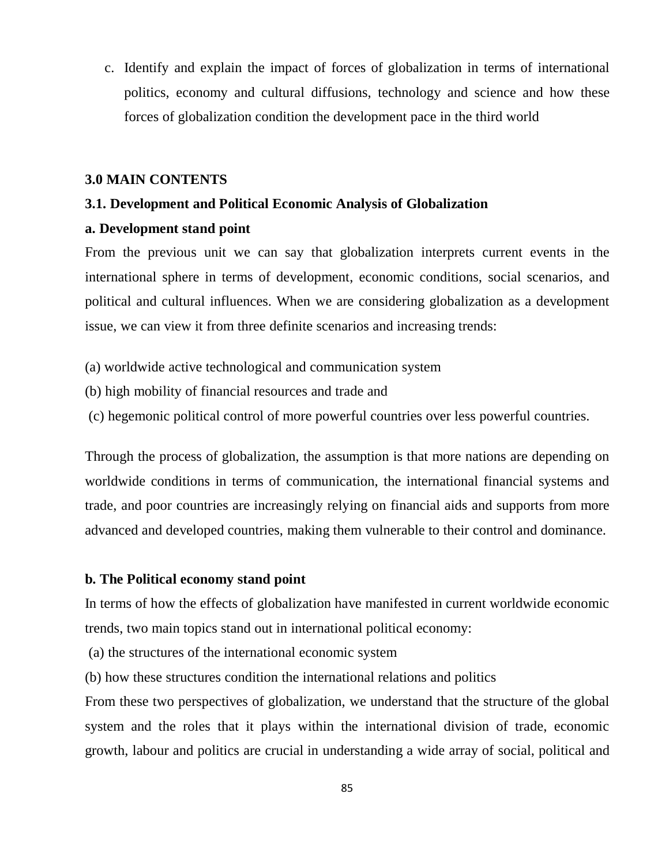c. Identify and explain the impact of forces of globalization in terms of international politics, economy and cultural diffusions, technology and science and how these forces of globalization condition the development pace in the third world

### **3.0 MAIN CONTENTS**

#### **3.1. Development and Political Economic Analysis of Globalization**

## **a. Development stand point**

From the previous unit we can say that globalization interprets current events in the international sphere in terms of development, economic conditions, social scenarios, and political and cultural influences. When we are considering globalization as a development issue, we can view it from three definite scenarios and increasing trends:

- (a) worldwide active technological and communication system
- (b) high mobility of financial resources and trade and
- (c) hegemonic political control of more powerful countries over less powerful countries.

Through the process of globalization, the assumption is that more nations are depending on worldwide conditions in terms of communication, the international financial systems and trade, and poor countries are increasingly relying on financial aids and supports from more advanced and developed countries, making them vulnerable to their control and dominance.

### **b. The Political economy stand point**

In terms of how the effects of globalization have manifested in current worldwide economic trends, two main topics stand out in international political economy:

(a) the structures of the international economic system

(b) how these structures condition the international relations and politics

From these two perspectives of globalization, we understand that the structure of the global system and the roles that it plays within the international division of trade, economic growth, labour and politics are crucial in understanding a wide array of social, political and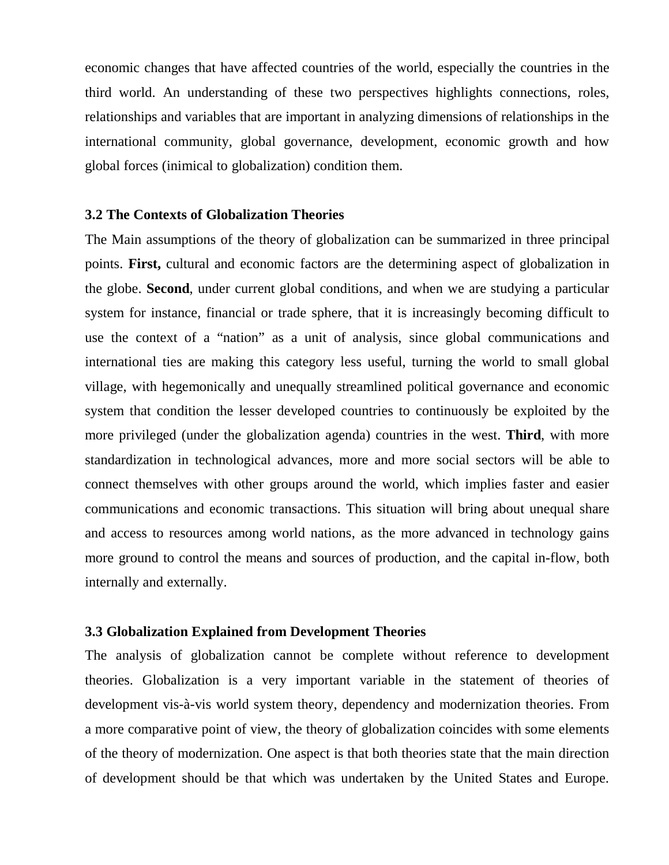economic changes that have affected countries of the world, especially the countries in the third world. An understanding of these two perspectives highlights connections, roles, relationships and variables that are important in analyzing dimensions of relationships in the international community, global governance, development, economic growth and how global forces (inimical to globalization) condition them.

#### **3.2 The Contexts of Globalization Theories**

The Main assumptions of the theory of globalization can be summarized in three principal points. **First,** cultural and economic factors are the determining aspect of globalization in the globe. **Second**, under current global conditions, and when we are studying a particular system for instance, financial or trade sphere, that it is increasingly becoming difficult to use the context of a "nation" as a unit of analysis, since global communications and international ties are making this category less useful, turning the world to small global village, with hegemonically and unequally streamlined political governance and economic system that condition the lesser developed countries to continuously be exploited by the more privileged (under the globalization agenda) countries in the west. **Third**, with more standardization in technological advances, more and more social sectors will be able to connect themselves with other groups around the world, which implies faster and easier communications and economic transactions. This situation will bring about unequal share and access to resources among world nations, as the more advanced in technology gains more ground to control the means and sources of production, and the capital in-flow, both internally and externally.

### **3.3 Globalization Explained from Development Theories**

The analysis of globalization cannot be complete without reference to development theories. Globalization is a very important variable in the statement of theories of development vis-à-vis world system theory, dependency and modernization theories. From a more comparative point of view, the theory of globalization coincides with some elements of the theory of modernization. One aspect is that both theories state that the main direction of development should be that which was undertaken by the United States and Europe.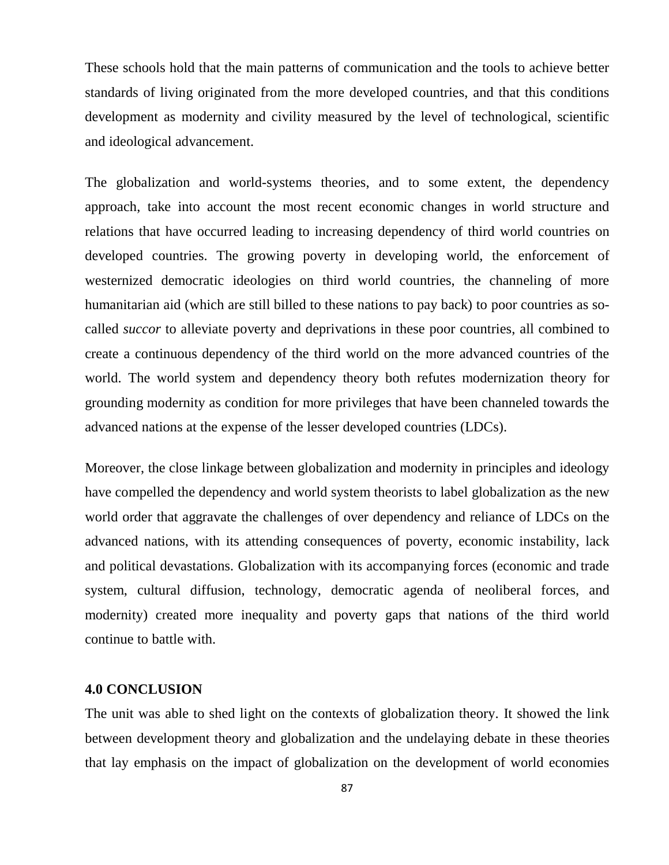These schools hold that the main patterns of communication and the tools to achieve better standards of living originated from the more developed countries, and that this conditions development as modernity and civility measured by the level of technological, scientific and ideological advancement.

The globalization and world-systems theories, and to some extent, the dependency approach, take into account the most recent economic changes in world structure and relations that have occurred leading to increasing dependency of third world countries on developed countries. The growing poverty in developing world, the enforcement of westernized democratic ideologies on third world countries, the channeling of more humanitarian aid (which are still billed to these nations to pay back) to poor countries as socalled *succor* to alleviate poverty and deprivations in these poor countries, all combined to create a continuous dependency of the third world on the more advanced countries of the world. The world system and dependency theory both refutes modernization theory for grounding modernity as condition for more privileges that have been channeled towards the advanced nations at the expense of the lesser developed countries (LDCs).

Moreover, the close linkage between globalization and modernity in principles and ideology have compelled the dependency and world system theorists to label globalization as the new world order that aggravate the challenges of over dependency and reliance of LDCs on the advanced nations, with its attending consequences of poverty, economic instability, lack and political devastations. Globalization with its accompanying forces (economic and trade system, cultural diffusion, technology, democratic agenda of neoliberal forces, and modernity) created more inequality and poverty gaps that nations of the third world continue to battle with.

#### **4.0 CONCLUSION**

The unit was able to shed light on the contexts of globalization theory. It showed the link between development theory and globalization and the undelaying debate in these theories that lay emphasis on the impact of globalization on the development of world economies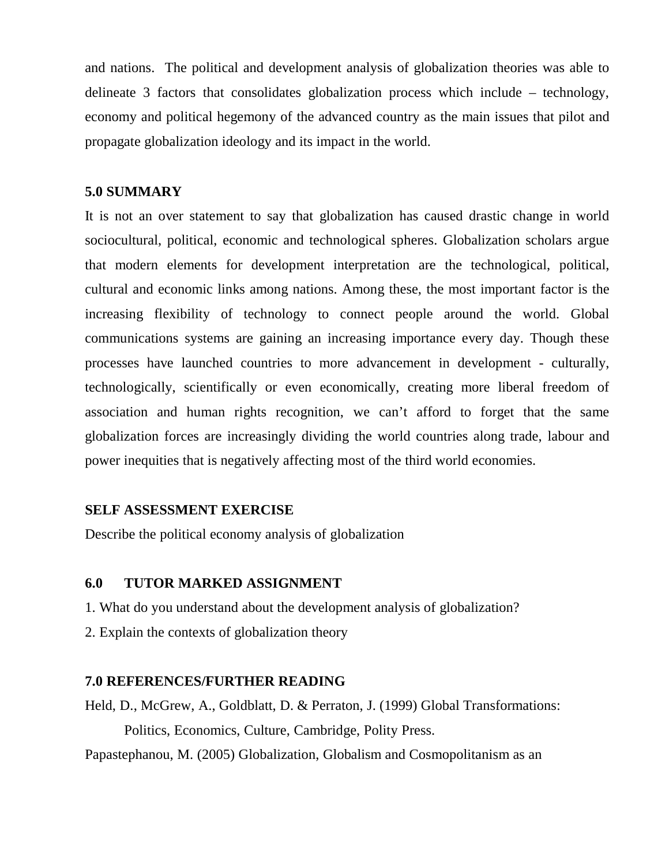and nations. The political and development analysis of globalization theories was able to delineate 3 factors that consolidates globalization process which include – technology, economy and political hegemony of the advanced country as the main issues that pilot and propagate globalization ideology and its impact in the world.

### **5.0 SUMMARY**

It is not an over statement to say that globalization has caused drastic change in world sociocultural, political, economic and technological spheres. Globalization scholars argue that modern elements for development interpretation are the technological, political, cultural and economic links among nations. Among these, the most important factor is the increasing flexibility of technology to connect people around the world. Global communications systems are gaining an increasing importance every day. Though these processes have launched countries to more advancement in development - culturally, technologically, scientifically or even economically, creating more liberal freedom of association and human rights recognition, we can't afford to forget that the same globalization forces are increasingly dividing the world countries along trade, labour and power inequities that is negatively affecting most of the third world economies.

## **SELF ASSESSMENT EXERCISE**

Describe the political economy analysis of globalization

### **6.0 TUTOR MARKED ASSIGNMENT**

1. What do you understand about the development analysis of globalization?

2. Explain the contexts of globalization theory

## **7.0 REFERENCES/FURTHER READING**

Held, D., McGrew, A., Goldblatt, D. & Perraton, J. (1999) Global Transformations: Politics, Economics, Culture, Cambridge, Polity Press.

Papastephanou, M. (2005) Globalization, Globalism and Cosmopolitanism as an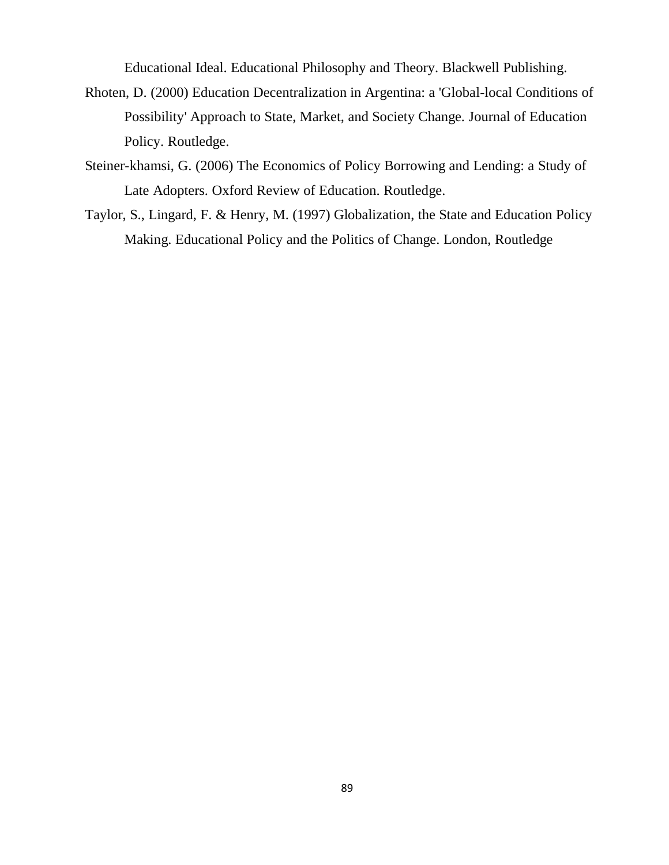Educational Ideal. Educational Philosophy and Theory. Blackwell Publishing.

- Rhoten, D. (2000) Education Decentralization in Argentina: a 'Global-local Conditions of Possibility' Approach to State, Market, and Society Change. Journal of Education Policy. Routledge.
- Steiner-khamsi, G. (2006) The Economics of Policy Borrowing and Lending: a Study of Late Adopters. Oxford Review of Education. Routledge.
- Taylor, S., Lingard, F. & Henry, M. (1997) Globalization, the State and Education Policy Making. Educational Policy and the Politics of Change. London, Routledge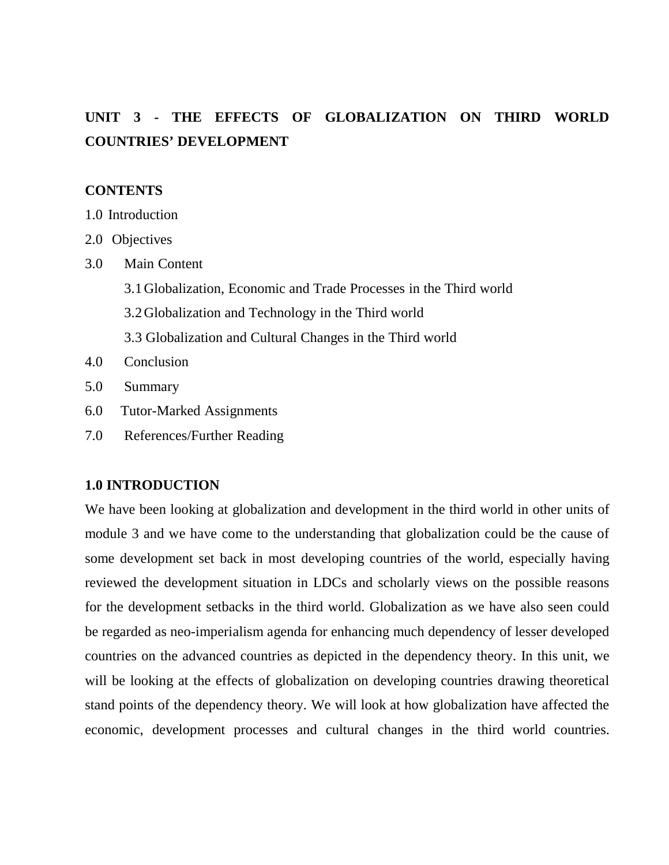# **UNIT 3 - THE EFFECTS OF GLOBALIZATION ON THIRD WORLD COUNTRIES' DEVELOPMENT**

## **CONTENTS**

- 1.0 Introduction
- 2.0 Objectives
- 3.0 Main Content
	- 3.1Globalization, Economic and Trade Processes in the Third world
	- 3.2Globalization and Technology in the Third world
	- 3.3 Globalization and Cultural Changes in the Third world
- 4.0 Conclusion
- 5.0 Summary
- 6.0 Tutor-Marked Assignments
- 7.0 References/Further Reading

## **1.0 INTRODUCTION**

We have been looking at globalization and development in the third world in other units of module 3 and we have come to the understanding that globalization could be the cause of some development set back in most developing countries of the world, especially having reviewed the development situation in LDCs and scholarly views on the possible reasons for the development setbacks in the third world. Globalization as we have also seen could be regarded as neo-imperialism agenda for enhancing much dependency of lesser developed countries on the advanced countries as depicted in the dependency theory. In this unit, we will be looking at the effects of globalization on developing countries drawing theoretical stand points of the dependency theory. We will look at how globalization have affected the economic, development processes and cultural changes in the third world countries.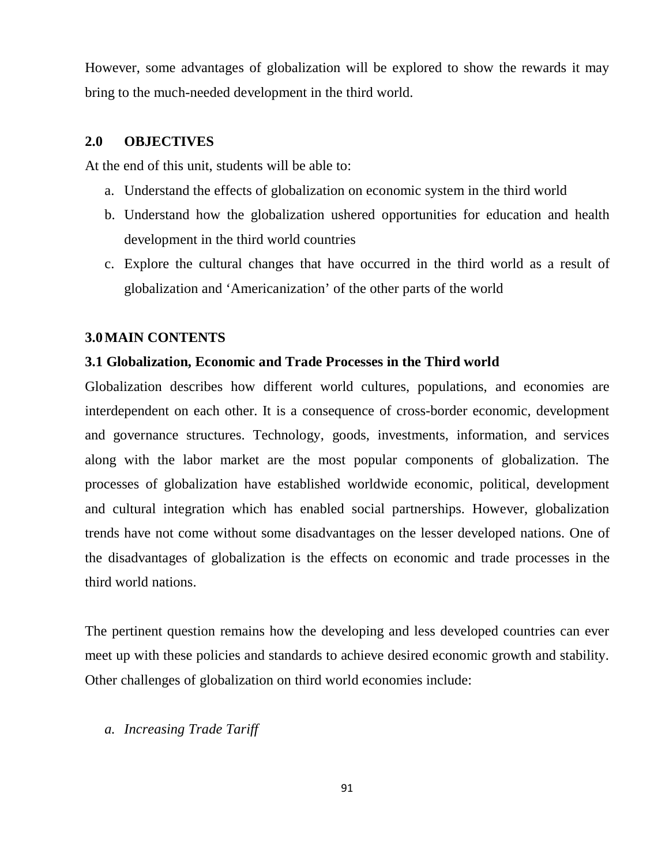However, some advantages of globalization will be explored to show the rewards it may bring to the much-needed development in the third world.

#### **2.0 OBJECTIVES**

At the end of this unit, students will be able to:

- a. Understand the effects of globalization on economic system in the third world
- b. Understand how the globalization ushered opportunities for education and health development in the third world countries
- c. Explore the cultural changes that have occurred in the third world as a result of globalization and 'Americanization' of the other parts of the world

#### **3.0MAIN CONTENTS**

#### **3.1 Globalization, Economic and Trade Processes in the Third world**

Globalization describes how different world cultures, populations, and economies are interdependent on each other. It is a consequence of cross-border economic, development and governance structures. Technology, goods, investments, information, and services along with the labor market are the most popular components of globalization. The processes of globalization have established worldwide economic, political, development and cultural integration which has enabled social partnerships. However, globalization trends have not come without some disadvantages on the lesser developed nations. One of the disadvantages of globalization is the effects on economic and trade processes in the third world nations.

The pertinent question remains how the developing and less developed countries can ever meet up with these policies and standards to achieve desired economic growth and stability. Other challenges of globalization on third world economies include:

*a. Increasing Trade Tariff*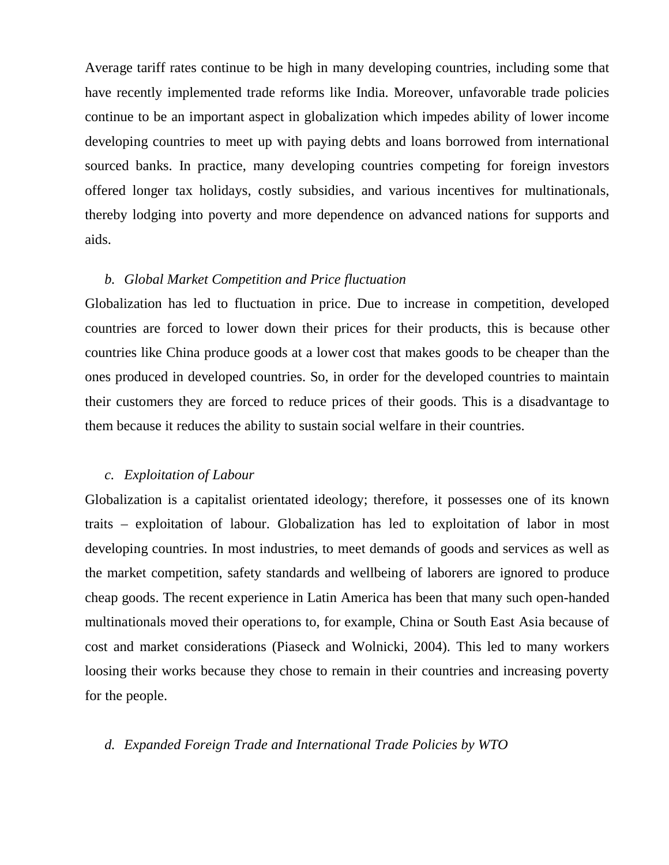Average tariff rates continue to be high in many developing countries, including some that have recently implemented trade reforms like India. Moreover, unfavorable trade policies continue to be an important aspect in globalization which impedes ability of lower income developing countries to meet up with paying debts and loans borrowed from international sourced banks. In practice, many developing countries competing for foreign investors offered longer tax holidays, costly subsidies, and various incentives for multinationals, thereby lodging into poverty and more dependence on advanced nations for supports and aids.

#### *b. Global Market Competition and Price fluctuation*

Globalization has led to fluctuation in price. Due to increase in competition, developed countries are forced to lower down their prices for their products, this is because other countries like China produce goods at a lower cost that makes goods to be cheaper than the ones produced in developed countries. So, in order for the developed countries to maintain their customers they are forced to reduce prices of their goods. This is a disadvantage to them because it reduces the ability to sustain social welfare in their countries.

### *c. Exploitation of Labour*

Globalization is a capitalist orientated ideology; therefore, it possesses one of its known traits – exploitation of labour. Globalization has led to exploitation of labor in most developing countries. In most industries, to meet demands of goods and services as well as the market competition, safety standards and wellbeing of laborers are ignored to produce cheap goods. The recent experience in Latin America has been that many such open-handed multinationals moved their operations to, for example, China or South East Asia because of cost and market considerations (Piaseck and Wolnicki, 2004). This led to many workers loosing their works because they chose to remain in their countries and increasing poverty for the people.

#### *d. Expanded Foreign Trade and International Trade Policies by WTO*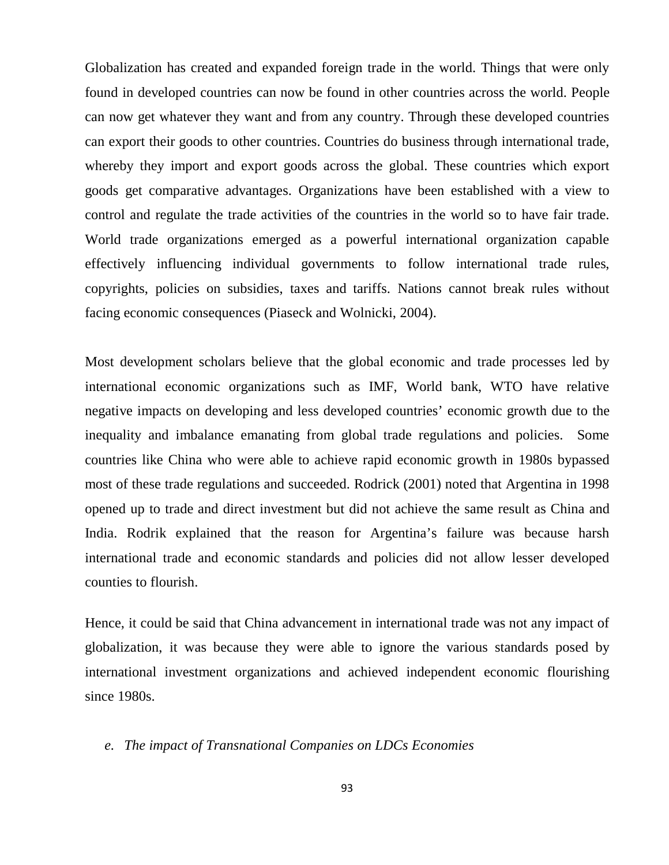Globalization has created and expanded foreign trade in the world. Things that were only found in developed countries can now be found in other countries across the world. People can now get whatever they want and from any country. Through these developed countries can export their goods to other countries. Countries do business through international trade, whereby they import and export goods across the global. These countries which export goods get comparative advantages. Organizations have been established with a view to control and regulate the trade activities of the countries in the world so to have fair trade. World trade organizations emerged as a powerful international organization capable effectively influencing individual governments to follow international trade rules, copyrights, policies on subsidies, taxes and tariffs. Nations cannot break rules without facing economic consequences (Piaseck and Wolnicki, 2004).

Most development scholars believe that the global economic and trade processes led by international economic organizations such as IMF, World bank, WTO have relative negative impacts on developing and less developed countries' economic growth due to the inequality and imbalance emanating from global trade regulations and policies. Some countries like China who were able to achieve rapid economic growth in 1980s bypassed most of these trade regulations and succeeded. Rodrick (2001) noted that Argentina in 1998 opened up to trade and direct investment but did not achieve the same result as China and India. Rodrik explained that the reason for Argentina's failure was because harsh international trade and economic standards and policies did not allow lesser developed counties to flourish.

Hence, it could be said that China advancement in international trade was not any impact of globalization, it was because they were able to ignore the various standards posed by international investment organizations and achieved independent economic flourishing since 1980s.

#### *e. The impact of Transnational Companies on LDCs Economies*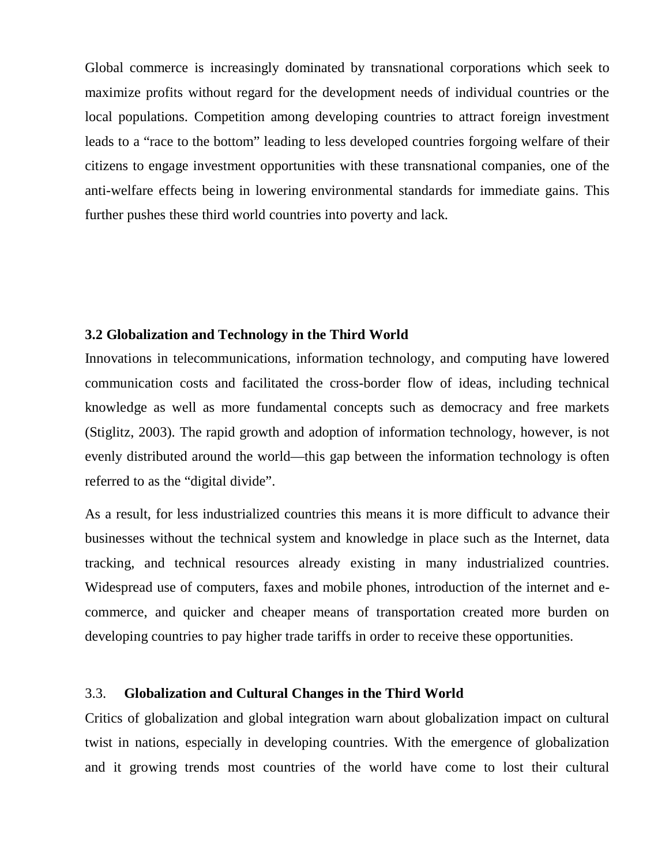Global commerce is increasingly dominated by transnational corporations which seek to maximize profits without regard for the development needs of individual countries or the local populations. Competition among developing countries to attract foreign investment leads to a "race to the bottom" leading to less developed countries forgoing welfare of their citizens to engage investment opportunities with these transnational companies, one of the anti-welfare effects being in lowering environmental standards for immediate gains. This further pushes these third world countries into poverty and lack.

## **3.2 Globalization and Technology in the Third World**

Innovations in telecommunications, information technology, and computing have lowered communication costs and facilitated the cross-border flow of ideas, including technical knowledge as well as more fundamental concepts such as democracy and free markets (Stiglitz, 2003). The rapid growth and adoption of information technology, however, is not evenly distributed around the world—this gap between the information technology is often referred to as the "digital divide".

As a result, for less industrialized countries this means it is more difficult to advance their businesses without the technical system and knowledge in place such as the Internet, data tracking, and technical resources already existing in many industrialized countries. Widespread use of computers, faxes and mobile phones, introduction of the internet and ecommerce, and quicker and cheaper means of transportation created more burden on developing countries to pay higher trade tariffs in order to receive these opportunities.

## 3.3. **Globalization and Cultural Changes in the Third World**

Critics of globalization and global integration warn about globalization impact on cultural twist in nations, especially in developing countries. With the emergence of globalization and it growing trends most countries of the world have come to lost their cultural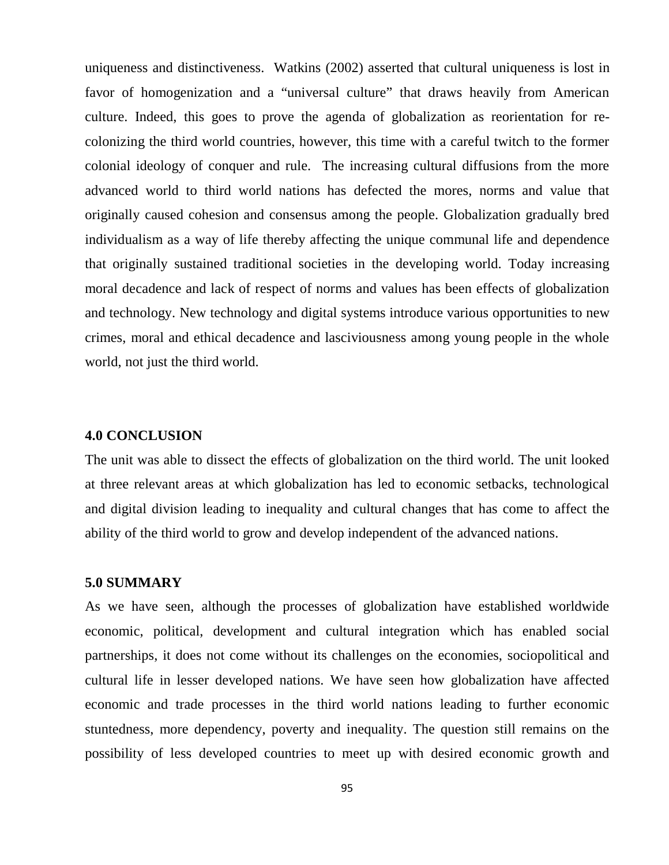uniqueness and distinctiveness. Watkins (2002) asserted that cultural uniqueness is lost in favor of homogenization and a "universal culture" that draws heavily from American culture. Indeed, this goes to prove the agenda of globalization as reorientation for recolonizing the third world countries, however, this time with a careful twitch to the former colonial ideology of conquer and rule. The increasing cultural diffusions from the more advanced world to third world nations has defected the mores, norms and value that originally caused cohesion and consensus among the people. Globalization gradually bred individualism as a way of life thereby affecting the unique communal life and dependence that originally sustained traditional societies in the developing world. Today increasing moral decadence and lack of respect of norms and values has been effects of globalization and technology. New technology and digital systems introduce various opportunities to new crimes, moral and ethical decadence and lasciviousness among young people in the whole world, not just the third world.

#### **4.0 CONCLUSION**

The unit was able to dissect the effects of globalization on the third world. The unit looked at three relevant areas at which globalization has led to economic setbacks, technological and digital division leading to inequality and cultural changes that has come to affect the ability of the third world to grow and develop independent of the advanced nations.

#### **5.0 SUMMARY**

As we have seen, although the processes of globalization have established worldwide economic, political, development and cultural integration which has enabled social partnerships, it does not come without its challenges on the economies, sociopolitical and cultural life in lesser developed nations. We have seen how globalization have affected economic and trade processes in the third world nations leading to further economic stuntedness, more dependency, poverty and inequality. The question still remains on the possibility of less developed countries to meet up with desired economic growth and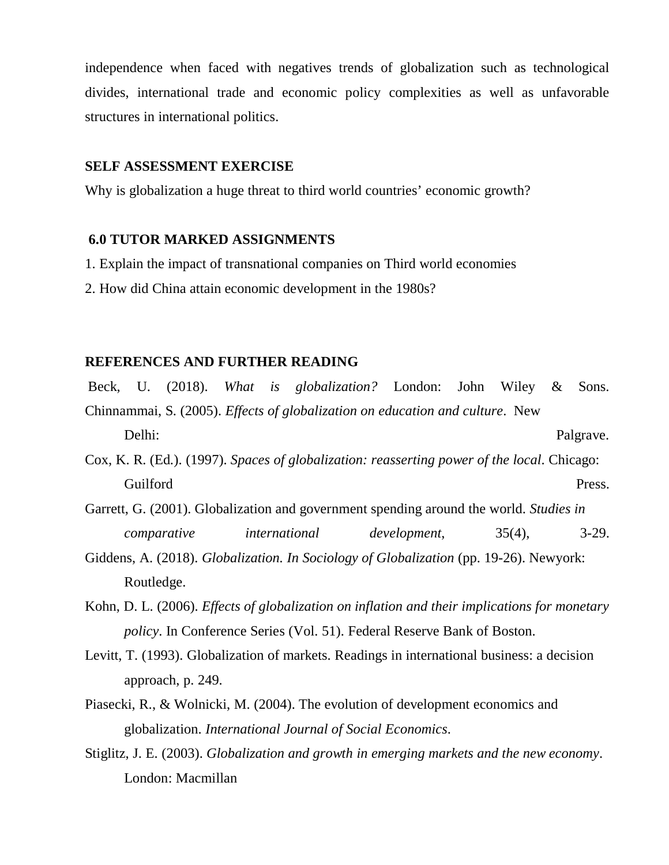independence when faced with negatives trends of globalization such as technological divides, international trade and economic policy complexities as well as unfavorable structures in international politics.

#### **SELF ASSESSMENT EXERCISE**

Why is globalization a huge threat to third world countries' economic growth?

### **6.0 TUTOR MARKED ASSIGNMENTS**

- 1. Explain the impact of transnational companies on Third world economies
- 2. How did China attain economic development in the 1980s?

#### **REFERENCES AND FURTHER READING**

Beck, U. (2018). *What is globalization?* London: John Wiley & Sons. Chinnammai, S. (2005). *Effects of globalization on education and culture*. New Delhi: Palgrave.

- Cox, K. R. (Ed.). (1997). *Spaces of globalization: reasserting power of the local*. Chicago: Guilford Press.
- Garrett, G. (2001). Globalization and government spending around the world. *Studies in comparative international development*, 35(4), 3-29.
- Giddens, A. (2018). *Globalization. In Sociology of Globalization* (pp. 19-26). Newyork: Routledge.
- Kohn, D. L. (2006). *Effects of globalization on inflation and their implications for monetary policy*. In Conference Series (Vol. 51). Federal Reserve Bank of Boston.
- Levitt, T. (1993). Globalization of markets. Readings in international business: a decision approach, p. 249.
- Piasecki, R., & Wolnicki, M. (2004). The evolution of development economics and globalization. *International Journal of Social Economics*.
- Stiglitz, J. E. (2003). *Globalization and growth in emerging markets and the new economy*. London: Macmillan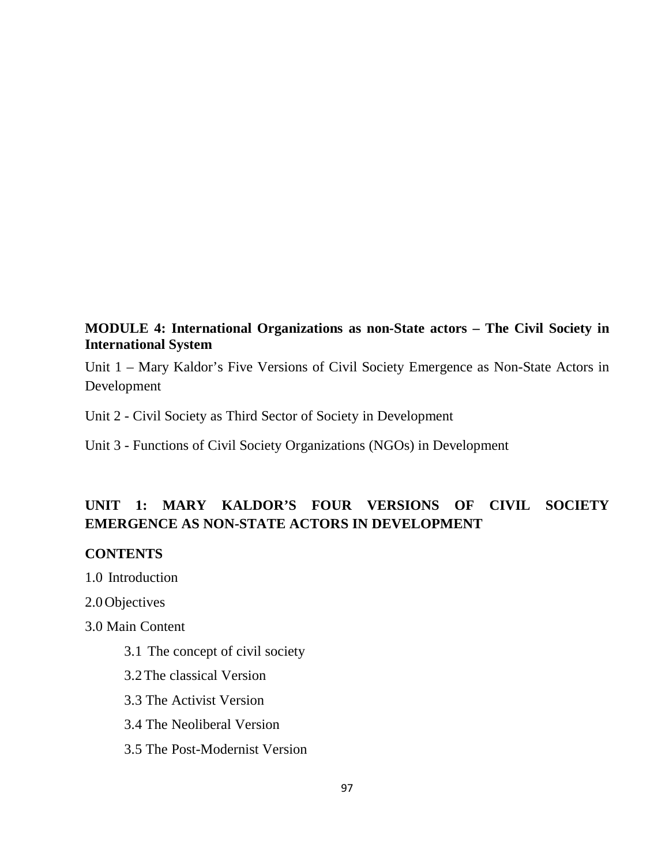## **MODULE 4: International Organizations as non-State actors – The Civil Society in International System**

Unit 1 – Mary Kaldor's Five Versions of Civil Society Emergence as Non-State Actors in Development

Unit 2 - Civil Society as Third Sector of Society in Development

Unit 3 - Functions of Civil Society Organizations (NGOs) in Development

## **UNIT 1: MARY KALDOR'S FOUR VERSIONS OF CIVIL SOCIETY EMERGENCE AS NON-STATE ACTORS IN DEVELOPMENT**

## **CONTENTS**

1.0 Introduction

2.0Objectives

3.0 Main Content

- 3.1 The concept of civil society
- 3.2The classical Version
- 3.3 The Activist Version
- 3.4 The Neoliberal Version
- 3.5 The Post-Modernist Version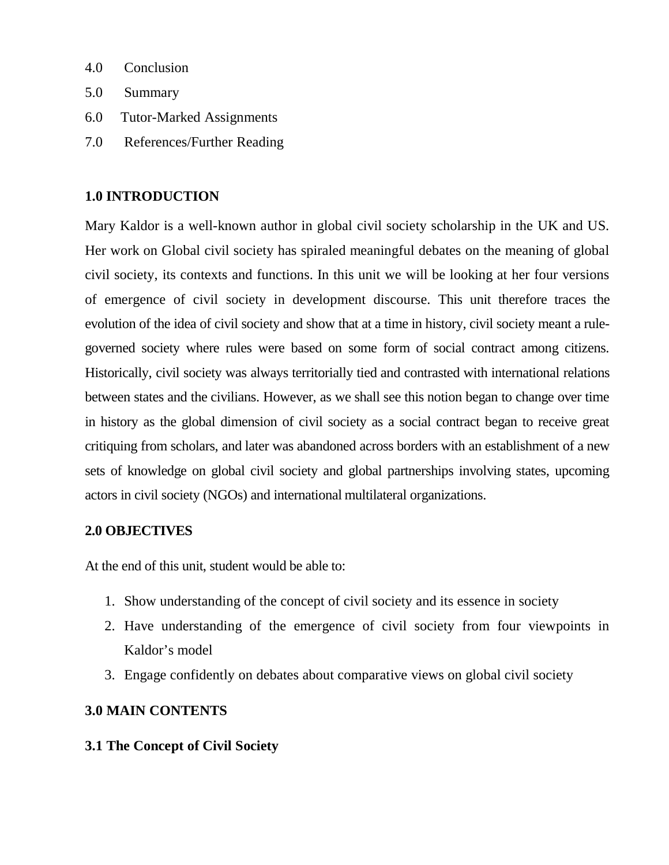- 4.0 Conclusion
- 5.0 Summary
- 6.0 Tutor-Marked Assignments
- 7.0 References/Further Reading

## **1.0 INTRODUCTION**

Mary Kaldor is a well-known author in global civil society scholarship in the UK and US. Her work on Global civil society has spiraled meaningful debates on the meaning of global civil society, its contexts and functions. In this unit we will be looking at her four versions of emergence of civil society in development discourse. This unit therefore traces the evolution of the idea of civil society and show that at a time in history, civil society meant a rulegoverned society where rules were based on some form of social contract among citizens. Historically, civil society was always territorially tied and contrasted with international relations between states and the civilians. However, as we shall see this notion began to change over time in history as the global dimension of civil society as a social contract began to receive great critiquing from scholars, and later was abandoned across borders with an establishment of a new sets of knowledge on global civil society and global partnerships involving states, upcoming actors in civil society (NGOs) and international multilateral organizations.

## **2.0 OBJECTIVES**

At the end of this unit, student would be able to:

- 1. Show understanding of the concept of civil society and its essence in society
- 2. Have understanding of the emergence of civil society from four viewpoints in Kaldor's model
- 3. Engage confidently on debates about comparative views on global civil society

## **3.0 MAIN CONTENTS**

## **3.1 The Concept of Civil Society**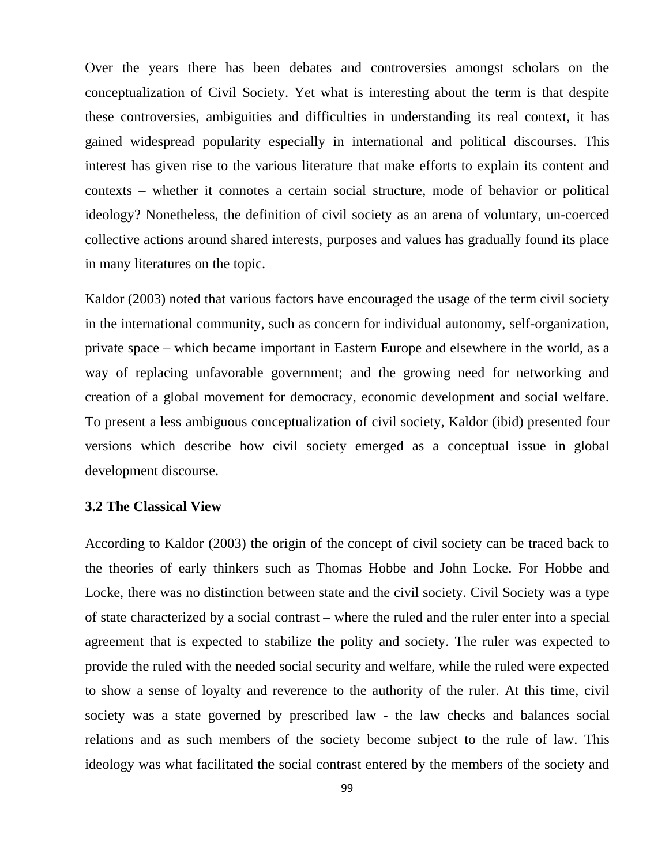Over the years there has been debates and controversies amongst scholars on the conceptualization of Civil Society. Yet what is interesting about the term is that despite these controversies, ambiguities and difficulties in understanding its real context, it has gained widespread popularity especially in international and political discourses. This interest has given rise to the various literature that make efforts to explain its content and contexts – whether it connotes a certain social structure, mode of behavior or political ideology? Nonetheless, the definition of civil society as an arena of voluntary, un-coerced collective actions around shared interests, purposes and values has gradually found its place in many literatures on the topic.

Kaldor (2003) noted that various factors have encouraged the usage of the term civil society in the international community, such as concern for individual autonomy, self-organization, private space – which became important in Eastern Europe and elsewhere in the world, as a way of replacing unfavorable government; and the growing need for networking and creation of a global movement for democracy, economic development and social welfare. To present a less ambiguous conceptualization of civil society, Kaldor (ibid) presented four versions which describe how civil society emerged as a conceptual issue in global development discourse.

## **3.2 The Classical View**

According to Kaldor (2003) the origin of the concept of civil society can be traced back to the theories of early thinkers such as Thomas Hobbe and John Locke. For Hobbe and Locke, there was no distinction between state and the civil society. Civil Society was a type of state characterized by a social contrast – where the ruled and the ruler enter into a special agreement that is expected to stabilize the polity and society. The ruler was expected to provide the ruled with the needed social security and welfare, while the ruled were expected to show a sense of loyalty and reverence to the authority of the ruler. At this time, civil society was a state governed by prescribed law - the law checks and balances social relations and as such members of the society become subject to the rule of law. This ideology was what facilitated the social contrast entered by the members of the society and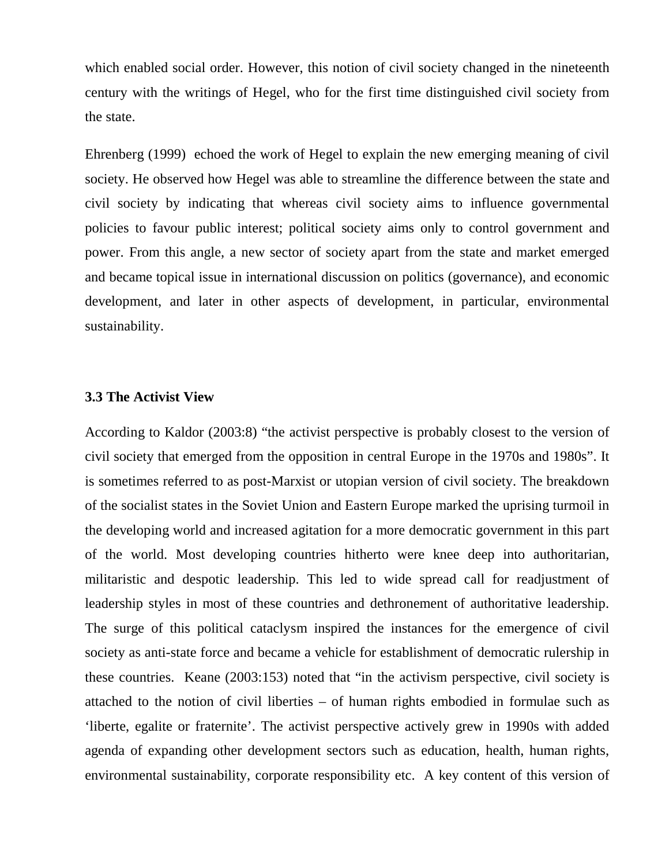which enabled social order. However, this notion of civil society changed in the nineteenth century with the writings of Hegel, who for the first time distinguished civil society from the state.

Ehrenberg (1999) echoed the work of Hegel to explain the new emerging meaning of civil society. He observed how Hegel was able to streamline the difference between the state and civil society by indicating that whereas civil society aims to influence governmental policies to favour public interest; political society aims only to control government and power. From this angle, a new sector of society apart from the state and market emerged and became topical issue in international discussion on politics (governance), and economic development, and later in other aspects of development, in particular, environmental sustainability.

#### **3.3 The Activist View**

According to Kaldor (2003:8) "the activist perspective is probably closest to the version of civil society that emerged from the opposition in central Europe in the 1970s and 1980s". It is sometimes referred to as post-Marxist or utopian version of civil society. The breakdown of the socialist states in the Soviet Union and Eastern Europe marked the uprising turmoil in the developing world and increased agitation for a more democratic government in this part of the world. Most developing countries hitherto were knee deep into authoritarian, militaristic and despotic leadership. This led to wide spread call for readjustment of leadership styles in most of these countries and dethronement of authoritative leadership. The surge of this political cataclysm inspired the instances for the emergence of civil society as anti-state force and became a vehicle for establishment of democratic rulership in these countries. Keane (2003:153) noted that "in the activism perspective, civil society is attached to the notion of civil liberties – of human rights embodied in formulae such as 'liberte, egalite or fraternite'. The activist perspective actively grew in 1990s with added agenda of expanding other development sectors such as education, health, human rights, environmental sustainability, corporate responsibility etc. A key content of this version of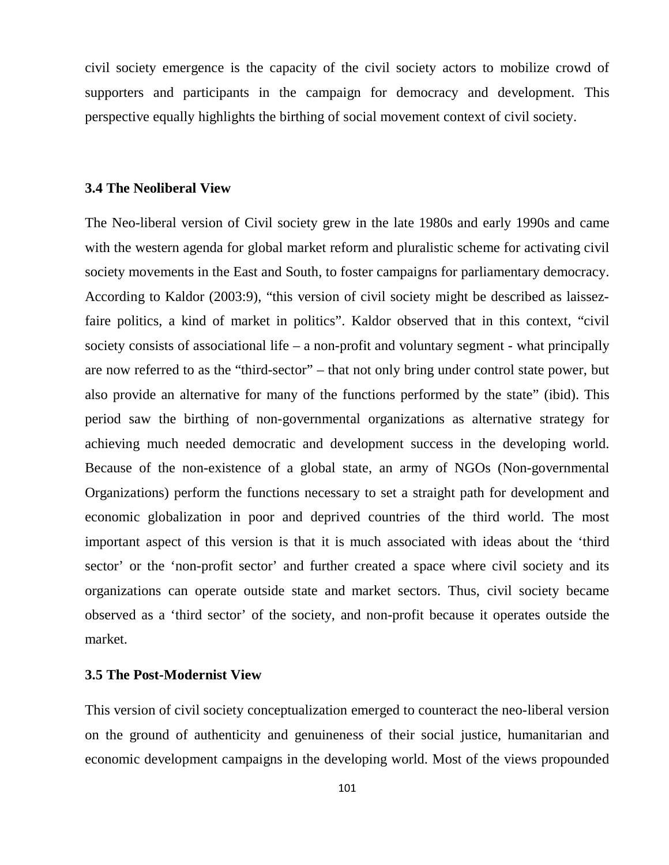civil society emergence is the capacity of the civil society actors to mobilize crowd of supporters and participants in the campaign for democracy and development. This perspective equally highlights the birthing of social movement context of civil society.

#### **3.4 The Neoliberal View**

The Neo-liberal version of Civil society grew in the late 1980s and early 1990s and came with the western agenda for global market reform and pluralistic scheme for activating civil society movements in the East and South, to foster campaigns for parliamentary democracy. According to Kaldor (2003:9), "this version of civil society might be described as laissezfaire politics, a kind of market in politics". Kaldor observed that in this context, "civil society consists of associational life – a non-profit and voluntary segment - what principally are now referred to as the "third-sector" – that not only bring under control state power, but also provide an alternative for many of the functions performed by the state" (ibid). This period saw the birthing of non-governmental organizations as alternative strategy for achieving much needed democratic and development success in the developing world. Because of the non-existence of a global state, an army of NGOs (Non-governmental Organizations) perform the functions necessary to set a straight path for development and economic globalization in poor and deprived countries of the third world. The most important aspect of this version is that it is much associated with ideas about the 'third sector' or the 'non-profit sector' and further created a space where civil society and its organizations can operate outside state and market sectors. Thus, civil society became observed as a 'third sector' of the society, and non-profit because it operates outside the market.

#### **3.5 The Post-Modernist View**

This version of civil society conceptualization emerged to counteract the neo-liberal version on the ground of authenticity and genuineness of their social justice, humanitarian and economic development campaigns in the developing world. Most of the views propounded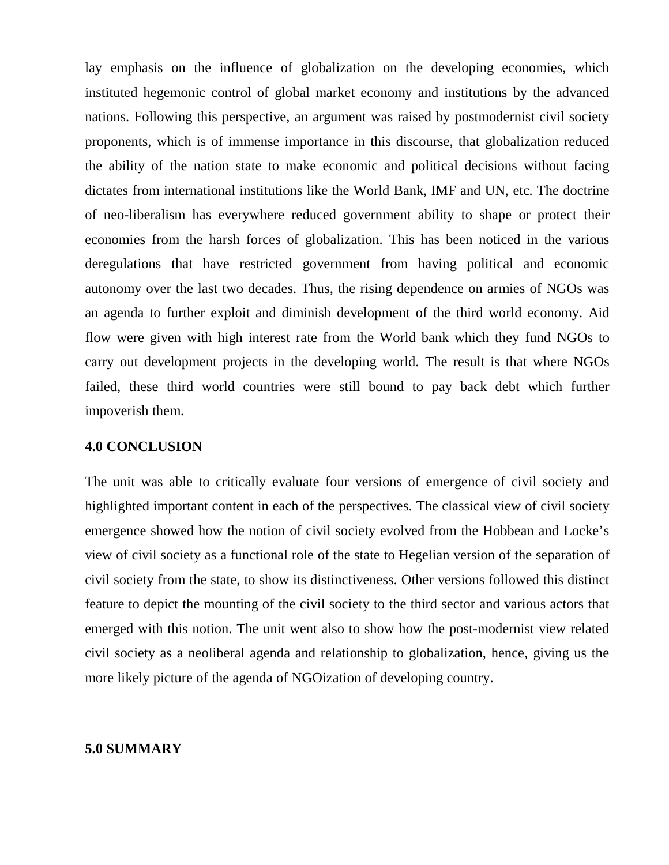lay emphasis on the influence of globalization on the developing economies, which instituted hegemonic control of global market economy and institutions by the advanced nations. Following this perspective, an argument was raised by postmodernist civil society proponents, which is of immense importance in this discourse, that globalization reduced the ability of the nation state to make economic and political decisions without facing dictates from international institutions like the World Bank, IMF and UN, etc. The doctrine of neo-liberalism has everywhere reduced government ability to shape or protect their economies from the harsh forces of globalization. This has been noticed in the various deregulations that have restricted government from having political and economic autonomy over the last two decades. Thus, the rising dependence on armies of NGOs was an agenda to further exploit and diminish development of the third world economy. Aid flow were given with high interest rate from the World bank which they fund NGOs to carry out development projects in the developing world. The result is that where NGOs failed, these third world countries were still bound to pay back debt which further impoverish them.

## **4.0 CONCLUSION**

The unit was able to critically evaluate four versions of emergence of civil society and highlighted important content in each of the perspectives. The classical view of civil society emergence showed how the notion of civil society evolved from the Hobbean and Locke's view of civil society as a functional role of the state to Hegelian version of the separation of civil society from the state, to show its distinctiveness. Other versions followed this distinct feature to depict the mounting of the civil society to the third sector and various actors that emerged with this notion. The unit went also to show how the post-modernist view related civil society as a neoliberal agenda and relationship to globalization, hence, giving us the more likely picture of the agenda of NGOization of developing country.

#### **5.0 SUMMARY**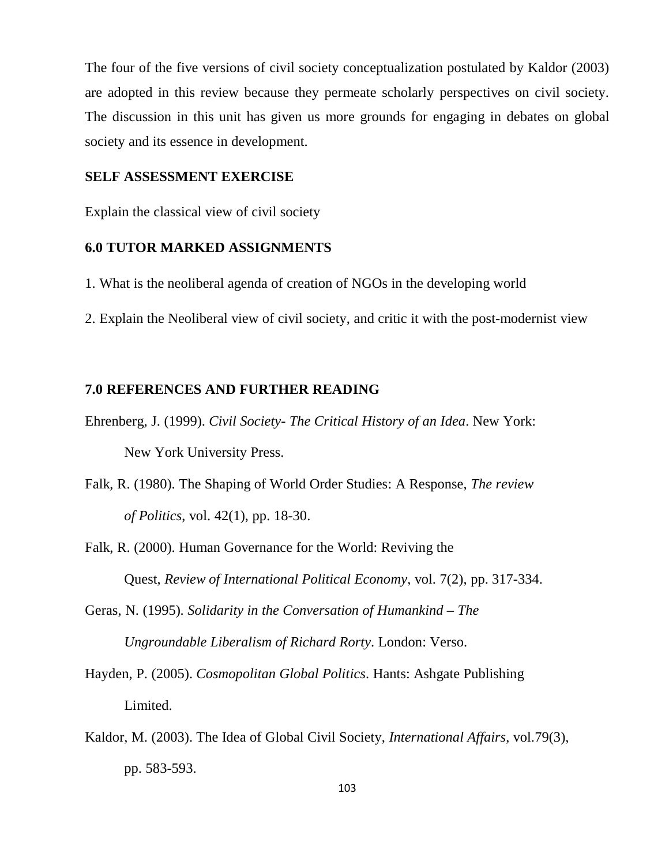The four of the five versions of civil society conceptualization postulated by Kaldor (2003) are adopted in this review because they permeate scholarly perspectives on civil society. The discussion in this unit has given us more grounds for engaging in debates on global society and its essence in development.

#### **SELF ASSESSMENT EXERCISE**

Explain the classical view of civil society

#### **6.0 TUTOR MARKED ASSIGNMENTS**

- 1. What is the neoliberal agenda of creation of NGOs in the developing world
- 2. Explain the Neoliberal view of civil society, and critic it with the post-modernist view

#### **7.0 REFERENCES AND FURTHER READING**

- Ehrenberg, J. (1999). *Civil Society- The Critical History of an Idea*. New York: New York University Press.
- Falk, R. (1980). The Shaping of World Order Studies: A Response, *The review of Politics*, vol. 42(1), pp. 18-30.
- Falk, R. (2000). Human Governance for the World: Reviving the Quest, *Review of International Political Economy*, vol. 7(2), pp. 317-334.
- Geras, N. (1995). *Solidarity in the Conversation of Humankind The Ungroundable Liberalism of Richard Rorty*. London: Verso.
- Hayden, P. (2005). *Cosmopolitan Global Politics*. Hants: Ashgate Publishing Limited.
- Kaldor, M. (2003). The Idea of Global Civil Society, *International Affairs*, vol.79(3), pp. 583-593.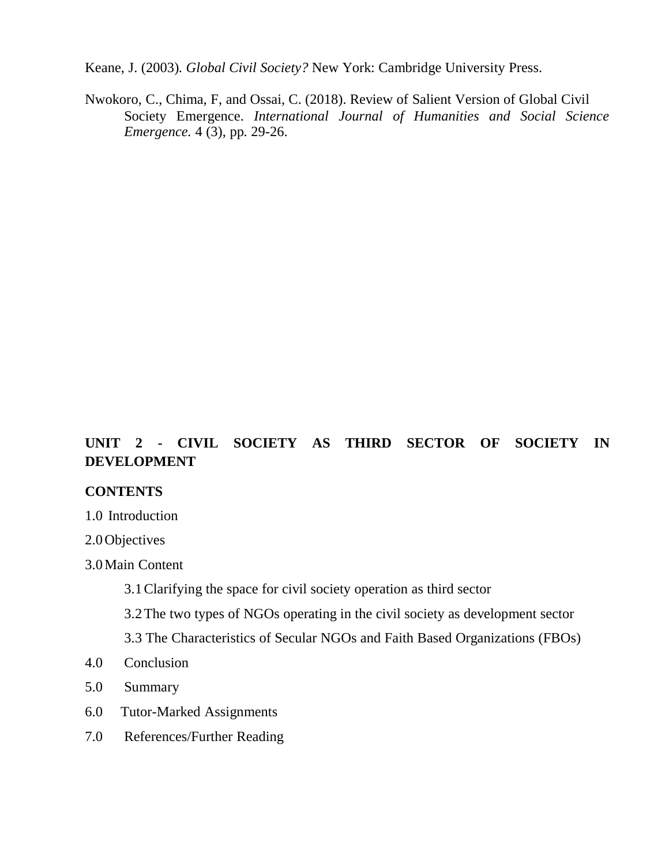Keane, J. (2003). *Global Civil Society?* New York: Cambridge University Press.

Nwokoro, C., Chima, F, and Ossai, C. (2018). Review of Salient Version of Global Civil Society Emergence. *International Journal of Humanities and Social Science Emergence.* 4 (3), pp. 29-26.

## **UNIT 2 - CIVIL SOCIETY AS THIRD SECTOR OF SOCIETY IN DEVELOPMENT**

## **CONTENTS**

1.0 Introduction

2.0Objectives

3.0Main Content

3.1Clarifying the space for civil society operation as third sector

3.2The two types of NGOs operating in the civil society as development sector

3.3 The Characteristics of Secular NGOs and Faith Based Organizations (FBOs)

- 4.0 Conclusion
- 5.0 Summary
- 6.0 Tutor-Marked Assignments
- 7.0 References/Further Reading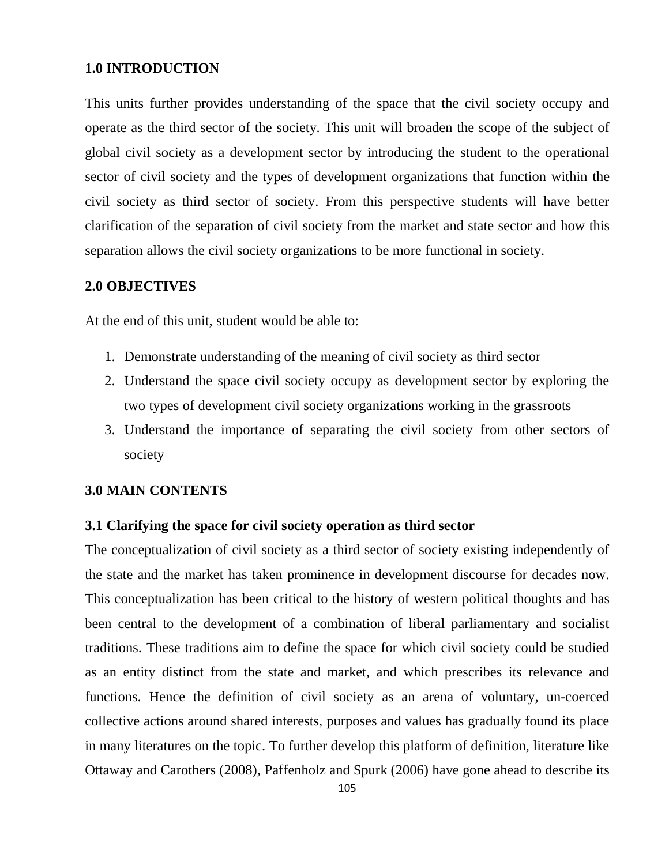### **1.0 INTRODUCTION**

This units further provides understanding of the space that the civil society occupy and operate as the third sector of the society. This unit will broaden the scope of the subject of global civil society as a development sector by introducing the student to the operational sector of civil society and the types of development organizations that function within the civil society as third sector of society. From this perspective students will have better clarification of the separation of civil society from the market and state sector and how this separation allows the civil society organizations to be more functional in society.

#### **2.0 OBJECTIVES**

At the end of this unit, student would be able to:

- 1. Demonstrate understanding of the meaning of civil society as third sector
- 2. Understand the space civil society occupy as development sector by exploring the two types of development civil society organizations working in the grassroots
- 3. Understand the importance of separating the civil society from other sectors of society

#### **3.0 MAIN CONTENTS**

#### **3.1 Clarifying the space for civil society operation as third sector**

The conceptualization of civil society as a third sector of society existing independently of the state and the market has taken prominence in development discourse for decades now. This conceptualization has been critical to the history of western political thoughts and has been central to the development of a combination of liberal parliamentary and socialist traditions. These traditions aim to define the space for which civil society could be studied as an entity distinct from the state and market, and which prescribes its relevance and functions. Hence the definition of civil society as an arena of voluntary, un-coerced collective actions around shared interests, purposes and values has gradually found its place in many literatures on the topic. To further develop this platform of definition, literature like Ottaway and Carothers (2008), Paffenholz and Spurk (2006) have gone ahead to describe its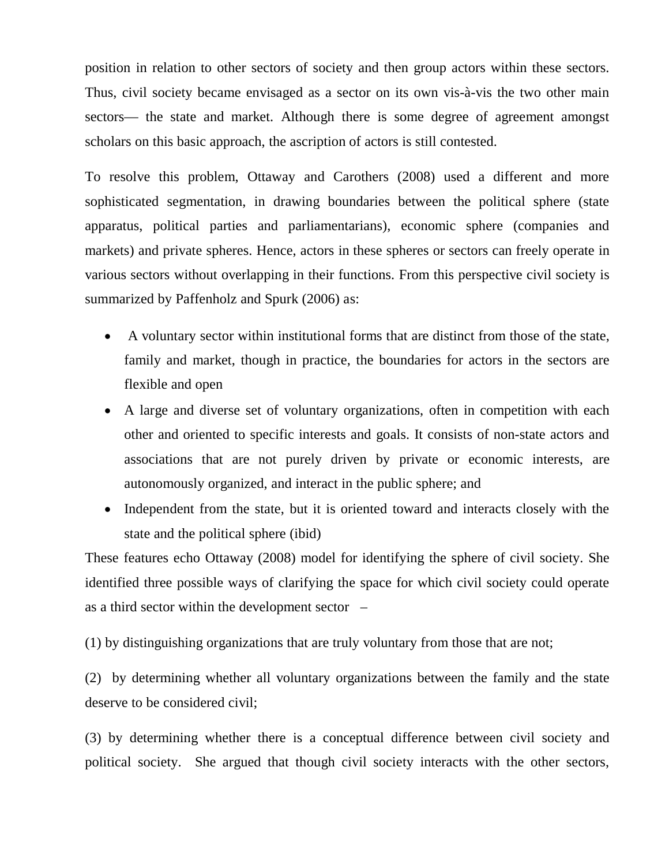position in relation to other sectors of society and then group actors within these sectors. Thus, civil society became envisaged as a sector on its own vis-à-vis the two other main sectors— the state and market. Although there is some degree of agreement amongst scholars on this basic approach, the ascription of actors is still contested.

To resolve this problem, Ottaway and Carothers (2008) used a different and more sophisticated segmentation, in drawing boundaries between the political sphere (state apparatus, political parties and parliamentarians), economic sphere (companies and markets) and private spheres. Hence, actors in these spheres or sectors can freely operate in various sectors without overlapping in their functions. From this perspective civil society is summarized by Paffenholz and Spurk (2006) as:

- A voluntary sector within institutional forms that are distinct from those of the state, family and market, though in practice, the boundaries for actors in the sectors are flexible and open
- A large and diverse set of voluntary organizations, often in competition with each other and oriented to specific interests and goals. It consists of non-state actors and associations that are not purely driven by private or economic interests, are autonomously organized, and interact in the public sphere; and
- Independent from the state, but it is oriented toward and interacts closely with the state and the political sphere (ibid)

These features echo Ottaway (2008) model for identifying the sphere of civil society. She identified three possible ways of clarifying the space for which civil society could operate as a third sector within the development sector –

(1) by distinguishing organizations that are truly voluntary from those that are not;

(2) by determining whether all voluntary organizations between the family and the state deserve to be considered civil;

(3) by determining whether there is a conceptual difference between civil society and political society. She argued that though civil society interacts with the other sectors,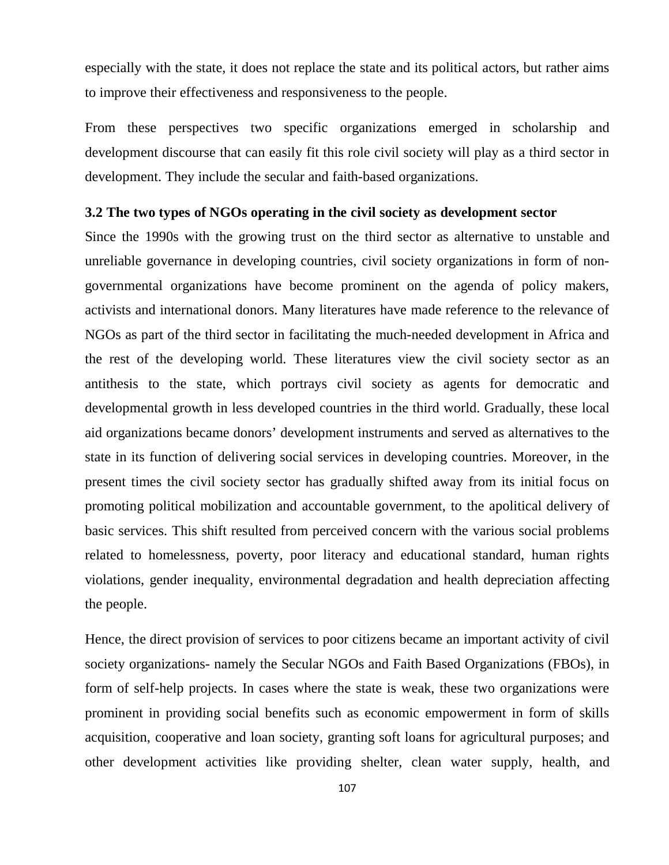especially with the state, it does not replace the state and its political actors, but rather aims to improve their effectiveness and responsiveness to the people.

From these perspectives two specific organizations emerged in scholarship and development discourse that can easily fit this role civil society will play as a third sector in development. They include the secular and faith-based organizations.

#### **3.2 The two types of NGOs operating in the civil society as development sector**

Since the 1990s with the growing trust on the third sector as alternative to unstable and unreliable governance in developing countries, civil society organizations in form of nongovernmental organizations have become prominent on the agenda of policy makers, activists and international donors. Many literatures have made reference to the relevance of NGOs as part of the third sector in facilitating the much-needed development in Africa and the rest of the developing world. These literatures view the civil society sector as an antithesis to the state, which portrays civil society as agents for democratic and developmental growth in less developed countries in the third world. Gradually, these local aid organizations became donors' development instruments and served as alternatives to the state in its function of delivering social services in developing countries. Moreover, in the present times the civil society sector has gradually shifted away from its initial focus on promoting political mobilization and accountable government, to the apolitical delivery of basic services. This shift resulted from perceived concern with the various social problems related to homelessness, poverty, poor literacy and educational standard, human rights violations, gender inequality, environmental degradation and health depreciation affecting the people.

Hence, the direct provision of services to poor citizens became an important activity of civil society organizations- namely the Secular NGOs and Faith Based Organizations (FBOs), in form of self-help projects. In cases where the state is weak, these two organizations were prominent in providing social benefits such as economic empowerment in form of skills acquisition, cooperative and loan society, granting soft loans for agricultural purposes; and other development activities like providing shelter, clean water supply, health, and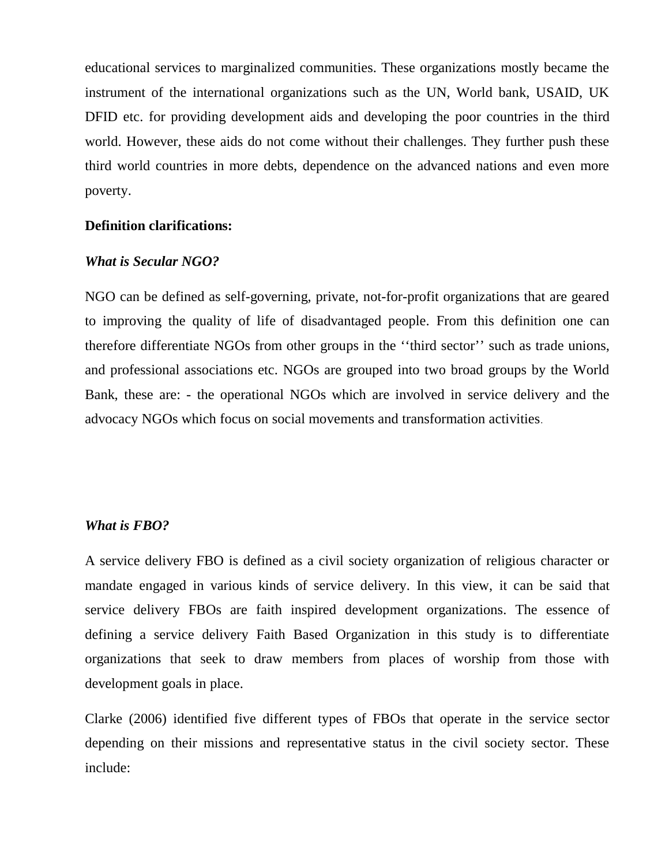educational services to marginalized communities. These organizations mostly became the instrument of the international organizations such as the UN, World bank, USAID, UK DFID etc. for providing development aids and developing the poor countries in the third world. However, these aids do not come without their challenges. They further push these third world countries in more debts, dependence on the advanced nations and even more poverty.

#### **Definition clarifications:**

#### *What is Secular NGO?*

NGO can be defined as self-governing, private, not-for-profit organizations that are geared to improving the quality of life of disadvantaged people. From this definition one can therefore differentiate NGOs from other groups in the ''third sector'' such as trade unions, and professional associations etc. NGOs are grouped into two broad groups by the World Bank, these are: - the operational NGOs which are involved in service delivery and the advocacy NGOs which focus on social movements and transformation activities.

#### *What is FBO?*

A service delivery FBO is defined as a civil society organization of religious character or mandate engaged in various kinds of service delivery. In this view, it can be said that service delivery FBOs are faith inspired development organizations. The essence of defining a service delivery Faith Based Organization in this study is to differentiate organizations that seek to draw members from places of worship from those with development goals in place.

Clarke (2006) identified five different types of FBOs that operate in the service sector depending on their missions and representative status in the civil society sector. These include: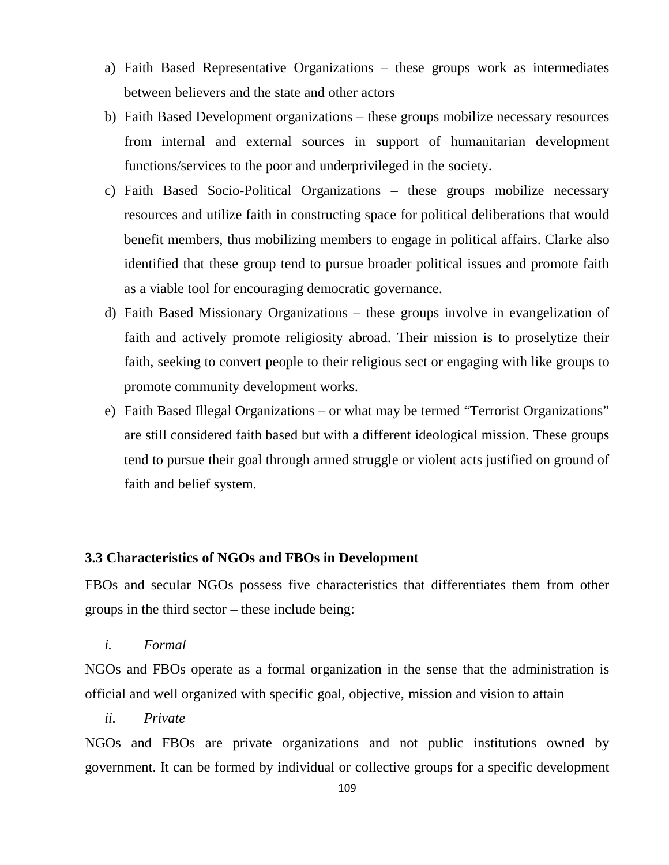- a) Faith Based Representative Organizations these groups work as intermediates between believers and the state and other actors
- b) Faith Based Development organizations these groups mobilize necessary resources from internal and external sources in support of humanitarian development functions/services to the poor and underprivileged in the society.
- c) Faith Based Socio-Political Organizations these groups mobilize necessary resources and utilize faith in constructing space for political deliberations that would benefit members, thus mobilizing members to engage in political affairs. Clarke also identified that these group tend to pursue broader political issues and promote faith as a viable tool for encouraging democratic governance.
- d) Faith Based Missionary Organizations these groups involve in evangelization of faith and actively promote religiosity abroad. Their mission is to proselytize their faith, seeking to convert people to their religious sect or engaging with like groups to promote community development works.
- e) Faith Based Illegal Organizations or what may be termed "Terrorist Organizations" are still considered faith based but with a different ideological mission. These groups tend to pursue their goal through armed struggle or violent acts justified on ground of faith and belief system.

# **3.3 Characteristics of NGOs and FBOs in Development**

FBOs and secular NGOs possess five characteristics that differentiates them from other groups in the third sector – these include being:

*i. Formal* 

NGOs and FBOs operate as a formal organization in the sense that the administration is official and well organized with specific goal, objective, mission and vision to attain

*ii. Private* 

NGOs and FBOs are private organizations and not public institutions owned by government. It can be formed by individual or collective groups for a specific development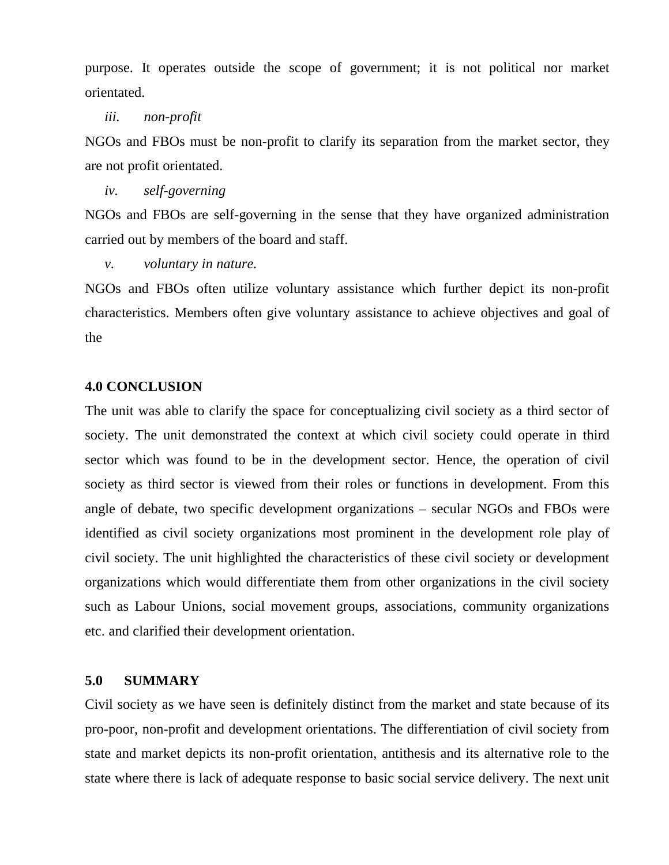purpose. It operates outside the scope of government; it is not political nor market orientated.

#### *iii. non-profit*

NGOs and FBOs must be non-profit to clarify its separation from the market sector, they are not profit orientated.

*iv. self-governing* 

NGOs and FBOs are self-governing in the sense that they have organized administration carried out by members of the board and staff.

*v. voluntary in nature.* 

NGOs and FBOs often utilize voluntary assistance which further depict its non-profit characteristics. Members often give voluntary assistance to achieve objectives and goal of the

# **4.0 CONCLUSION**

The unit was able to clarify the space for conceptualizing civil society as a third sector of society. The unit demonstrated the context at which civil society could operate in third sector which was found to be in the development sector. Hence, the operation of civil society as third sector is viewed from their roles or functions in development. From this angle of debate, two specific development organizations – secular NGOs and FBOs were identified as civil society organizations most prominent in the development role play of civil society. The unit highlighted the characteristics of these civil society or development organizations which would differentiate them from other organizations in the civil society such as Labour Unions, social movement groups, associations, community organizations etc. and clarified their development orientation.

# **5.0 SUMMARY**

Civil society as we have seen is definitely distinct from the market and state because of its pro-poor, non-profit and development orientations. The differentiation of civil society from state and market depicts its non-profit orientation, antithesis and its alternative role to the state where there is lack of adequate response to basic social service delivery. The next unit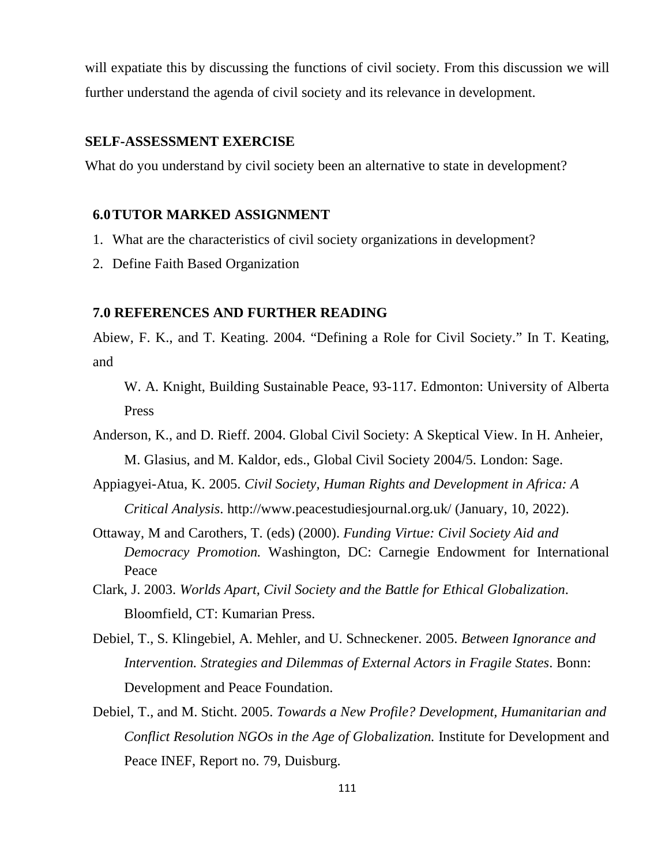will expatiate this by discussing the functions of civil society. From this discussion we will further understand the agenda of civil society and its relevance in development.

# **SELF-ASSESSMENT EXERCISE**

What do you understand by civil society been an alternative to state in development?

#### **6.0TUTOR MARKED ASSIGNMENT**

- 1. What are the characteristics of civil society organizations in development?
- 2. Define Faith Based Organization

#### **7.0 REFERENCES AND FURTHER READING**

Abiew, F. K., and T. Keating. 2004. "Defining a Role for Civil Society." In T. Keating, and

W. A. Knight, Building Sustainable Peace, 93-117. Edmonton: University of Alberta Press

Anderson, K., and D. Rieff. 2004. Global Civil Society: A Skeptical View. In H. Anheier, M. Glasius, and M. Kaldor, eds., Global Civil Society 2004/5. London: Sage.

Appiagyei-Atua, K. 2005. *Civil Society, Human Rights and Development in Africa: A Critical Analysis*. http://www.peacestudiesjournal.org.uk/ (January, 10, 2022).

- Ottaway, M and Carothers, T. (eds) (2000). *Funding Virtue: Civil Society Aid and Democracy Promotion.* Washington, DC: Carnegie Endowment for International Peace
- Clark, J. 2003. *Worlds Apart, Civil Society and the Battle for Ethical Globalization*. Bloomfield, CT: Kumarian Press.
- Debiel, T., S. Klingebiel, A. Mehler, and U. Schneckener. 2005. *Between Ignorance and Intervention. Strategies and Dilemmas of External Actors in Fragile States*. Bonn: Development and Peace Foundation.
- Debiel, T., and M. Sticht. 2005. *Towards a New Profile? Development, Humanitarian and Conflict Resolution NGOs in the Age of Globalization.* Institute for Development and Peace INEF, Report no. 79, Duisburg.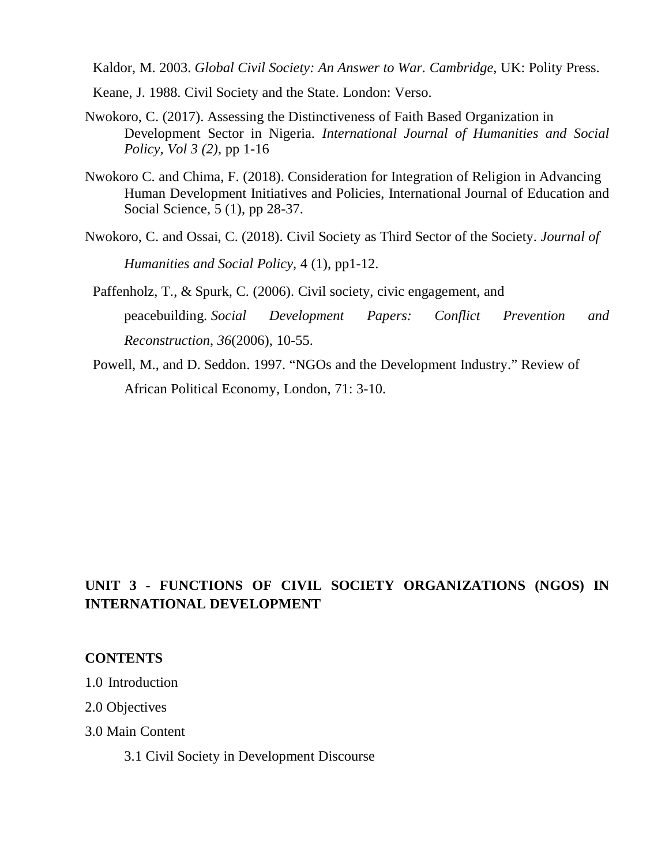Kaldor, M. 2003. *Global Civil Society: An Answer to War. Cambridge,* UK: Polity Press.

- Keane, J. 1988. Civil Society and the State. London: Verso.
- Nwokoro, C. (2017). Assessing the Distinctiveness of Faith Based Organization in Development Sector in Nigeria. *International Journal of Humanities and Social Policy, Vol 3 (2),* pp 1-16
- Nwokoro C. and Chima, F. (2018). Consideration for Integration of Religion in Advancing Human Development Initiatives and Policies, International Journal of Education and Social Science, 5 (1), pp 28-37.
- Nwokoro, C. and Ossai, C. (2018). Civil Society as Third Sector of the Society. *Journal of Humanities and Social Policy,* 4 (1), pp1-12.
- Paffenholz, T., & Spurk, C. (2006). Civil society, civic engagement, and peacebuilding. *Social Development Papers: Conflict Prevention and Reconstruction*, *36*(2006), 10-55.
- Powell, M., and D. Seddon. 1997. "NGOs and the Development Industry." Review of African Political Economy, London, 71: 3-10.

# **UNIT 3 - FUNCTIONS OF CIVIL SOCIETY ORGANIZATIONS (NGOS) IN INTERNATIONAL DEVELOPMENT**

# **CONTENTS**

- 1.0 Introduction
- 2.0 Objectives
- 3.0 Main Content
	- 3.1 Civil Society in Development Discourse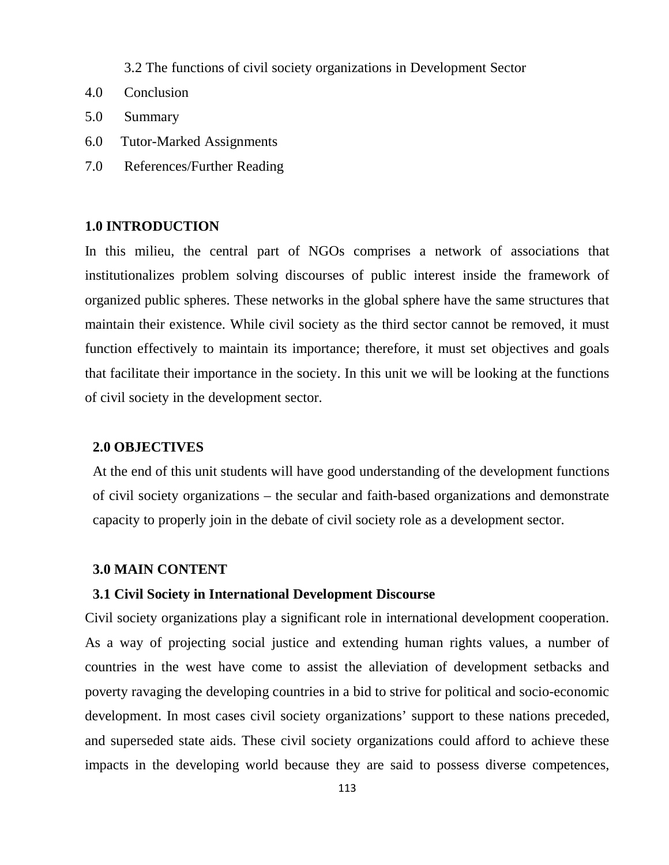3.2 The functions of civil society organizations in Development Sector

- 4.0 Conclusion
- 5.0 Summary
- 6.0 Tutor-Marked Assignments
- 7.0 References/Further Reading

# **1.0 INTRODUCTION**

In this milieu, the central part of NGOs comprises a network of associations that institutionalizes problem solving discourses of public interest inside the framework of organized public spheres. These networks in the global sphere have the same structures that maintain their existence. While civil society as the third sector cannot be removed, it must function effectively to maintain its importance; therefore, it must set objectives and goals that facilitate their importance in the society. In this unit we will be looking at the functions of civil society in the development sector.

# **2.0 OBJECTIVES**

At the end of this unit students will have good understanding of the development functions of civil society organizations – the secular and faith-based organizations and demonstrate capacity to properly join in the debate of civil society role as a development sector.

#### **3.0 MAIN CONTENT**

## **3.1 Civil Society in International Development Discourse**

Civil society organizations play a significant role in international development cooperation. As a way of projecting social justice and extending human rights values, a number of countries in the west have come to assist the alleviation of development setbacks and poverty ravaging the developing countries in a bid to strive for political and socio-economic development. In most cases civil society organizations' support to these nations preceded, and superseded state aids. These civil society organizations could afford to achieve these impacts in the developing world because they are said to possess diverse competences,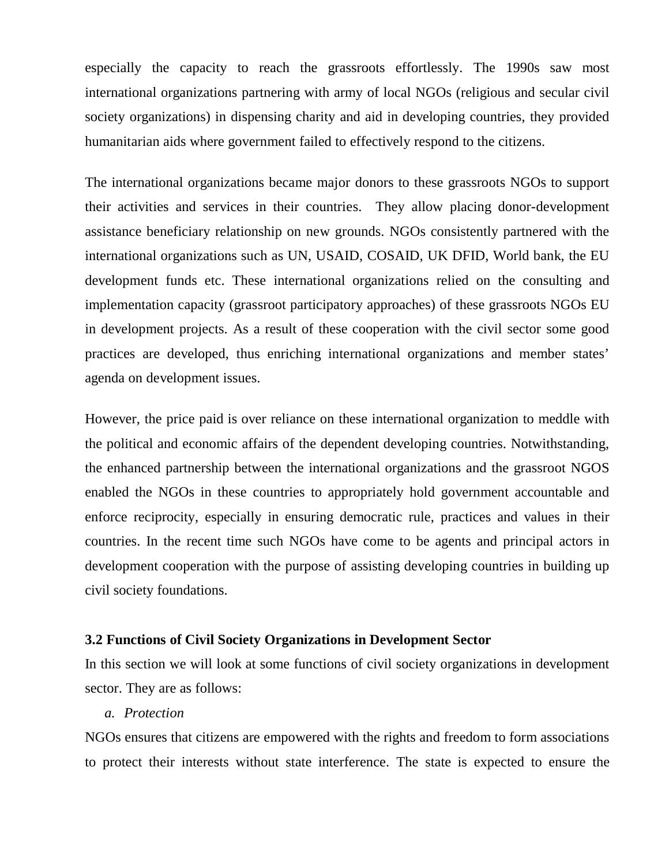especially the capacity to reach the grassroots effortlessly. The 1990s saw most international organizations partnering with army of local NGOs (religious and secular civil society organizations) in dispensing charity and aid in developing countries, they provided humanitarian aids where government failed to effectively respond to the citizens.

The international organizations became major donors to these grassroots NGOs to support their activities and services in their countries. They allow placing donor-development assistance beneficiary relationship on new grounds. NGOs consistently partnered with the international organizations such as UN, USAID, COSAID, UK DFID, World bank, the EU development funds etc. These international organizations relied on the consulting and implementation capacity (grassroot participatory approaches) of these grassroots NGOs EU in development projects. As a result of these cooperation with the civil sector some good practices are developed, thus enriching international organizations and member states' agenda on development issues.

However, the price paid is over reliance on these international organization to meddle with the political and economic affairs of the dependent developing countries. Notwithstanding, the enhanced partnership between the international organizations and the grassroot NGOS enabled the NGOs in these countries to appropriately hold government accountable and enforce reciprocity, especially in ensuring democratic rule, practices and values in their countries. In the recent time such NGOs have come to be agents and principal actors in development cooperation with the purpose of assisting developing countries in building up civil society foundations.

# **3.2 Functions of Civil Society Organizations in Development Sector**

In this section we will look at some functions of civil society organizations in development sector. They are as follows:

#### *a. Protection*

NGOs ensures that citizens are empowered with the rights and freedom to form associations to protect their interests without state interference. The state is expected to ensure the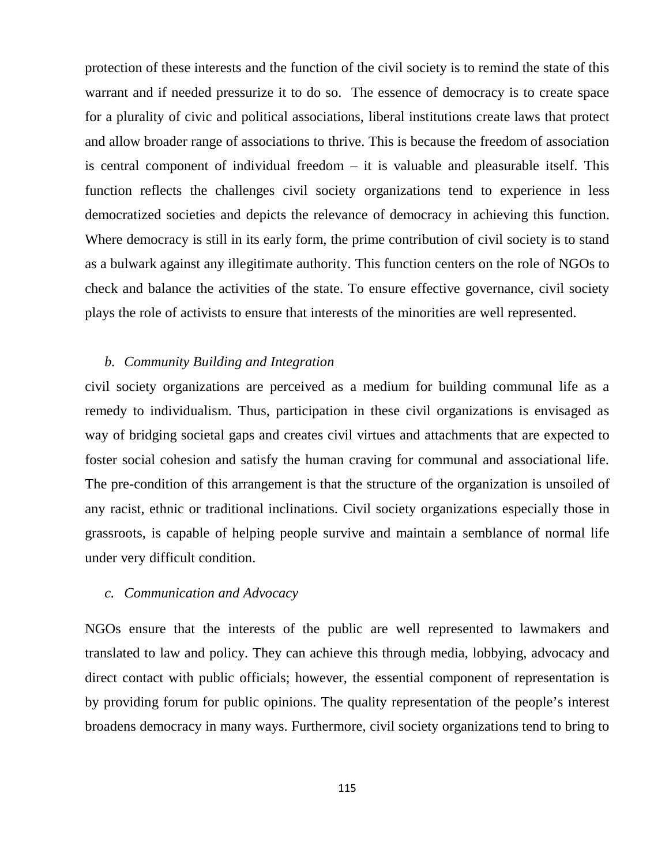protection of these interests and the function of the civil society is to remind the state of this warrant and if needed pressurize it to do so. The essence of democracy is to create space for a plurality of civic and political associations, liberal institutions create laws that protect and allow broader range of associations to thrive. This is because the freedom of association is central component of individual freedom – it is valuable and pleasurable itself. This function reflects the challenges civil society organizations tend to experience in less democratized societies and depicts the relevance of democracy in achieving this function. Where democracy is still in its early form, the prime contribution of civil society is to stand as a bulwark against any illegitimate authority. This function centers on the role of NGOs to check and balance the activities of the state. To ensure effective governance, civil society plays the role of activists to ensure that interests of the minorities are well represented.

# *b. Community Building and Integration*

civil society organizations are perceived as a medium for building communal life as a remedy to individualism. Thus, participation in these civil organizations is envisaged as way of bridging societal gaps and creates civil virtues and attachments that are expected to foster social cohesion and satisfy the human craving for communal and associational life. The pre-condition of this arrangement is that the structure of the organization is unsoiled of any racist, ethnic or traditional inclinations. Civil society organizations especially those in grassroots, is capable of helping people survive and maintain a semblance of normal life under very difficult condition.

#### *c. Communication and Advocacy*

NGOs ensure that the interests of the public are well represented to lawmakers and translated to law and policy. They can achieve this through media, lobbying, advocacy and direct contact with public officials; however, the essential component of representation is by providing forum for public opinions. The quality representation of the people's interest broadens democracy in many ways. Furthermore, civil society organizations tend to bring to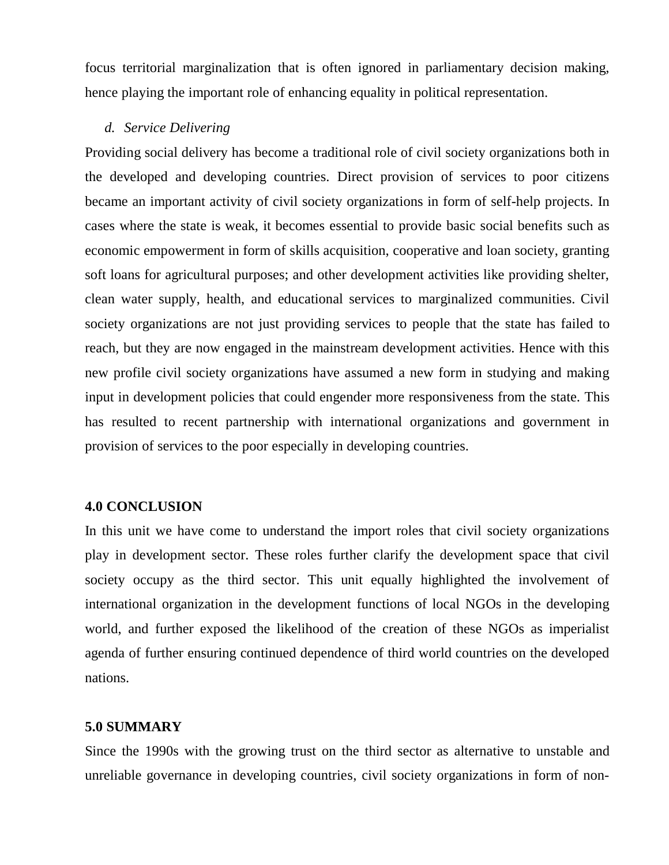focus territorial marginalization that is often ignored in parliamentary decision making, hence playing the important role of enhancing equality in political representation.

# *d. Service Delivering*

Providing social delivery has become a traditional role of civil society organizations both in the developed and developing countries. Direct provision of services to poor citizens became an important activity of civil society organizations in form of self-help projects. In cases where the state is weak, it becomes essential to provide basic social benefits such as economic empowerment in form of skills acquisition, cooperative and loan society, granting soft loans for agricultural purposes; and other development activities like providing shelter, clean water supply, health, and educational services to marginalized communities. Civil society organizations are not just providing services to people that the state has failed to reach, but they are now engaged in the mainstream development activities. Hence with this new profile civil society organizations have assumed a new form in studying and making input in development policies that could engender more responsiveness from the state. This has resulted to recent partnership with international organizations and government in provision of services to the poor especially in developing countries.

# **4.0 CONCLUSION**

In this unit we have come to understand the import roles that civil society organizations play in development sector. These roles further clarify the development space that civil society occupy as the third sector. This unit equally highlighted the involvement of international organization in the development functions of local NGOs in the developing world, and further exposed the likelihood of the creation of these NGOs as imperialist agenda of further ensuring continued dependence of third world countries on the developed nations.

# **5.0 SUMMARY**

Since the 1990s with the growing trust on the third sector as alternative to unstable and unreliable governance in developing countries, civil society organizations in form of non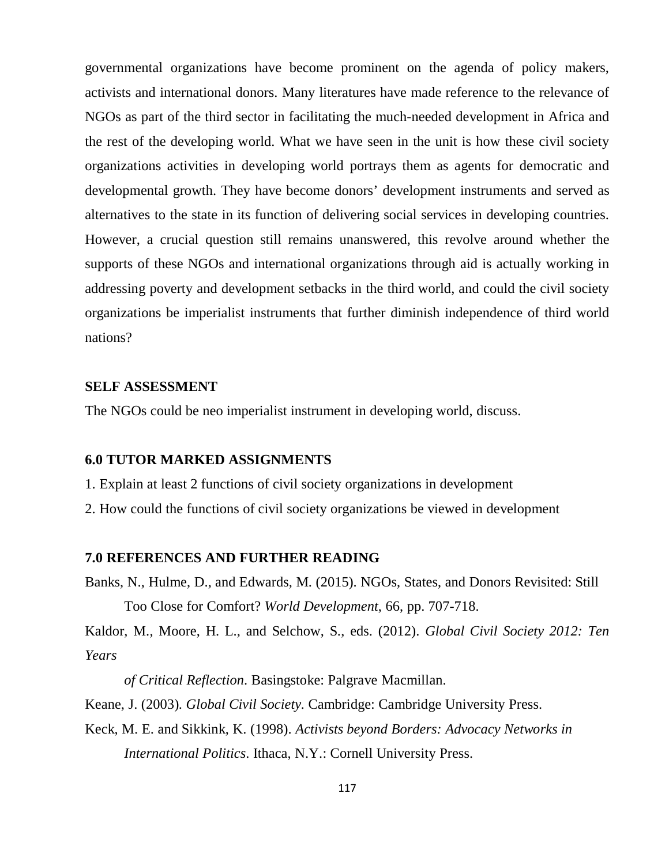governmental organizations have become prominent on the agenda of policy makers, activists and international donors. Many literatures have made reference to the relevance of NGOs as part of the third sector in facilitating the much-needed development in Africa and the rest of the developing world. What we have seen in the unit is how these civil society organizations activities in developing world portrays them as agents for democratic and developmental growth. They have become donors' development instruments and served as alternatives to the state in its function of delivering social services in developing countries. However, a crucial question still remains unanswered, this revolve around whether the supports of these NGOs and international organizations through aid is actually working in addressing poverty and development setbacks in the third world, and could the civil society organizations be imperialist instruments that further diminish independence of third world nations?

## **SELF ASSESSMENT**

The NGOs could be neo imperialist instrument in developing world, discuss.

## **6.0 TUTOR MARKED ASSIGNMENTS**

- 1. Explain at least 2 functions of civil society organizations in development
- 2. How could the functions of civil society organizations be viewed in development

# **7.0 REFERENCES AND FURTHER READING**

Banks, N., Hulme, D., and Edwards, M. (2015). NGOs, States, and Donors Revisited: Still Too Close for Comfort? *World Development*, 66, pp. 707-718.

Kaldor, M., Moore, H. L., and Selchow, S., eds. (2012). *Global Civil Society 2012: Ten Years* 

*of Critical Reflection*. Basingstoke: Palgrave Macmillan.

Keane, J. (2003). *Global Civil Society.* Cambridge: Cambridge University Press.

Keck, M. E. and Sikkink, K. (1998). *Activists beyond Borders: Advocacy Networks in International Politics*. Ithaca, N.Y.: Cornell University Press.